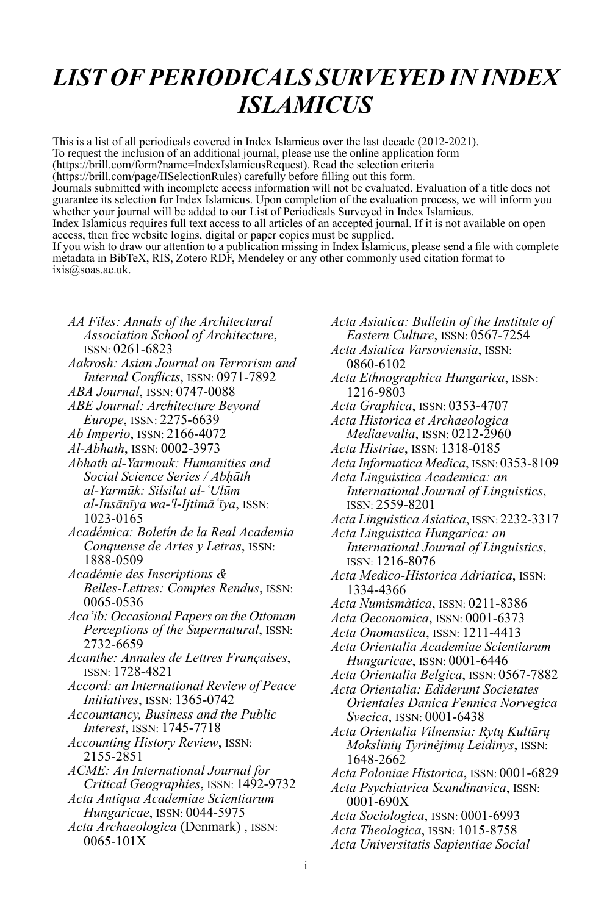## *LIST OF PERIODICALS SURVEYED IN INDEX ISLAMICUS*

This is a list of all periodicals covered in Index Islamicus over the last decade (2012-2021). To request the inclusion of an additional journal, please use the online application form (https://brill.com/form?name=IndexIslamicusRequest). Read the selection criteria (https://brill.com/page/IISelectionRules) carefully before filling out this form. Journals submitted with incomplete access information will not be evaluated. Evaluation of a title does not guarantee its selection for Index Islamicus. Upon completion of the evaluation process, we will inform you whether your journal will be added to our List of Periodicals Surveyed in Index Islamicus. Index Islamicus requires full text access to all articles of an accepted journal. If it is not available on open access, then free website logins, digital or paper copies must be supplied. If you wish to draw our attention to a publication missing in Index Islamicus, please send a file with complete metadata in BibTeX, RIS, Zotero RDF, Mendeley or any other commonly used citation format to ixis@soas.ac.uk.

- *AA Files: Annals of the Architectural Association School of Architecture*, ISSN: 0261-6823
- *Aakrosh: Asian Journal on Terrorism and Internal Conflicts*, ISSN: 0971-7892
- *ABA Journal*, ISSN: 0747-0088
- *ABE Journal: Architecture Beyond Europe*, ISSN: 2275-6639
- *Ab Imperio*, ISSN: 2166-4072
- *Al-Abhath*, ISSN: 0002-3973
- *Abhath al-Yarmouk: Humanities and Social Science Series / Abḥāth al-Yarmūk: Silsilat al-ʿUlūm al-Insānīya wa-'l-Ijtimāʿīya*, ISSN: 1023-0165
- *Académica: Boletín de la Real Academia Conquense de Artes y Letras*, ISSN: 1888-0509
- *Académie des Inscriptions & Belles-Lettres: Comptes Rendus*, ISSN: 0065-0536
- *Aca'ib: Occasional Papers on the Ottoman Perceptions of the Supernatural*, ISSN: 2732-6659
- *Acanthe: Annales de Lettres Françaises*, ISSN: 1728-4821
- *Accord: an International Review of Peace Initiatives*, ISSN: 1365-0742
- *Accountancy, Business and the Public Interest*, ISSN: 1745-7718
- *Accounting History Review*, ISSN: 2155-2851
- *ACME: An International Journal for Critical Geographies*, ISSN: 1492-9732
- *Acta Antiqua Academiae Scientiarum Hungaricae*, ISSN: 0044-5975
- *Acta Archaeologica* (Denmark) , ISSN: 0065-101X
- *Acta Asiatica: Bulletin of the Institute of Eastern Culture*, ISSN: 0567-7254 *Acta Asiatica Varsoviensia*, ISSN: 0860-6102 *Acta Ethnographica Hungarica*, ISSN: 1216-9803 *Acta Graphica*, ISSN: 0353-4707 *Acta Historica et Archaeologica Mediaevalia*, ISSN: 0212-2960 *Acta Histriae*, ISSN: 1318-0185 *Acta Informatica Medica*, ISSN: 0353-8109 *Acta Linguistica Academica: an International Journal of Linguistics*, ISSN: 2559-8201 *ActaLinguistica Asiatica*, ISSN: 2232-3317 *Acta Linguistica Hungarica: an International Journal of Linguistics*, ISSN: 1216-8076 *Acta Medico-Historica Adriatica*, ISSN: 1334-4366 *Acta Numismàtica*, ISSN: 0211-8386 *Acta Oeconomica*, ISSN: 0001-6373 *Acta Onomastica*, ISSN: 1211-4413 *Acta Orientalia Academiae Scientiarum Hungaricae*, ISSN: 0001-6446 *Acta Orientalia Belgica*, ISSN: 0567-7882 *Acta Orientalia: Ediderunt Societates Orientales Danica Fennica Norvegica Svecica*, ISSN: 0001-6438 *Acta Orientalia Vilnensia: Rytų Kultūrų Mokslinių Tyrinėjimų Leidinys*, ISSN: 1648-2662 *Acta Poloniae Historica*, ISSN: 0001-6829 *Acta Psychiatrica Scandinavica*, ISSN: 0001-690X *Acta Sociologica*, ISSN: 0001-6993 *Acta Theologica*, ISSN: 1015-8758 *Acta Universitatis Sapientiae Social*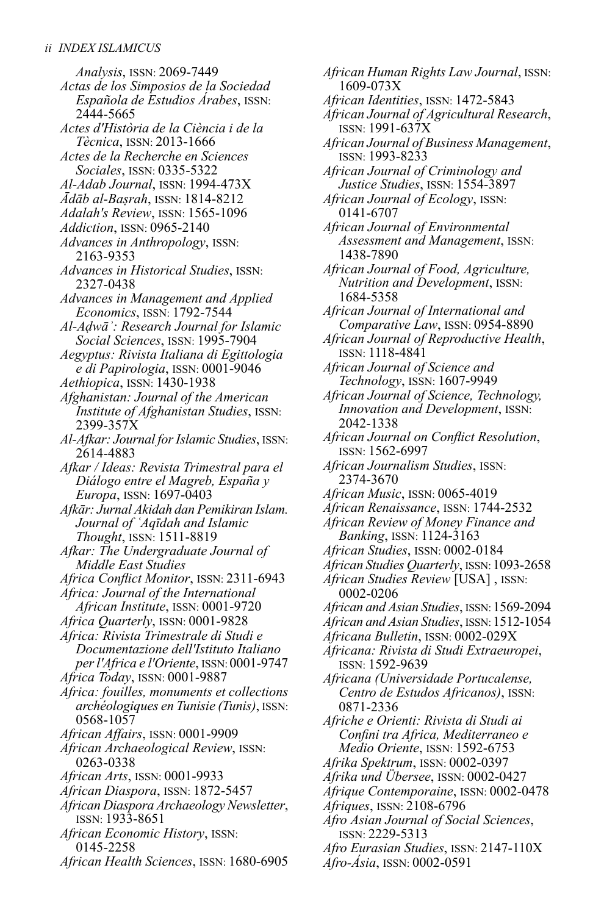*Analysis*, ISSN: 2069-7449 *Actas de los Simposios de la Sociedad Española de Estudios Árabes*, ISSN: 2444-5665 *Actes d'Història de la Ciència i de la Tècnica*, ISSN: 2013-1666 *Actes de la Recherche en Sciences Sociales*, ISSN: 0335-5322 *Al-Adab Journal*, ISSN: 1994-473X *Ādāb al-Baṣrah*, ISSN: 1814-8212 *Adalah's Review*, ISSN: 1565-1096 *Addiction*, ISSN: 0965-2140 *Advances in Anthropology*, ISSN: 2163-9353 *Advances in Historical Studies*, ISSN: 2327-0438 *Advances in Management and Applied Economics*, ISSN: 1792-7544 *Al-Aḍwāʾ: Research Journal for Islamic Social Sciences*, ISSN: 1995-7904 *Aegyptus: Rivista Italiana di Egittologia e di Papirologia*, ISSN: 0001-9046 *Aethiopica*, ISSN: 1430-1938 *Afghanistan: Journal of the American Institute of Afghanistan Studies*, ISSN: 2399-357X *Al-Afkar: Journal forIslamic Studies*, ISSN: 2614-4883 *Afkar / Ideas: Revista Trimestral para el Diálogo entre el Magreb, España y Europa*, ISSN: 1697-0403 *Afkār: Jurnal Akidah dan Pemikiran Islam. Journal of ʿAqīdah and Islamic Thought*, ISSN: 1511-8819 *Afkar: The Undergraduate Journal of Middle East Studies Africa Conflict Monitor*, ISSN: 2311-6943 *Africa: Journal of the International African Institute*, ISSN: 0001-9720 *Africa Quarterly*, ISSN: 0001-9828 *Africa: Rivista Trimestrale di Studi e Documentazione dell'Istituto Italiano perl'Africa e l'Oriente*, ISSN: 0001-9747 *Africa Today*, ISSN: 0001-9887 *Africa: fouilles, monuments et collections archéologiques enTunisie (Tunis)*, ISSN: 0568-1057 *African Affairs*, ISSN: 0001-9909 *African Archaeological Review*, ISSN: 0263-0338 *African Arts*, ISSN: 0001-9933 *African Diaspora*, ISSN: 1872-5457 *African Diaspora Archaeology Newsletter*, ISSN: 1933-8651 *African Economic History*, ISSN: 0145-2258

*African Health Sciences*, ISSN: 1680-6905

*African Human Rights Law Journal*, ISSN: 1609-073X *African Identities*, ISSN: 1472-5843 *African Journal of Agricultural Research*, ISSN: 1991-637X *African Journal of Business Management*, ISSN: 1993-8233 *African Journal of Criminology and Justice Studies*, ISSN: 1554-3897 *African Journal of Ecology*, ISSN: 0141-6707 *African Journal of Environmental Assessment and Management*, ISSN: 1438-7890 *African Journal of Food, Agriculture, Nutrition and Development*, ISSN: 1684-5358 *African Journal of International and Comparative Law*, ISSN: 0954-8890 *African Journal of Reproductive Health*, ISSN: 1118-4841 *African Journal of Science and Technology*, ISSN: 1607-9949 *African Journal of Science, Technology, Innovation and Development*, ISSN: 2042-1338 *African Journal on Conflict Resolution*, ISSN: 1562-6997 *African Journalism Studies*, ISSN: 2374-3670 *African Music*, ISSN: 0065-4019 *African Renaissance*, ISSN: 1744-2532 *African Review of Money Finance and Banking*, ISSN: 1124-3163 *African Studies*, ISSN: 0002-0184 *African Studies Quarterly*, ISSN:1093-2658 *African Studies Review* [USA] , ISSN: 0002-0206 *African and Asian Studies*, ISSN:1569-2094 *African and Asian Studies*, ISSN:1512-1054 *Africana Bulletin*, ISSN: 0002-029X *Africana: Rivista di Studi Extraeuropei*, ISSN: 1592-9639 *Africana (Universidade Portucalense, Centro de Estudos Africanos)*, ISSN: 0871-2336 *Afriche e Orienti: Rivista di Studi ai Confini tra Africa, Mediterraneo e Medio Oriente*, ISSN: 1592-6753 *Afrika Spektrum*, ISSN: 0002-0397 *Afrika und Übersee*, ISSN: 0002-0427 *Afrique Contemporaine*, ISSN: 0002-0478 *Afriques*, ISSN: 2108-6796 *Afro Asian Journal of Social Sciences*, ISSN: 2229-5313

- *Afro Eurasian Studies*, ISSN: 2147-110X
- *Afro-Ásia*, ISSN: 0002-0591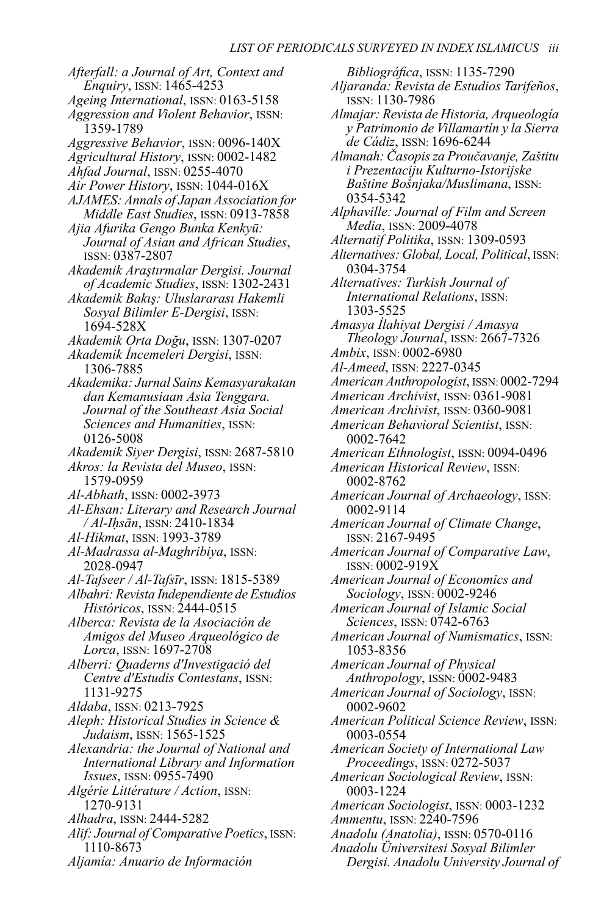*Afterfall: a Journal of Art, Context and Enquiry*, ISSN: 1465-4253 *Ageing International*, ISSN: 0163-5158 *Aggression and Violent Behavior*, ISSN: 1359-1789 *Aggressive Behavior*, ISSN: 0096-140X *Agricultural History*, ISSN: 0002-1482 *Ahfad Journal*, ISSN: 0255-4070 *Air Power History*, ISSN: 1044-016X *AJAMES: Annals of Japan Association for Middle East Studies*, ISSN: 0913-7858 *Ajia Afurika Gengo Bunka Kenkyū: Journal of Asian and African Studies*, ISSN: 0387-2807 *Akademik Araştırmalar Dergisi. Journal of Academic Studies*, ISSN: 1302-2431 *Akademik Bakış: Uluslararası Hakemli Sosyal Bilimler E-Dergisi*, ISSN: 1694-528X *Akademik Orta Doğu*, ISSN: 1307-0207 *Akademik İncemeleri Dergisi*, ISSN: 1306-7885 *Akademika: Jurnal Sains Kemasyarakatan dan Kemanusiaan Asia Tenggara. Journal of the Southeast Asia Social Sciences and Humanities*, ISSN: 0126-5008 *Akademik Siyer Dergisi*, ISSN: 2687-5810 *Akros: la Revista del Museo*, ISSN: 1579-0959 *Al-Abhath*, ISSN: 0002-3973 *Al-Ehsan: Literary and Research Journal / Al-Iḥsān*, ISSN: 2410-1834 *Al-Hikmat*, ISSN: 1993-3789 *Al-Madrassa al-Maghribiya*, ISSN: 2028-0947 *Al-Tafseer / Al-Tafsīr*, ISSN: 1815-5389 *Albahri: Revista Independiente de Estudios Históricos*, ISSN: 2444-0515 *Alberca: Revista de la Asociación de Amigos del Museo Arqueológico de Lorca*, ISSN: 1697-2708 *Alberri: Quaderns d'Investigació del Centre d'Estudis Contestans*, ISSN: 1131-9275 *Aldaba*, ISSN: 0213-7925 *Aleph: Historical Studies in Science & Judaism*, ISSN: 1565-1525 *Alexandria: the Journal of National and International Library and Information Issues*, ISSN: 0955-7490 *Algérie Littérature / Action*, ISSN: 1270-9131 *Alhadra*, ISSN: 2444-5282 *Alif: Journal of Comparative Poetics*, ISSN: 1110-8673 *Aljamía: Anuario de Información*

*Bibliográfica*, ISSN: 1135-7290 *Aljaranda: Revista de Estudios Tarifeños*, ISSN: 1130-7986 *Almajar: Revista de Historia, Arqueología y Patrimonio de Villamartín y la Sierra de Cádiz*, ISSN: 1696-6244 *Almanah: Časopisza Proučavanje,Zaštitu i Prezentaciju Kulturno-Istorijske Baštine Bošnjaka/Muslimana*, ISSN: 0354-5342 *Alphaville: Journal of Film and Screen Media*, ISSN: 2009-4078 *Alternatif Politika*, ISSN: 1309-0593 *Alternatives: Global,Local, Political*, ISSN: 0304-3754 *Alternatives: Turkish Journal of International Relations*, ISSN: 1303-5525 *Amasya İlahiyat Dergisi / Amasya Theology Journal*, ISSN: 2667-7326 *Ambix*, ISSN: 0002-6980 *Al-Ameed*, ISSN: 2227-0345 *American Anthropologist*, ISSN: 0002-7294 *American Archivist*, ISSN: 0361-9081 *American Archivist*, ISSN: 0360-9081 *American Behavioral Scientist*, ISSN: 0002-7642 *American Ethnologist*, ISSN: 0094-0496 *American Historical Review*, ISSN: 0002-8762 *American Journal of Archaeology*, ISSN: 0002-9114 *American Journal of Climate Change*, ISSN: 2167-9495 *American Journal of Comparative Law*, ISSN: 0002-919X *American Journal of Economics and Sociology*, ISSN: 0002-9246 *American Journal of Islamic Social Sciences*, ISSN: 0742-6763 *American Journal of Numismatics*, ISSN: 1053-8356 *American Journal of Physical Anthropology*, ISSN: 0002-9483 *American Journal of Sociology*, ISSN: 0002-9602 *American Political Science Review*, ISSN: 0003-0554 *American Society of International Law Proceedings*, ISSN: 0272-5037 *American Sociological Review*, ISSN: 0003-1224 *American Sociologist*, ISSN: 0003-1232 *Ammentu*, ISSN: 2240-7596 *Anadolu (Anatolia)*, ISSN: 0570-0116 *Anadolu Üniversitesi Sosyal Bilimler Dergisi. Anadolu University Journal of*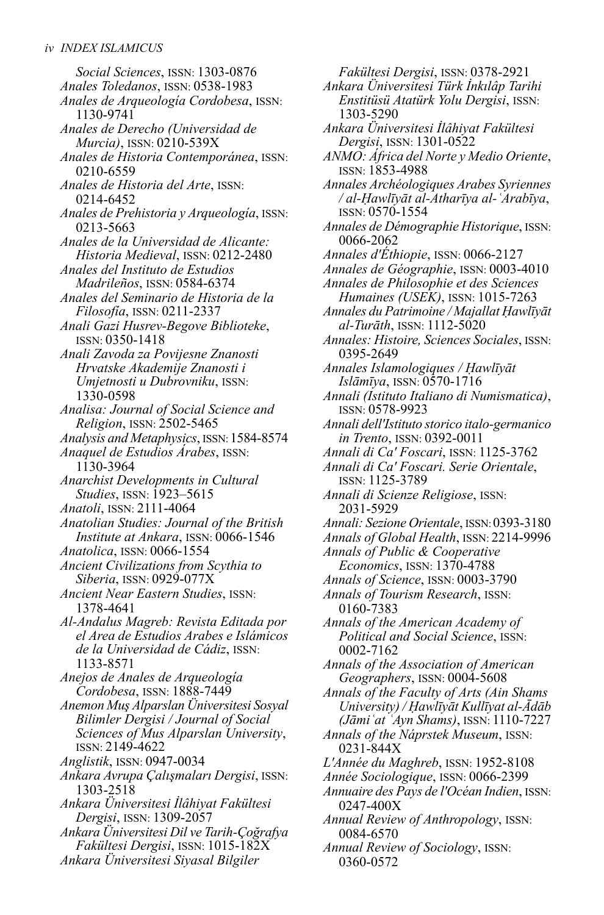*Social Sciences*, ISSN: 1303-0876 *Anales Toledanos*, ISSN: 0538-1983 *Anales de Arqueología Cordobesa*, ISSN: 1130-9741 *Anales de Derecho (Universidad de Murcia)*, ISSN: 0210-539X *Anales de Historia Contemporánea*, ISSN: 0210-6559 *Anales de Historia del Arte*, ISSN: 0214-6452 *Anales de Prehistoria y Arqueología*, ISSN: 0213-5663 *Anales de la Universidad de Alicante: Historia Medieval*, ISSN: 0212-2480 *Anales del Instituto de Estudios Madrileños*, ISSN: 0584-6374 *Anales del Seminario de Historia de la Filosofía*, ISSN: 0211-2337 *Anali Gazi Husrev-Begove Biblioteke*, ISSN: 0350-1418 *Anali Zavoda za Povijesne Znanosti Hrvatske Akademije Znanosti i Umjetnosti u Dubrovniku*, ISSN: 1330-0598 *Analisa: Journal of Social Science and Religion*, ISSN: 2502-5465 *Analysis and Metaphysics*, ISSN:1584-8574 *Anaquel de Estudios Árabes*, ISSN: 1130-3964 *Anarchist Developments in Cultural Studies*, ISSN: 1923–5615 *Anatoli*, ISSN: 2111-4064 *Anatolian Studies: Journal of the British Institute at Ankara*, ISSN: 0066-1546 *Anatolica*, ISSN: 0066-1554 *Ancient Civilizations from Scythia to Siberia*, ISSN: 0929-077X *Ancient Near Eastern Studies*, ISSN: 1378-4641 *Al-Andalus Magreb: Revista Editada por el Area de Estudios Arabes e Islámicos de la Universidad de Cádiz*, ISSN: 1133-8571 *Anejos de Anales de Arqueología Cordobesa*, ISSN: 1888-7449 *Anemon Muş Alparslan Üniversitesi Sosyal Bilimler Dergisi / Journal of Social Sciences of Mus Alparslan University*, ISSN: 2149-4622 *Anglistik*, ISSN: 0947-0034 *Ankara Avrupa Çalışmaları Dergisi*, ISSN: 1303-2518 *Ankara Üniversitesi İlâhiyat Fakültesi Dergisi*, ISSN: 1309-2057 *Ankara Üniversitesi Dil veTarih-Çoğrafya Fakültesi Dergisi*, ISSN: 1015-182X *Ankara Üniversitesi Siyasal Bilgiler*

*Fakültesi Dergisi*, ISSN: 0378-2921 *Ankara Üniversitesi Türk İnkılâp Tarihi Enstitüsü Atatürk Yolu Dergisi*, ISSN: 1303-5290 *Ankara Üniversitesi İlâhiyat Fakültesi Dergisi*, ISSN: 1301-0522 *ANMO: África del Norte y Medio Oriente*, ISSN: 1853-4988 *Annales Archéologiques Arabes Syriennes / al-Ḥawlīyāt al-Atharīya al-ʿArabīya*, ISSN: 0570-1554 *Annales de Démographie Historique*, ISSN: 0066-2062 *Annales d'Éthiopie*, ISSN: 0066-2127 *Annales de Géographie*, ISSN: 0003-4010 *Annales de Philosophie et des Sciences Humaines (USEK)*, ISSN: 1015-7263 *Annales du Patrimoine / Majallat Ḥawlīyāt al-Turāth*, ISSN: 1112-5020 *Annales: Histoire, Sciences Sociales*, ISSN: 0395-2649 *Annales Islamologiques / Ḥawlīyāt Islāmīya*, ISSN: 0570-1716 *Annali (Istituto Italiano di Numismatica)*, ISSN: 0578-9923 *Annali dell'Istituto storico italo-germanico in Trento*, ISSN: 0392-0011 *Annali di Ca' Foscari*, ISSN: 1125-3762 *Annali di Ca' Foscari. Serie Orientale*, ISSN: 1125-3789 *Annali di Scienze Religiose*, ISSN: 2031-5929 *Annali: Sezione Orientale*, ISSN:0393-3180 *Annals of Global Health*, ISSN: 2214-9996 *Annals of Public & Cooperative Economics*, ISSN: 1370-4788 *Annals of Science*, ISSN: 0003-3790 *Annals of Tourism Research*, ISSN: 0160-7383 *Annals of the American Academy of Political and Social Science*, ISSN: 0002-7162 *Annals of the Association of American Geographers*, ISSN: 0004-5608 *Annals of the Faculty of Arts (Ain Shams University) / Ḥawlīyāt Kullīyat al-Ādāb (Jāmiʿat ʿAyn Shams)*, ISSN: 1110-7227 *Annals of the Náprstek Museum*, ISSN: 0231-844X *L'Année du Maghreb*, ISSN: 1952-8108 *Année Sociologique*, ISSN: 0066-2399 *Annuaire des Pays de l'Océan Indien*, ISSN: 0247-400X *Annual Review of Anthropology*, ISSN: 0084-6570 *Annual Review of Sociology*, ISSN:

0360-0572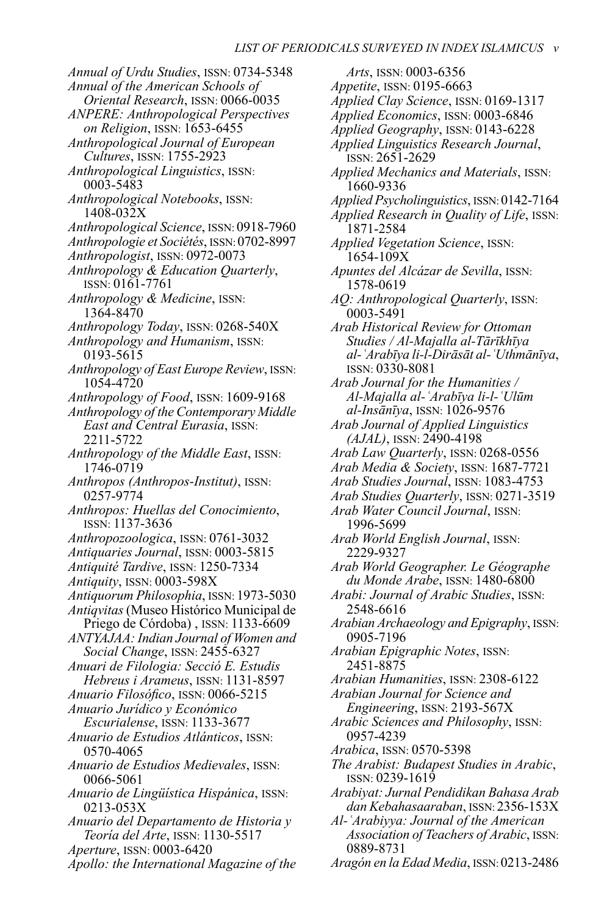*Annual of Urdu Studies*, ISSN: 0734-5348 *Annual of the American Schools of Oriental Research*, ISSN: 0066-0035 *ANPERE: Anthropological Perspectives on Religion*, ISSN: 1653-6455 *Anthropological Journal of European Cultures*, ISSN: 1755-2923 *Anthropological Linguistics*, ISSN: 0003-5483 *Anthropological Notebooks*, ISSN: 1408-032X *Anthropological Science*, ISSN: 0918-7960 *Anthropologie et Sociétés*, ISSN: 0702-8997 *Anthropologist*, ISSN: 0972-0073 *Anthropology & Education Quarterly*, ISSN: 0161-7761 *Anthropology & Medicine*, ISSN: 1364-8470 *Anthropology Today*, ISSN: 0268-540X *Anthropology and Humanism*, ISSN: 0193-5615 *Anthropology of East Europe Review*, ISSN: 1054-4720 *Anthropology of Food*, ISSN: 1609-9168 *Anthropology of the Contemporary Middle East and Central Eurasia*, ISSN: 2211-5722 *Anthropology of the Middle East*, ISSN: 1746-0719 *Anthropos (Anthropos-Institut)*, ISSN: 0257-9774 *Anthropos: Huellas del Conocimiento*, ISSN: 1137-3636 *Anthropozoologica*, ISSN: 0761-3032 *Antiquaries Journal*, ISSN: 0003-5815 *Antiquité Tardive*, ISSN: 1250-7334 *Antiquity*, ISSN: 0003-598X *Antiquorum Philosophia*, ISSN: 1973-5030 *Antiqvitas*(Museo Histórico Municipal de Priego de Córdoba) , ISSN: 1133-6609 *ANTYAJAA: Indian Journal of Women and Social Change*, ISSN: 2455-6327 *Anuari de Filologia: Secció E. Estudis Hebreus i Arameus*, ISSN: 1131-8597 *Anuario Filosófico*, ISSN: 0066-5215 *Anuario Jurídico y Económico Escurialense*, ISSN: 1133-3677 *Anuario de Estudios Atlánticos*, ISSN: 0570-4065 *Anuario de Estudios Medievales*, ISSN: 0066-5061 *Anuario de Lingüística Hispánica*, ISSN: 0213-053X *Anuario del Departamento de Historia y Teoría del Arte*, ISSN: 1130-5517 *Aperture*, ISSN: 0003-6420 *Apollo: the International Magazine of the*

*Arts*, ISSN: 0003-6356 *Appetite*, ISSN: 0195-6663 *Applied Clay Science*, ISSN: 0169-1317 *Applied Economics*, ISSN: 0003-6846 *Applied Geography*, ISSN: 0143-6228 *Applied Linguistics Research Journal*, ISSN: 2651-2629 *Applied Mechanics and Materials*, ISSN: 1660-9336 *Applied Psycholinguistics*, ISSN:0142-7164 *Applied Research in Quality of Life*, ISSN: 1871-2584 *Applied Vegetation Science*, ISSN: 1654-109X *Apuntes del Alcázar de Sevilla*, ISSN: 1578-0619 *AQ: Anthropological Quarterly*, ISSN: 0003-5491 *Arab Historical Review for Ottoman Studies / Al-Majalla al-Tārīkhīya al-ʿArabīya li-l-Dirāsāt al-ʿUthmānīya*, ISSN: 0330-8081 *Arab Journal for the Humanities / Al-Majalla al-ʿArabīya li-l-ʿUlūm al-Insānīya*, ISSN: 1026-9576 *Arab Journal of Applied Linguistics (AJAL)*, ISSN: 2490-4198 *Arab Law Quarterly*, ISSN: 0268-0556 *Arab Media & Society*, ISSN: 1687-7721 *Arab Studies Journal*, ISSN: 1083-4753 *Arab Studies Quarterly*, ISSN: 0271-3519 *Arab Water Council Journal*, ISSN: 1996-5699 *Arab World English Journal*, ISSN: 2229-9327 *Arab World Geographer. Le Géographe du Monde Arabe*, ISSN: 1480-6800 *Arabi: Journal of Arabic Studies*, ISSN: 2548-6616 *Arabian Archaeology and Epigraphy*, ISSN: 0905-7196 *Arabian Epigraphic Notes*, ISSN: 2451-8875 *Arabian Humanities*, ISSN: 2308-6122 *Arabian Journal for Science and Engineering*, ISSN: 2193-567X *Arabic Sciences and Philosophy*, ISSN: 0957-4239 *Arabica*, ISSN: 0570-5398 *The Arabist: Budapest Studies in Arabic*, ISSN: 0239-1619 *Arabiyat: Jurnal Pendidikan Bahasa Arab dan Kebahasaaraban*, ISSN: 2356-153X *Al-ʿArabiyya: Journal of the American Association ofTeachers of Arabic*, ISSN: 0889-8731

*Aragón en la Edad Media*, ISSN:0213-2486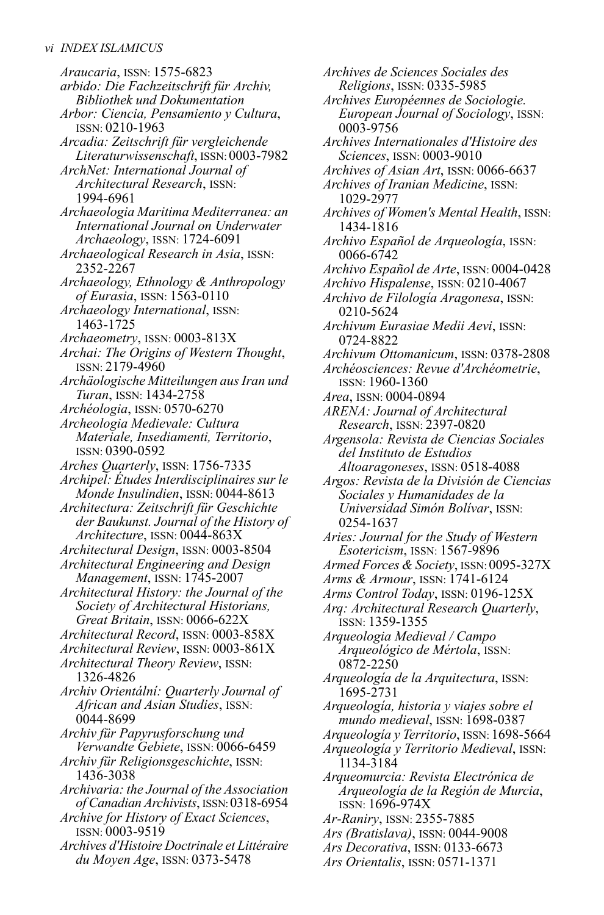*Araucaria*, ISSN: 1575-6823 *arbido: Die Fachzeitschrift für Archiv, Bibliothek und Dokumentation Arbor: Ciencia, Pensamiento y Cultura*, ISSN: 0210-1963 *Arcadia: Zeitschrift für vergleichende Literaturwissenschaft*, ISSN: 0003-7982 *ArchNet: International Journal of Architectural Research*, ISSN: 1994-6961 *Archaeologia Maritima Mediterranea: an International Journal on Underwater Archaeology*, ISSN: 1724-6091 *Archaeological Research in Asia*, ISSN: 2352-2267 *Archaeology, Ethnology & Anthropology of Eurasia*, ISSN: 1563-0110 *Archaeology International*, ISSN: 1463-1725 *Archaeometry*, ISSN: 0003-813X *Archai: The Origins of Western Thought*, ISSN: 2179-4960 *Archäologische Mitteilungen ausIran und Turan*, ISSN: 1434-2758 *Archéologia*, ISSN: 0570-6270 *Archeologia Medievale: Cultura Materiale, Insediamenti, Territorio*, ISSN: 0390-0592 *Arches Quarterly*, ISSN: 1756-7335 *Archipel: Études Interdisciplinaires sur le Monde Insulindien*, ISSN: 0044-8613 *Architectura: Zeitschrift für Geschichte der Baukunst. Journal of the History of Architecture*, ISSN: 0044-863X *Architectural Design*, ISSN: 0003-8504 *Architectural Engineering and Design Management*, ISSN: 1745-2007 *Architectural History: the Journal of the Society of Architectural Historians, Great Britain*, ISSN: 0066-622X *Architectural Record*, ISSN: 0003-858X *Architectural Review*, ISSN: 0003-861X *Architectural Theory Review*, ISSN: 1326-4826 *Archiv Orientální: Quarterly Journal of African and Asian Studies*, ISSN: 0044-8699 *Archiv für Papyrusforschung und Verwandte Gebiete*, ISSN: 0066-6459 *Archiv für Religionsgeschichte*, ISSN: 1436-3038 *Archivaria: the Journal of the Association of Canadian Archivists*, ISSN:0318-6954 *Archive for History of Exact Sciences*, ISSN: 0003-9519 *Archives d'Histoire Doctrinale etLittéraire du Moyen Age*, ISSN: 0373-5478

*Archives de Sciences Sociales des Religions*, ISSN: 0335-5985 *Archives Européennes de Sociologie. European Journal of Sociology*, ISSN: 0003-9756 *Archives Internationales d'Histoire des Sciences*, ISSN: 0003-9010 *Archives of Asian Art*, ISSN: 0066-6637 *Archives of Iranian Medicine*, ISSN: 1029-2977 *Archives of Women's Mental Health*, ISSN: 1434-1816 *Archivo Español de Arqueología*, ISSN: 0066-6742 *Archivo Español de Arte*, ISSN: 0004-0428 *Archivo Hispalense*, ISSN: 0210-4067 *Archivo de Filología Aragonesa*, ISSN: 0210-5624 *Archivum Eurasiae Medii Aevi*, ISSN: 0724-8822 *Archivum Ottomanicum*, ISSN: 0378-2808 *Archéosciences: Revue d'Archéometrie*, ISSN: 1960-1360 *Area*, ISSN: 0004-0894 *ARENA: Journal of Architectural Research*, ISSN: 2397-0820 *Argensola: Revista de Ciencias Sociales del Instituto de Estudios Altoaragoneses*, ISSN: 0518-4088 *Argos: Revista de la División de Ciencias Sociales y Humanidades de la Universidad Simón Bolívar*, ISSN: 0254-1637 *Aries: Journal for the Study of Western Esotericism*, ISSN: 1567-9896 *Armed Forces & Society*, ISSN: 0095-327X *Arms & Armour*, ISSN: 1741-6124 *Arms Control Today*, ISSN: 0196-125X *Arq: Architectural Research Quarterly*, ISSN: 1359-1355 *Arqueologia Medieval / Campo Arqueológico de Mértola*, ISSN: 0872-2250 *Arqueología de la Arquitectura*, ISSN: 1695-2731 *Arqueología, historia y viajes sobre el mundo medieval*, ISSN: 1698-0387 *Arqueología yTerritorio*, ISSN: 1698-5664 *Arqueología y Territorio Medieval*, ISSN: 1134-3184 *Arqueomurcia: Revista Electrónica de Arqueología de la Región de Murcia*, ISSN: 1696-974X *Ar-Raniry*, ISSN: 2355-7885 *Ars (Bratislava)*, ISSN: 0044-9008 *Ars Decorativa*, ISSN: 0133-6673

*Ars Orientalis*, ISSN: 0571-1371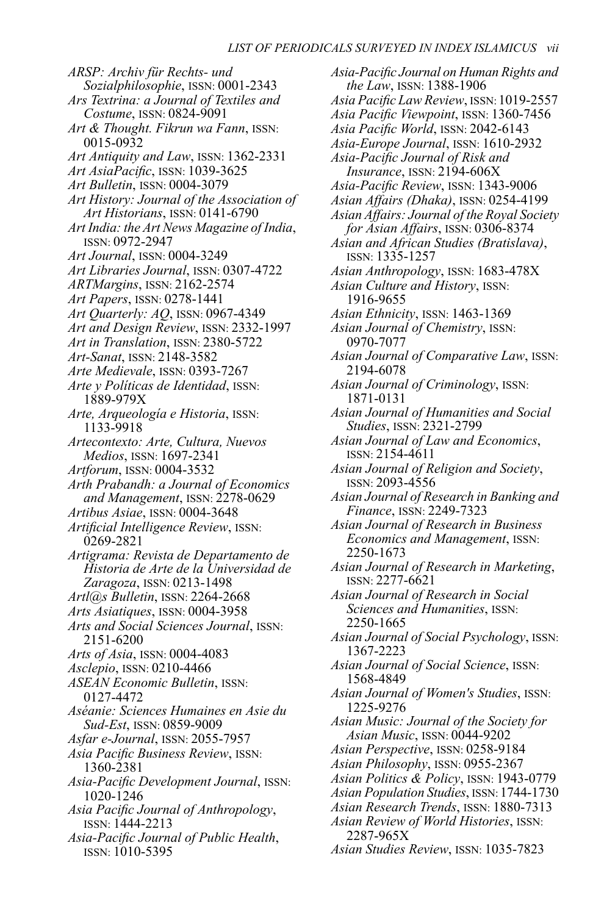*ARSP: Archiv für Rechts- und Sozialphilosophie*, ISSN: 0001-2343 *Ars Textrina: a Journal of Textiles and Costume*, ISSN: 0824-9091 *Art & Thought. Fikrun wa Fann*, ISSN: 0015-0932 *Art Antiquity and Law*, ISSN: 1362-2331 *Art AsiaPacific*, ISSN: 1039-3625 *Art Bulletin*, ISSN: 0004-3079 *Art History: Journal of the Association of Art Historians*, ISSN: 0141-6790 *Art India: the Art News Magazine of India*, ISSN: 0972-2947 *Art Journal*, ISSN: 0004-3249 *Art Libraries Journal*, ISSN: 0307-4722 *ARTMargins*, ISSN: 2162-2574 *Art Papers*, ISSN: 0278-1441 *Art Quarterly: AQ*, ISSN: 0967-4349 *Art and Design Review*, ISSN: 2332-1997 *Art in Translation*, ISSN: 2380-5722 *Art-Sanat*, ISSN: 2148-3582 *Arte Medievale*, ISSN: 0393-7267 *Arte y Políticas de Identidad*, ISSN: 1889-979X *Arte, Arqueología e Historia*, ISSN: 1133-9918 *Artecontexto: Arte, Cultura, Nuevos Medios*, ISSN: 1697-2341 *Artforum*, ISSN: 0004-3532 *Arth Prabandh: a Journal of Economics and Management*, ISSN: 2278-0629 *Artibus Asiae*, ISSN: 0004-3648 *Artificial Intelligence Review*, ISSN: 0269-2821 *Artigrama: Revista de Departamento de Historia de Arte de la Universidad de Zaragoza*, ISSN: 0213-1498 *Artl@s Bulletin*, ISSN: 2264-2668 *Arts Asiatiques*, ISSN: 0004-3958 *Arts and Social Sciences Journal*, ISSN: 2151-6200 *Arts of Asia*, ISSN: 0004-4083 *Asclepio*, ISSN: 0210-4466 *ASEAN Economic Bulletin*, ISSN: 0127-4472 *Aséanie: Sciences Humaines en Asie du Sud-Est*, ISSN: 0859-9009 *Asfar e-Journal*, ISSN: 2055-7957 *Asia Pacific Business Review*, ISSN: 1360-2381 *Asia-Pacific Development Journal*, ISSN: 1020-1246 *Asia Pacific Journal of Anthropology*, ISSN: 1444-2213 *Asia-Pacific Journal of Public Health*, ISSN: 1010-5395

*Asia-Pacific Journal on Human Rights and the Law*, ISSN: 1388-1906 *Asia PacificLaw Review*, ISSN: 1019-2557 *Asia Pacific Viewpoint*, ISSN: 1360-7456 *Asia Pacific World*, ISSN: 2042-6143 *Asia-Europe Journal*, ISSN: 1610-2932 *Asia-Pacific Journal of Risk and Insurance*, ISSN: 2194-606X *Asia-Pacific Review*, ISSN: 1343-9006 *Asian Affairs (Dhaka)*, ISSN: 0254-4199 *Asian Affairs: Journal of the Royal Society for Asian Affairs*, ISSN: 0306-8374 *Asian and African Studies (Bratislava)*, ISSN: 1335-1257 *Asian Anthropology*, ISSN: 1683-478X *Asian Culture and History*, ISSN: 1916-9655 *Asian Ethnicity*, ISSN: 1463-1369 *Asian Journal of Chemistry*, ISSN: 0970-7077 *Asian Journal of Comparative Law*, ISSN: 2194-6078 *Asian Journal of Criminology*, ISSN: 1871-0131 *Asian Journal of Humanities and Social Studies*, ISSN: 2321-2799 *Asian Journal of Law and Economics*, ISSN: 2154-4611 *Asian Journal of Religion and Society*, ISSN: 2093-4556 *Asian Journal of Research in Banking and Finance*, ISSN: 2249-7323 *Asian Journal of Research in Business Economics and Management*, ISSN: 2250-1673 *Asian Journal of Research in Marketing*, ISSN: 2277-6621 *Asian Journal of Research in Social Sciences and Humanities*, ISSN: 2250-1665 *Asian Journal of Social Psychology*, ISSN: 1367-2223 *Asian Journal of Social Science*, ISSN: 1568-4849 *Asian Journal of Women's Studies*, ISSN: 1225-9276 *Asian Music: Journal of the Society for Asian Music*, ISSN: 0044-9202 *Asian Perspective*, ISSN: 0258-9184 *Asian Philosophy*, ISSN: 0955-2367 *Asian Politics & Policy*, ISSN: 1943-0779 *Asian Population Studies*, ISSN: 1744-1730 *Asian Research Trends*, ISSN: 1880-7313 *Asian Review of World Histories*, ISSN: 2287-965X *Asian Studies Review*, ISSN: 1035-7823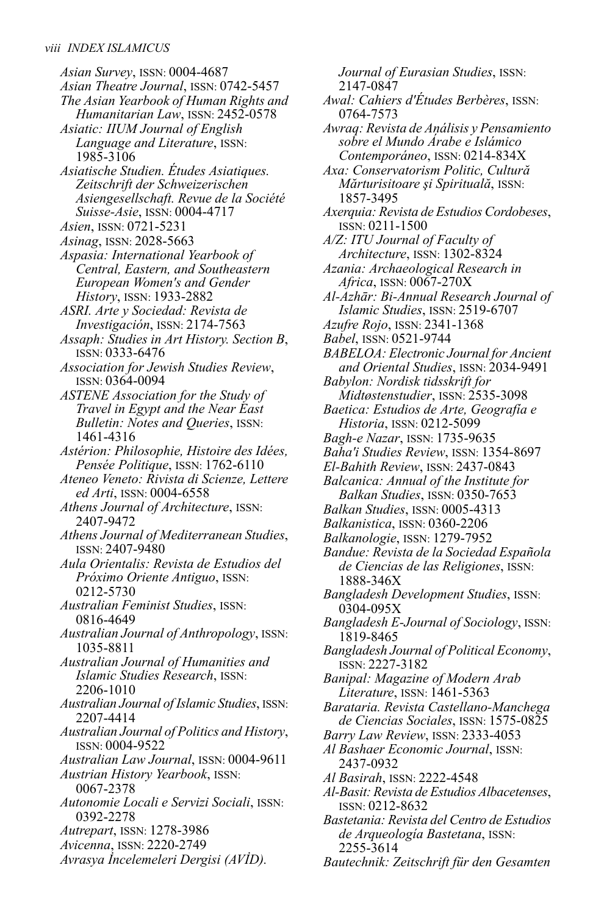*Asian Survey*, ISSN: 0004-4687 *Asian Theatre Journal*, ISSN: 0742-5457 *The Asian Yearbook of Human Rights and Humanitarian Law*, ISSN: 2452-0578 *Asiatic: IIUM Journal of English*

- *Language and Literature*, ISSN: 1985-3106
- *Asiatische Studien. Études Asiatiques. Zeitschrift der Schweizerischen Asiengesellschaft. Revue de la Société Suisse-Asie*, ISSN: 0004-4717
- *Asien*, ISSN: 0721-5231
- *Asinag*, ISSN: 2028-5663
- *Aspasia: International Yearbook of Central, Eastern, and Southeastern European Women's and Gender History*, ISSN: 1933-2882
- *ASRI. Arte y Sociedad: Revista de Investigación*, ISSN: 2174-7563
- *Assaph: Studies in Art History. Section B*, ISSN: 0333-6476
- *Association for Jewish Studies Review*, ISSN: 0364-0094
- *ASTENE Association for the Study of Travel in Egypt and the Near East Bulletin: Notes and Queries*, ISSN: 1461-4316
- *Astérion: Philosophie, Histoire des Idées, Pensée Politique*, ISSN: 1762-6110
- *Ateneo Veneto: Rivista di Scienze, Lettere ed Arti*, ISSN: 0004-6558
- *Athens Journal of Architecture*, ISSN: 2407-9472
- *Athens Journal of Mediterranean Studies*, ISSN: 2407-9480
- *Aula Orientalis: Revista de Estudios del Próximo Oriente Antiguo*, ISSN: 0212-5730
- *Australian Feminist Studies*, ISSN: 0816-4649
- *Australian Journal of Anthropology*, ISSN: 1035-8811
- *Australian Journal of Humanities and Islamic Studies Research*, ISSN: 2206-1010
- *Australian Journal of Islamic Studies*, ISSN: 2207-4414
- *Australian Journal of Politics and History*, ISSN: 0004-9522
- *Australian Law Journal*, ISSN: 0004-9611 *Austrian History Yearbook*, ISSN:
	- 0067-2378
- *Autonomie Locali e Servizi Sociali*, ISSN: 0392-2278
- *Autrepart*, ISSN: 1278-3986
- *Avicenna*, ISSN: 2220-2749
- *Avrasya İncelemeleri Dergisi (AVİD).*

*Journal of Eurasian Studies*, ISSN: 2147-0847 *Awal: Cahiers d'Études Berbères*, ISSN: 0764-7573 *Awraq: Revista de Análisis y Pensamiento sobre el Mundo Árabe e Islámico Contemporáneo*, ISSN: 0214-834X *Axa: Conservatorism Politic, Cultură Mărturisitoare şi Spirituală*, ISSN: 1857-3495 *Axerquia: Revista de Estudios Cordobeses*, ISSN: 0211-1500 *A/Z: ITU Journal of Faculty of Architecture*, ISSN: 1302-8324 *Azania: Archaeological Research in Africa*, ISSN: 0067-270X *Al-Azhār: Bi-Annual Research Journal of Islamic Studies*, ISSN: 2519-6707 *Azufre Rojo*, ISSN: 2341-1368 *Babel*, ISSN: 0521-9744 *BABELOA: Electronic Journal for Ancient and Oriental Studies*, ISSN: 2034-9491 *Babylon: Nordisk tidsskrift for Midtøstenstudier*, ISSN: 2535-3098 *Baetica: Estudios de Arte, Geografía e Historia*, ISSN: 0212-5099 *Bagh-e Nazar*, ISSN: 1735-9635 *Baha'i Studies Review*, ISSN: 1354-8697 *El-Bahith Review*, ISSN: 2437-0843 *Balcanica: Annual of the Institute for Balkan Studies*, ISSN: 0350-7653 *Balkan Studies*, ISSN: 0005-4313 *Balkanistica*, ISSN: 0360-2206 *Balkanologie*, ISSN: 1279-7952 *Bandue: Revista de la Sociedad Española de Ciencias de las Religiones*, ISSN: 1888-346X *Bangladesh Development Studies*, ISSN: 0304-095X *Bangladesh E-Journal of Sociology*, ISSN: 1819-8465 *Bangladesh Journal of Political Economy*, ISSN: 2227-3182 *Banipal: Magazine of Modern Arab Literature*, ISSN: 1461-5363 *Barataria. Revista Castellano-Manchega de Ciencias Sociales*, ISSN: 1575-0825 *Barry Law Review*, ISSN: 2333-4053 *Al Bashaer Economic Journal*, ISSN: 2437-0932 *Al Basirah*, ISSN: 2222-4548 *Al-Basit: Revista de Estudios Albacetenses*, ISSN: 0212-8632 *Bastetania: Revista del Centro de Estudios de Arqueología Bastetana*, ISSN: 2255-3614

*Bautechnik: Zeitschrift für den Gesamten*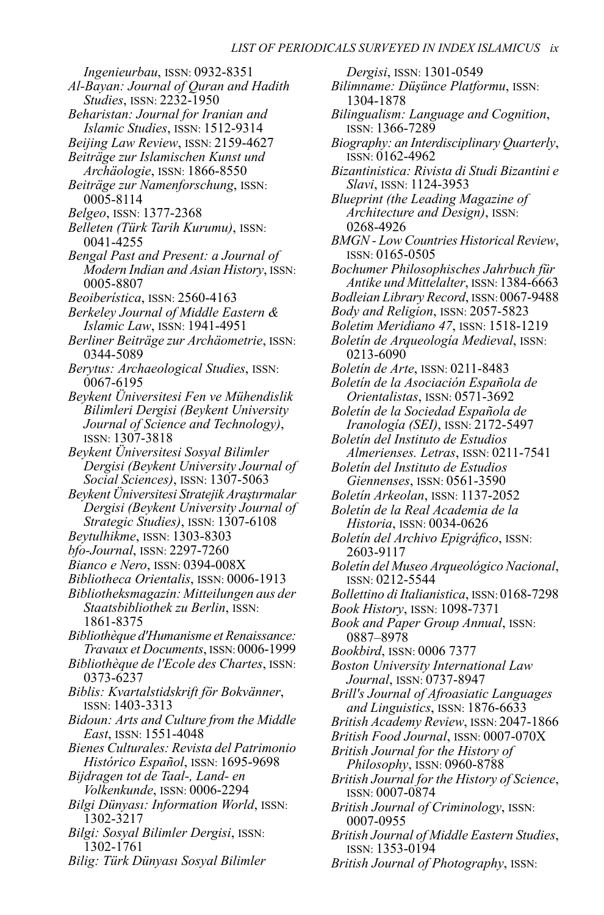*Ingenieurbau*, ISSN: 0932-8351

- *Al-Bayan: Journal of Quran and Hadith Studies*, ISSN: 2232-1950
- *Beharistan: Journal for Iranian and Islamic Studies*, ISSN: 1512-9314
- *Beijing Law Review*, ISSN: 2159-4627 *Beiträge zur Islamischen Kunst und*
- *Archäologie*, ISSN: 1866-8550
- *Beiträge zur Namenforschung*, ISSN: 0005-8114
- *Belgeo*, ISSN: 1377-2368
- *Belleten (Türk Tarih Kurumu)*, ISSN: 0041-4255
- *Bengal Past and Present: a Journal of Modern Indian and Asian History*, ISSN: 0005-8807
- *Beoiberística*, ISSN: 2560-4163
- *Berkeley Journal of Middle Eastern & Islamic Law*, ISSN: 1941-4951
- *Berliner Beiträge zur Archäometrie*, ISSN: 0344-5089
- *Berytus: Archaeological Studies*, ISSN: 0067-6195
- *Beykent Üniversitesi Fen ve Mühendislik Bilimleri Dergisi (Beykent University Journal of Science and Technology)*, ISSN: 1307-3818
- *Beykent Üniversitesi Sosyal Bilimler Dergisi (Beykent University Journal of Social Sciences)*, ISSN: 1307-5063
- *Beykent Üniversitesi Stratejik Araştırmalar Dergisi (Beykent University Journal of Strategic Studies)*, ISSN: 1307-6108
- *Beytulhikme*, ISSN: 1303-8303
- *bfo-Journal*, ISSN: 2297-7260
- *Bianco e Nero*, ISSN: 0394-008X
- *Bibliotheca Orientalis*, ISSN: 0006-1913
- *Bibliotheksmagazin: Mitteilungen aus der Staatsbibliothek zu Berlin*, ISSN: 1861-8375
- *Bibliothèque d'Humanisme et Renaissance: Travaux et Documents*, ISSN: 0006-1999
- *Bibliothèque de l'Ecole des Chartes*, ISSN: 0373-6237
- *Biblis: Kvartalstidskrift för Bokvänner*, ISSN: 1403-3313
- *Bidoun: Arts and Culture from the Middle East*, ISSN: 1551-4048
- *Bienes Culturales: Revista del Patrimonio Histórico Español*, ISSN: 1695-9698
- *Bijdragen tot de Taal-, Land- en Volkenkunde*, ISSN: 0006-2294
- *Bilgi Dünyası: Information World*, ISSN: 1302-3217
- *Bilgi: Sosyal Bilimler Dergisi*, ISSN: 1302-1761
- *Bilig: Türk Dünyası Sosyal Bilimler*

*Dergisi*, ISSN: 1301-0549 *Bilimname: Düşünce Platformu*, ISSN: 1304-1878 *Bilingualism: Language and Cognition*, ISSN: 1366-7289 *Biography: an Interdisciplinary Quarterly*, ISSN: 0162-4962 *Bizantinistica: Rivista di Studi Bizantini e Slavi*, ISSN: 1124-3953 *Blueprint (the Leading Magazine of Architecture and Design)*, ISSN: 0268-4926 *BMGN -Low Countries Historical Review*, ISSN: 0165-0505 *Bochumer Philosophisches Jahrbuch für Antike und Mittelalter*, ISSN: 1384-6663 *BodleianLibrary Record*, ISSN: 0067-9488 *Body and Religion*, ISSN: 2057-5823 *Boletim Meridiano 47*, ISSN: 1518-1219 *Boletín de Arqueología Medieval*, ISSN: 0213-6090 *Boletín de Arte*, ISSN: 0211-8483 *Boletín de la Asociación Española de Orientalistas*, ISSN: 0571-3692 *Boletín de la Sociedad Española de Iranología (SEI)*, ISSN: 2172-5497 *Boletín del Instituto de Estudios Almerienses. Letras*, ISSN: 0211-7541 *Boletín del Instituto de Estudios Giennenses*, ISSN: 0561-3590 *Boletín Arkeolan*, ISSN: 1137-2052 *Boletín de la Real Academia de la Historia*, ISSN: 0034-0626 *Boletín del Archivo Epigráfico*, ISSN: 2603-9117 *Boletín del Museo Arqueológico Nacional*, ISSN: 0212-5544 *Bollettino di Italianistica*, ISSN: 0168-7298 *Book History*, ISSN: 1098-7371 *Book and Paper Group Annual*, ISSN: 0887–8978 *Bookbird*, ISSN: 0006 7377 *Boston University International Law Journal*, ISSN: 0737-8947 *Brill's Journal of Afroasiatic Languages and Linguistics*, ISSN: 1876-6633 *British Academy Review*, ISSN: 2047-1866 *British Food Journal*, ISSN: 0007-070X *British Journal for the History of Philosophy*, ISSN: 0960-8788 *British Journal for the History of Science*, ISSN: 0007-0874 *British Journal of Criminology*, ISSN: 0007-0955 *British Journal of Middle Eastern Studies*, ISSN: 1353-0194

*British Journal of Photography*, ISSN: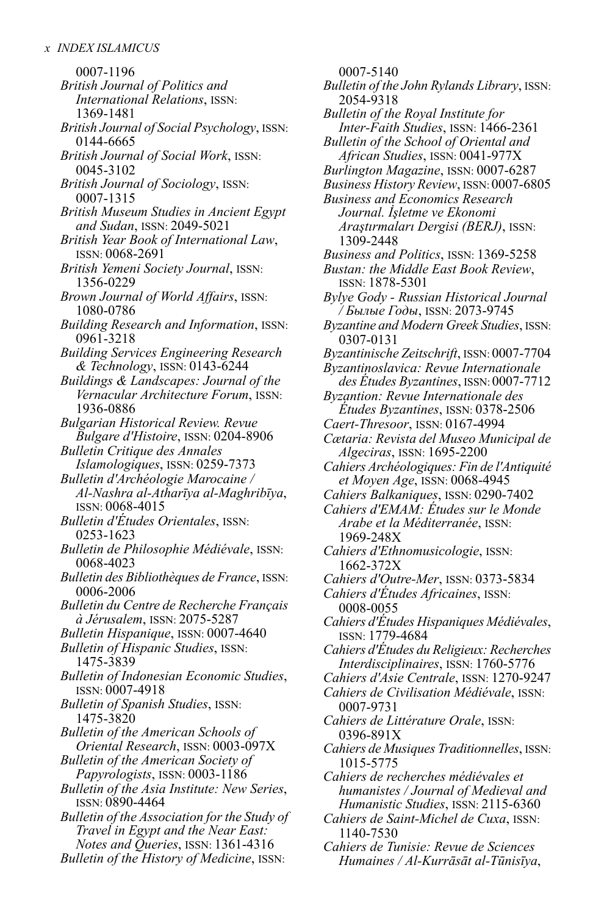0007-1196 *British Journal of Politics and International Relations*, ISSN: 1369-1481 *British Journal of Social Psychology*, ISSN: 0144-6665 *British Journal of Social Work*, ISSN: 0045-3102 *British Journal of Sociology*, ISSN: 0007-1315 *British Museum Studies in Ancient Egypt and Sudan*, ISSN: 2049-5021 *British Year Book of International Law*, ISSN: 0068-2691 *British Yemeni Society Journal*, ISSN: 1356-0229 *Brown Journal of World Affairs*, ISSN: 1080-0786 *Building Research and Information*, ISSN: 0961-3218 *Building Services Engineering Research & Technology*, ISSN: 0143-6244 *Buildings & Landscapes: Journal of the Vernacular Architecture Forum*, ISSN: 1936-0886 *Bulgarian Historical Review. Revue Bulgare d'Histoire*, ISSN: 0204-8906 *Bulletin Critique des Annales Islamologiques*, ISSN: 0259-7373 *Bulletin d'Archéologie Marocaine / Al-Nashra al-Atharīya al-Maghribīya*, ISSN: 0068-4015 *Bulletin d'Études Orientales*, ISSN: 0253-1623 *Bulletin de Philosophie Médiévale*, ISSN: 0068-4023 *Bulletin des Bibliothèques de France*, ISSN: 0006-2006 *Bulletin du Centre de Recherche Français à Jérusalem*, ISSN: 2075-5287 *Bulletin Hispanique*, ISSN: 0007-4640 *Bulletin of Hispanic Studies*, ISSN: 1475-3839 *Bulletin of Indonesian Economic Studies*, ISSN: 0007-4918 *Bulletin of Spanish Studies*, ISSN: 1475-3820 *Bulletin of the American Schools of Oriental Research*, ISSN: 0003-097X *Bulletin of the American Society of Papyrologists*, ISSN: 0003-1186 *Bulletin of the Asia Institute: New Series*, ISSN: 0890-4464 *Bulletin of the Association for the Study of Travel in Egypt and the Near East: Notes and Queries*, ISSN: 1361-4316 *Bulletin of the History of Medicine*, ISSN:

0007-5140 *Bulletin of the John RylandsLibrary*, ISSN: 2054-9318 *Bulletin of the Royal Institute for Inter-Faith Studies*, ISSN: 1466-2361 *Bulletin of the School of Oriental and African Studies*, ISSN: 0041-977X *Burlington Magazine*, ISSN: 0007-6287 *Business History Review*, ISSN: 0007-6805 *Business and Economics Research Journal. İşletme ve Ekonomi Araştırmaları Dergisi (BERJ)*, ISSN: 1309-2448 *Business and Politics*, ISSN: 1369-5258 *Bustan: the Middle East Book Review*, ISSN: 1878-5301 *Bylye Gody - Russian Historical Journal / Былые Годы*, ISSN: 2073-9745 *Byzantine and Modern Greek Studies*, ISSN: 0307-0131 *ByzantinischeZeitschrift*, ISSN: 0007-7704 *Byzantinoslavica: Revue Internationale des Études Byzantines*, ISSN: 0007-7712 *Byzantion: Revue Internationale des Études Byzantines*, ISSN: 0378-2506 *Caert-Thresoor*, ISSN: 0167-4994 *Cætaria: Revista del Museo Municipal de Algeciras*, ISSN: 1695-2200 *Cahiers Archéologiques: Fin de l'Antiquité et Moyen Age*, ISSN: 0068-4945 *Cahiers Balkaniques*, ISSN: 0290-7402 *Cahiers d'EMAM: Études sur le Monde Arabe et la Méditerranée*, ISSN: 1969-248X *Cahiers d'Ethnomusicologie*, ISSN: 1662-372X *Cahiers d'Outre-Mer*, ISSN: 0373-5834 *Cahiers d'Études Africaines*, ISSN: 0008-0055 *Cahiers d'Études Hispaniques Médiévales*, ISSN: 1779-4684 *Cahiers d'Études du Religieux: Recherches Interdisciplinaires*, ISSN: 1760-5776 *Cahiers d'Asie Centrale*, ISSN: 1270-9247 *Cahiers de Civilisation Médiévale*, ISSN: 0007-9731 *Cahiers de Littérature Orale*, ISSN: 0396-891X *Cahiers de MusiquesTraditionnelles*, ISSN: 1015-5775 *Cahiers de recherches médiévales et humanistes / Journal of Medieval and Humanistic Studies*, ISSN: 2115-6360 *Cahiers de Saint-Michel de Cuxa*, ISSN: 1140-7530 *Cahiers de Tunisie: Revue de Sciences Humaines / Al-Kurrāsāt al-Tūnisīya*,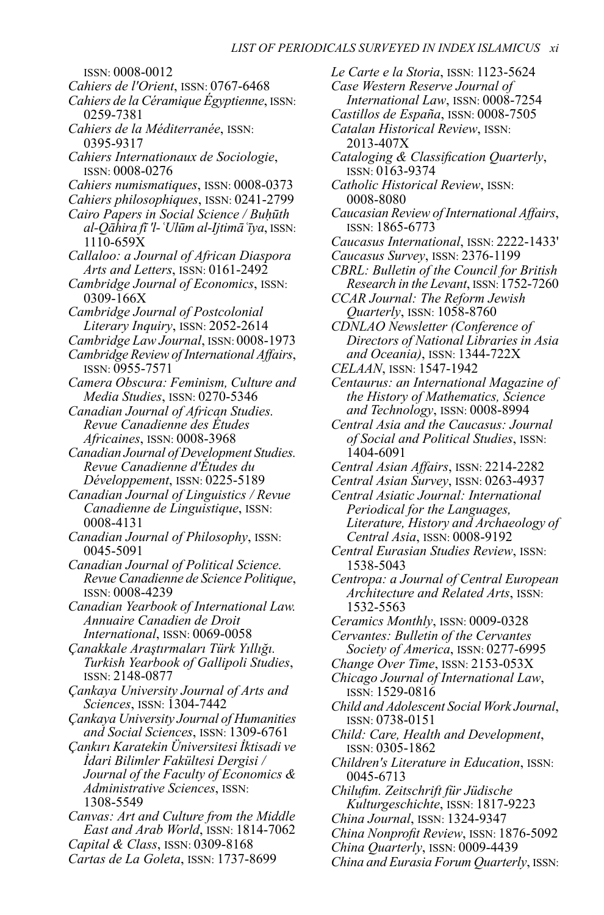ISSN: 0008-0012 *Cahiers de l'Orient*, ISSN: 0767-6468 *Cahiers de la Céramique Égyptienne*, ISSN: 0259-7381 *Cahiers de la Méditerranée*, ISSN: 0395-9317 *Cahiers Internationaux de Sociologie*, ISSN: 0008-0276 *Cahiers numismatiques*, ISSN: 0008-0373 *Cahiers philosophiques*, ISSN: 0241-2799 *Cairo Papers in Social Science / Buḥūth al-Qāhira fī 'l-ʿUlūm al-Ijtimāʿīya*, ISSN: 1110-659X *Callaloo: a Journal of African Diaspora Arts and Letters*, ISSN: 0161-2492 *Cambridge Journal of Economics*, ISSN: 0309-166X *Cambridge Journal of Postcolonial Literary Inquiry*, ISSN: 2052-2614 *CambridgeLaw Journal*, ISSN: 0008-1973 *Cambridge Review of International Affairs*, ISSN: 0955-7571 *Camera Obscura: Feminism, Culture and Media Studies*, ISSN: 0270-5346 *Canadian Journal of African Studies. Revue Canadienne des Études Africaines*, ISSN: 0008-3968 *Canadian Journal of Development Studies. Revue Canadienne d'Études du Développement*, ISSN: 0225-5189 *Canadian Journal of Linguistics / Revue Canadienne de Linguistique*, ISSN: 0008-4131 *Canadian Journal of Philosophy*, ISSN: 0045-5091 *Canadian Journal of Political Science. Revue Canadienne de Science Politique*, ISSN: 0008-4239 *Canadian Yearbook of International Law. Annuaire Canadien de Droit International*, ISSN: 0069-0058 *Çanakkale Araştırmaları Türk Yıllığı. Turkish Yearbook of Gallipoli Studies*, ISSN: 2148-0877 *Çankaya University Journal of Arts and Sciences*, ISSN: 1304-7442 *Çankaya University Journal of Humanities and Social Sciences*, ISSN: 1309-6761 *Çankırı Karatekin Üniversitesi İktisadi ve İdari Bilimler Fakültesi Dergisi / Journal of the Faculty of Economics & Administrative Sciences*, ISSN: 1308-5549 *Canvas: Art and Culture from the Middle East and Arab World*, ISSN: 1814-7062

*Capital & Class*, ISSN: 0309-8168

*Cartas de La Goleta*, ISSN: 1737-8699

*Le Carte e la Storia*, ISSN: 1123-5624 *Case Western Reserve Journal of International Law*, ISSN: 0008-7254 *Castillos de España*, ISSN: 0008-7505 *Catalan Historical Review*, ISSN: 2013-407X *Cataloging & Classification Quarterly*, ISSN: 0163-9374 *Catholic Historical Review*, ISSN: 0008-8080 *Caucasian Review of International Affairs*, ISSN: 1865-6773 *Caucasus International*, ISSN: 2222-1433' *Caucasus Survey*, ISSN: 2376-1199 *CBRL: Bulletin of the Council for British Research in theLevant*, ISSN: 1752-7260 *CCAR Journal: The Reform Jewish Quarterly*, ISSN: 1058-8760 *CDNLAO Newsletter (Conference of Directors of National Libraries in Asia and Oceania)*, ISSN: 1344-722X *CELAAN*, ISSN: 1547-1942 *Centaurus: an International Magazine of the History of Mathematics, Science and Technology*, ISSN: 0008-8994 *Central Asia and the Caucasus: Journal of Social and Political Studies*, ISSN: 1404-6091 *Central Asian Affairs*, ISSN: 2214-2282 *Central Asian Survey*, ISSN: 0263-4937 *Central Asiatic Journal: International Periodical for the Languages, Literature, History and Archaeology of Central Asia*, ISSN: 0008-9192 *Central Eurasian Studies Review*, ISSN: 1538-5043 *Centropa: a Journal of Central European Architecture and Related Arts*, ISSN: 1532-5563 *Ceramics Monthly*, ISSN: 0009-0328 *Cervantes: Bulletin of the Cervantes Society of America*, ISSN: 0277-6995 *Change Over Time*, ISSN: 2153-053X *Chicago Journal of International Law*, ISSN: 1529-0816 *Child and Adolescent Social Work Journal*, ISSN: 0738-0151 *Child: Care, Health and Development*, ISSN: 0305-1862 *Children's Literature in Education*, ISSN: 0045-6713 *Chilufim. Zeitschrift für Jüdische Kulturgeschichte*, ISSN: 1817-9223 *China Journal*, ISSN: 1324-9347 *China Nonprofit Review*, ISSN: 1876-5092 *China Quarterly*, ISSN: 0009-4439

*China and Eurasia Forum Quarterly*, ISSN: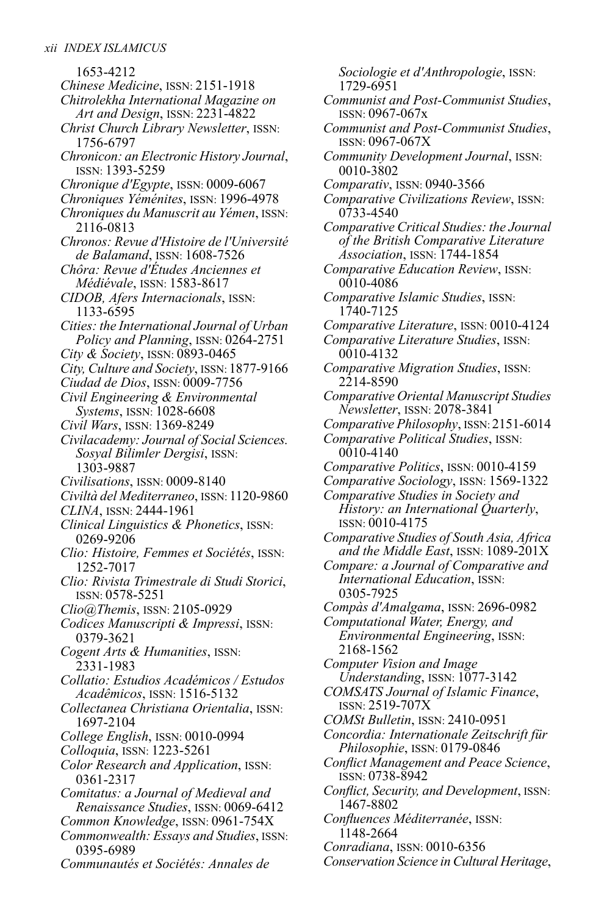1653-4212 *Chinese Medicine*, ISSN: 2151-1918 *Chitrolekha International Magazine on Art and Design*, ISSN: 2231-4822 *Christ Church Library Newsletter*, ISSN: 1756-6797 *Chronicon: an Electronic History Journal*, ISSN: 1393-5259 *Chronique d'Egypte*, ISSN: 0009-6067 *Chroniques Yéménites*, ISSN: 1996-4978 *Chroniques du Manuscrit auYémen*, ISSN: 2116-0813 *Chronos: Revue d'Histoire de l'Université de Balamand*, ISSN: 1608-7526 *Chôra: Revue d'Études Anciennes et Médiévale*, ISSN: 1583-8617 *CIDOB, Afers Internacionals*, ISSN: 1133-6595 *Cities: the International Journal of Urban Policy and Planning*, ISSN: 0264-2751 *City & Society*, ISSN: 0893-0465 *City, Culture and Society*, ISSN: 1877-9166 *Ciudad de Dios*, ISSN: 0009-7756 *Civil Engineering & Environmental Systems*, ISSN: 1028-6608 *Civil Wars*, ISSN: 1369-8249 *Civilacademy: Journal of Social Sciences. Sosyal Bilimler Dergisi*, ISSN: 1303-9887 *Civilisations*, ISSN: 0009-8140 *Civiltà del Mediterraneo*, ISSN: 1120-9860 *CLINA*, ISSN: 2444-1961 *Clinical Linguistics & Phonetics*, ISSN: 0269-9206 *Clio: Histoire, Femmes et Sociétés*, ISSN: 1252-7017 *Clio: Rivista Trimestrale di Studi Storici*, ISSN: 0578-5251 *Clio@Themis*, ISSN: 2105-0929 *Codices Manuscripti & Impressi*, ISSN: 0379-3621 *Cogent Arts & Humanities*, ISSN: 2331-1983 *Collatio: Estudios Académicos / Estudos Acadêmicos*, ISSN: 1516-5132 *Collectanea Christiana Orientalia*, ISSN: 1697-2104 *College English*, ISSN: 0010-0994 *Colloquia*, ISSN: 1223-5261 *Color Research and Application*, ISSN: 0361-2317 *Comitatus: a Journal of Medieval and Renaissance Studies*, ISSN: 0069-6412 *Common Knowledge*, ISSN: 0961-754X *Commonwealth: Essays and Studies*, ISSN: 0395-6989 *Communautés et Sociétés: Annales de*

*Sociologie et d'Anthropologie*, ISSN: 1729-6951 *Communist and Post-Communist Studies*, ISSN: 0967-067x *Communist and Post-Communist Studies*, ISSN: 0967-067X *Community Development Journal*, ISSN: 0010-3802 *Comparativ*, ISSN: 0940-3566 *Comparative Civilizations Review*, ISSN: 0733-4540 *Comparative Critical Studies: the Journal of the British Comparative Literature Association*, ISSN: 1744-1854 *Comparative Education Review*, ISSN: 0010-4086 *Comparative Islamic Studies*, ISSN: 1740-7125 *Comparative Literature*, ISSN: 0010-4124 *Comparative Literature Studies*, ISSN: 0010-4132 *Comparative Migration Studies*, ISSN: 2214-8590 *Comparative Oriental Manuscript Studies Newsletter*, ISSN: 2078-3841 *Comparative Philosophy*, ISSN: 2151-6014 *Comparative Political Studies*, ISSN: 0010-4140 *Comparative Politics*, ISSN: 0010-4159 *Comparative Sociology*, ISSN: 1569-1322 *Comparative Studies in Society and History: an International Quarterly*, ISSN: 0010-4175 *Comparative Studies of South Asia, Africa and the Middle East*, ISSN: 1089-201X *Compare: a Journal of Comparative and International Education*, ISSN: 0305-7925 *Compàs d'Amalgama*, ISSN: 2696-0982 *Computational Water, Energy, and Environmental Engineering*, ISSN: 2168-1562 *Computer Vision and Image Understanding*, ISSN: 1077-3142 *COMSATS Journal of Islamic Finance*, ISSN: 2519-707X *COMSt Bulletin*, ISSN: 2410-0951 *Concordia: Internationale Zeitschrift für Philosophie*, ISSN: 0179-0846 *Conflict Management and Peace Science*, ISSN: 0738-8942 *Conflict, Security, and Development*, ISSN: 1467-8802 *Confluences Méditerranée*, ISSN: 1148-2664 *Conradiana*, ISSN: 0010-6356 *Conservation Science in Cultural Heritage*,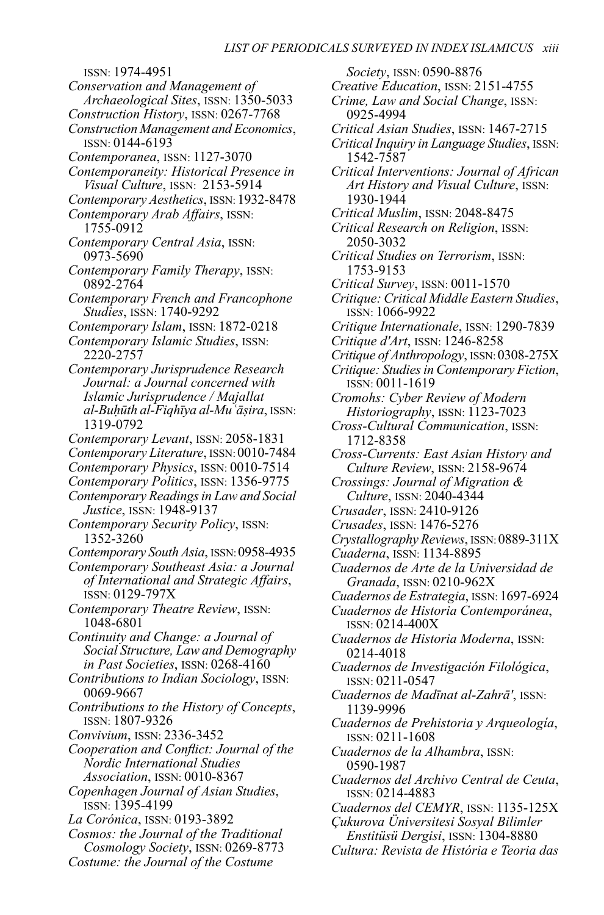ISSN: 1974-4951 *Conservation and Management of Archaeological Sites*, ISSN: 1350-5033 *Construction History*, ISSN: 0267-7768 *Construction Management and Economics*, ISSN: 0144-6193 *Contemporanea*, ISSN: 1127-3070 *Contemporaneity: Historical Presence in Visual Culture*, ISSN: 2153-5914 *Contemporary Aesthetics*, ISSN: 1932-8478 *Contemporary Arab Affairs*, ISSN: 1755-0912 *Contemporary Central Asia*, ISSN: 0973-5690 *Contemporary Family Therapy*, ISSN: 0892-2764 *Contemporary French and Francophone Studies*, ISSN: 1740-9292 *Contemporary Islam*, ISSN: 1872-0218 *Contemporary Islamic Studies*, ISSN: 2220-2757 *Contemporary Jurisprudence Research Journal: a Journal concerned with Islamic Jurisprudence / Majallat al-Buḥūth al-Fiqhīya al-Muʿāṣira*, ISSN: 1319-0792 *Contemporary Levant*, ISSN: 2058-1831 *ContemporaryLiterature*, ISSN: 0010-7484 *Contemporary Physics*, ISSN: 0010-7514 *Contemporary Politics*, ISSN: 1356-9775 *Contemporary ReadingsinLaw and Social Justice*, ISSN: 1948-9137 *Contemporary Security Policy*, ISSN: 1352-3260 *Contemporary South Asia*, ISSN:0958-4935 *Contemporary Southeast Asia: a Journal of International and Strategic Affairs*, ISSN: 0129-797X *Contemporary Theatre Review*, ISSN: 1048-6801 *Continuity and Change: a Journal of Social Structure,Law and Demography in Past Societies*, ISSN: 0268-4160 *Contributions to Indian Sociology*, ISSN: 0069-9667 *Contributions to the History of Concepts*, ISSN: 1807-9326 *Convivium*, ISSN: 2336-3452 *Cooperation and Conflict: Journal of the Nordic International Studies Association*, ISSN: 0010-8367 *Copenhagen Journal of Asian Studies*, ISSN: 1395-4199 *La Corónica*, ISSN: 0193-3892 *Cosmos: the Journal of the Traditional Cosmology Society*, ISSN: 0269-8773 *Costume: the Journal of the Costume*

*Society*, ISSN: 0590-8876 *Creative Education*, ISSN: 2151-4755 *Crime, Law and Social Change*, ISSN: 0925-4994 *Critical Asian Studies*, ISSN: 1467-2715 *Critical Inquiry inLanguage Studies*, ISSN: 1542-7587 *Critical Interventions: Journal of African Art History and Visual Culture*, ISSN: 1930-1944 *Critical Muslim*, ISSN: 2048-8475 *Critical Research on Religion*, ISSN: 2050-3032 *Critical Studies on Terrorism*, ISSN: 1753-9153 *Critical Survey*, ISSN: 0011-1570 *Critique: Critical Middle Eastern Studies*, ISSN: 1066-9922 *Critique Internationale*, ISSN: 1290-7839 *Critique d'Art*, ISSN: 1246-8258 *Critique of Anthropology*, ISSN:0308-275X *Critique: Studiesin Contemporary Fiction*, ISSN: 0011-1619 *Cromohs: Cyber Review of Modern Historiography*, ISSN: 1123-7023 *Cross-Cultural Communication*, ISSN: 1712-8358 *Cross-Currents: East Asian History and Culture Review*, ISSN: 2158-9674 *Crossings: Journal of Migration & Culture*, ISSN: 2040-4344 *Crusader*, ISSN: 2410-9126 *Crusades*, ISSN: 1476-5276 *Crystallography Reviews*, ISSN:0889-311X *Cuaderna*, ISSN: 1134-8895 *Cuadernos de Arte de la Universidad de Granada*, ISSN: 0210-962X *Cuadernos de Estrategia*, ISSN: 1697-6924 *Cuadernos de Historia Contemporánea*, ISSN: 0214-400X *Cuadernos de Historia Moderna*, ISSN: 0214-4018 *Cuadernos de Investigación Filológica*, ISSN: 0211-0547 *Cuadernos de Madīnat al-Zahrā'*, ISSN: 1139-9996 *Cuadernos de Prehistoria y Arqueología*, ISSN: 0211-1608 *Cuadernos de la Alhambra*, ISSN: 0590-1987 *Cuadernos del Archivo Central de Ceuta*, ISSN: 0214-4883 *Cuadernos del CEMYR*, ISSN: 1135-125X *Çukurova Üniversitesi Sosyal Bilimler Enstitüsü Dergisi*, ISSN: 1304-8880 *Cultura: Revista de História e Teoria das*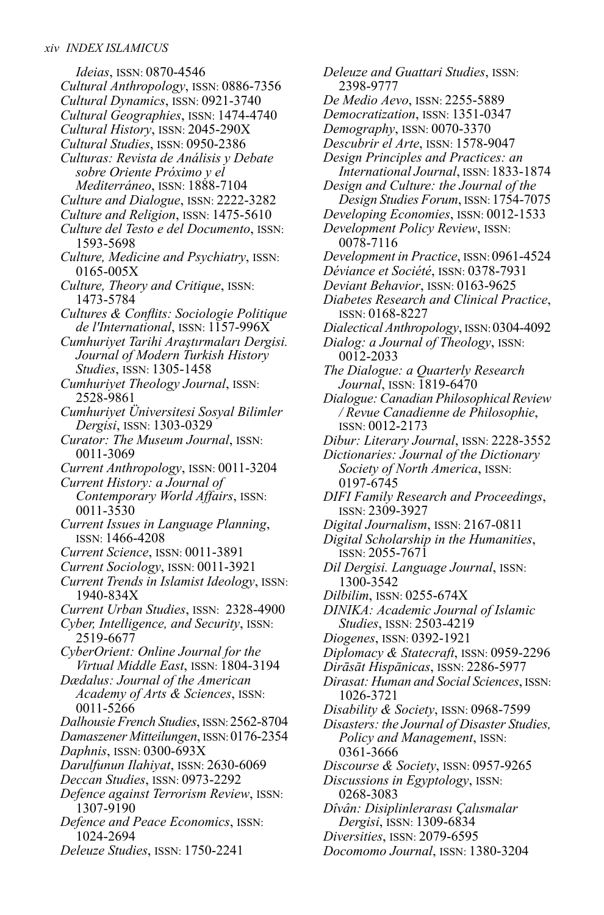*Ideias*, ISSN: 0870-4546 *Cultural Anthropology*, ISSN: 0886-7356 *Cultural Dynamics*, ISSN: 0921-3740 *Cultural Geographies*, ISSN: 1474-4740 *Cultural History*, ISSN: 2045-290X *Cultural Studies*, ISSN: 0950-2386 *Culturas: Revista de Análisis y Debate sobre Oriente Próximo y el Mediterráneo*, ISSN: 1888-7104 *Culture and Dialogue*, ISSN: 2222-3282 *Culture and Religion*, ISSN: 1475-5610 *Culture del Testo e del Documento*, ISSN: 1593-5698 *Culture, Medicine and Psychiatry*, ISSN: 0165-005X *Culture, Theory and Critique*, ISSN: 1473-5784 *Cultures & Conflits: Sociologie Politique de l'International*, ISSN: 1157-996X *Cumhuriyet Tarihi Araştırmaları Dergisi. Journal of Modern Turkish History Studies*, ISSN: 1305-1458 *Cumhuriyet Theology Journal*, ISSN: 2528-9861 *Cumhuriyet Üniversitesi Sosyal Bilimler Dergisi*, ISSN: 1303-0329 *Curator: The Museum Journal*, ISSN: 0011-3069 *Current Anthropology*, ISSN: 0011-3204 *Current History: a Journal of Contemporary World Affairs*, ISSN: 0011-3530 *Current Issues in Language Planning*, ISSN: 1466-4208 *Current Science*, ISSN: 0011-3891 *Current Sociology*, ISSN: 0011-3921 *Current Trends in Islamist Ideology*, ISSN: 1940-834X *Current Urban Studies*, ISSN: 2328-4900 *Cyber, Intelligence, and Security*, ISSN: 2519-6677 *CyberOrient: Online Journal for the Virtual Middle East*, ISSN: 1804-3194 *Dædalus: Journal of the American Academy of Arts & Sciences*, ISSN: 0011-5266 *Dalhousie French Studies*, ISSN:2562-8704 *Damaszener Mitteilungen*, ISSN:0176-2354 *Daphnis*, ISSN: 0300-693X *Darulfunun Ilahiyat*, ISSN: 2630-6069 *Deccan Studies*, ISSN: 0973-2292 *Defence against Terrorism Review*, ISSN: 1307-9190 *Defence and Peace Economics*, ISSN: 1024-2694 *Deleuze Studies*, ISSN: 1750-2241

*Deleuze and Guattari Studies*, ISSN: 2398-9777 *De Medio Aevo*, ISSN: 2255-5889 *Democratization*, ISSN: 1351-0347 *Demography*, ISSN: 0070-3370 *Descubrir el Arte*, ISSN: 1578-9047 *Design Principles and Practices: an International Journal*, ISSN: 1833-1874 *Design and Culture: the Journal of the Design Studies Forum*, ISSN: 1754-7075 *Developing Economies*, ISSN: 0012-1533 *Development Policy Review*, ISSN: 0078-7116 *Development in Practice*, ISSN: 0961-4524 *Déviance et Société*, ISSN: 0378-7931 *Deviant Behavior*, ISSN: 0163-9625 *Diabetes Research and Clinical Practice*, ISSN: 0168-8227 *Dialectical Anthropology*, ISSN: 0304-4092 *Dialog: a Journal of Theology*, ISSN: 0012-2033 *The Dialogue: a Quarterly Research Journal*, ISSN: 1819-6470 *Dialogue: Canadian Philosophical Review / Revue Canadienne de Philosophie*, ISSN: 0012-2173 *Dibur: Literary Journal*, ISSN: 2228-3552 *Dictionaries: Journal of the Dictionary Society of North America*, ISSN: 0197-6745 *DIFI Family Research and Proceedings*, ISSN: 2309-3927 *Digital Journalism*, ISSN: 2167-0811 *Digital Scholarship in the Humanities*, ISSN: 2055-7671 *Dil Dergisi. Language Journal*, ISSN: 1300-3542 *Dilbilim*, ISSN: 0255-674X *DINIKA: Academic Journal of Islamic Studies*, ISSN: 2503-4219 *Diogenes*, ISSN: 0392-1921 *Diplomacy & Statecraft*, ISSN: 0959-2296 *Dirāsāt Hispānicas*, ISSN: 2286-5977 *Dirasat: Human and Social Sciences*, ISSN: 1026-3721 *Disability & Society*, ISSN: 0968-7599 *Disasters: the Journal of Disaster Studies, Policy and Management*, ISSN: 0361-3666 *Discourse & Society*, ISSN: 0957-9265 *Discussions in Egyptology*, ISSN: 0268-3083 *Dîvân: Disiplinlerarası Çalısmalar Dergisi*, ISSN: 1309-6834 *Diversities*, ISSN: 2079-6595

*Docomomo Journal*, ISSN: 1380-3204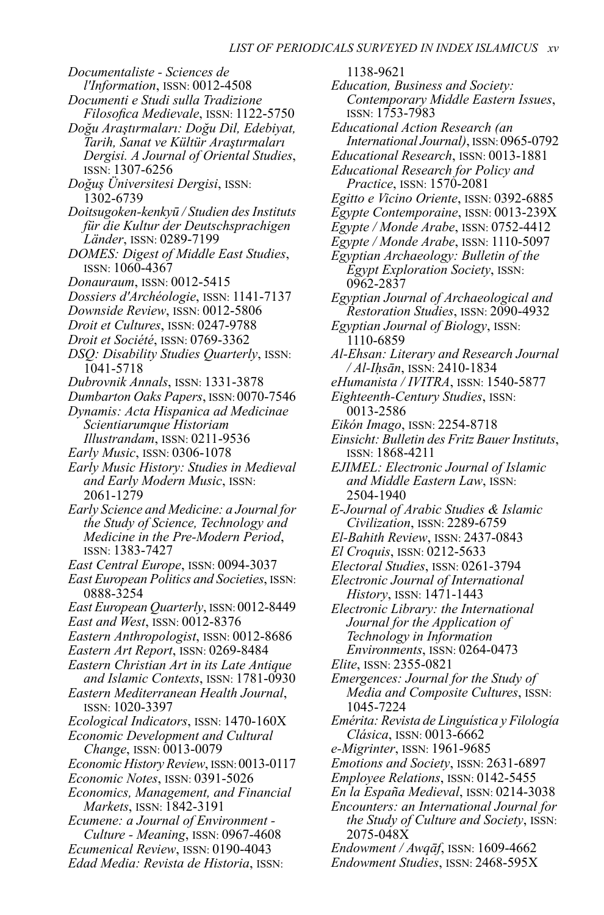*Documentaliste - Sciences de l'Information*, ISSN: 0012-4508

- *Documenti e Studi sulla Tradizione*
- *Filosofica Medievale*, ISSN: 1122-5750 *Doğu Araştırmaları: Doğu Dil, Edebiyat, Tarih, Sanat ve Kültür Araştırmaları Dergisi. A Journal of Oriental Studies*,
- ISSN: 1307-6256 *Doğuş Üniversitesi Dergisi*, ISSN:
	- 1302-6739
- *Doitsugoken-kenkyū / Studien desInstituts für die Kultur der Deutschsprachigen Länder*, ISSN: 0289-7199
- *DOMES: Digest of Middle East Studies*, ISSN: 1060-4367
- *Donauraum*, ISSN: 0012-5415
- *Dossiers d'Archéologie*, ISSN: 1141-7137
- *Downside Review*, ISSN: 0012-5806
- *Droit et Cultures*, ISSN: 0247-9788
- *Droit et Société*, ISSN: 0769-3362
- *DSQ: Disability Studies Quarterly*, ISSN: 1041-5718
- *Dubrovnik Annals*, ISSN: 1331-3878
- *Dumbarton Oaks Papers*, ISSN: 0070-7546
- *Dynamis: Acta Hispanica ad Medicinae Scientiarumque Historiam Illustrandam*, ISSN: 0211-9536
- *Early Music*, ISSN: 0306-1078
- *Early Music History: Studies in Medieval and Early Modern Music*, ISSN: 2061-1279
- *Early Science and Medicine: a Journal for the Study of Science, Technology and Medicine in the Pre-Modern Period*, ISSN: 1383-7427
- *East Central Europe*, ISSN: 0094-3037
- *East European Politics and Societies*, ISSN: 0888-3254
- *East European Quarterly*, ISSN: 0012-8449 *East and West*, ISSN: 0012-8376
- *Eastern Anthropologist*, ISSN: 0012-8686
- *Eastern Art Report*, ISSN: 0269-8484
- *Eastern Christian Art in its Late Antique and Islamic Contexts*, ISSN: 1781-0930
- *Eastern Mediterranean Health Journal*, ISSN: 1020-3397
- *Ecological Indicators*, ISSN: 1470-160X *Economic Development and Cultural*
- *Change*, ISSN: 0013-0079 *Economic History Review*, ISSN:0013-0117
- *Economic Notes*, ISSN: 0391-5026
- *Economics, Management, and Financial Markets*, ISSN: 1842-3191
- *Ecumene: a Journal of Environment - Culture - Meaning*, ISSN: 0967-4608 *Ecumenical Review*, ISSN: 0190-4043 *Edad Media: Revista de Historia*, ISSN:

1138-9621 *Education, Business and Society: Contemporary Middle Eastern Issues*, ISSN: 1753-7983 *Educational Action Research (an International Journal)*, ISSN: 0965-0792 *Educational Research*, ISSN: 0013-1881 *Educational Research for Policy and Practice*, ISSN: 1570-2081 *Egitto e Vicino Oriente*, ISSN: 0392-6885 *Egypte Contemporaine*, ISSN: 0013-239X *Egypte / Monde Arabe*, ISSN: 0752-4412 *Egypte / Monde Arabe*, ISSN: 1110-5097 *Egyptian Archaeology: Bulletin of the Egypt Exploration Society*, ISSN: 0962-2837 *Egyptian Journal of Archaeological and Restoration Studies*, ISSN: 2090-4932 *Egyptian Journal of Biology*, ISSN: 1110-6859 *Al-Ehsan: Literary and Research Journal / Al-Iḥsān*, ISSN: 2410-1834 *eHumanista / IVITRA*, ISSN: 1540-5877 *Eighteenth-Century Studies*, ISSN: 0013-2586 *Eikón Imago*, ISSN: 2254-8718 *Einsicht: Bulletin des Fritz BauerInstituts*, ISSN: 1868-4211 *EJIMEL: Electronic Journal of Islamic and Middle Eastern Law*, ISSN: 2504-1940 *E-Journal of Arabic Studies & Islamic Civilization*, ISSN: 2289-6759 *El-Bahith Review*, ISSN: 2437-0843 *El Croquis*, ISSN: 0212-5633 *Electoral Studies*, ISSN: 0261-3794 *Electronic Journal of International History*, ISSN: 1471-1443 *Electronic Library: the International Journal for the Application of Technology in Information Environments*, ISSN: 0264-0473 *Elite*, ISSN: 2355-0821 *Emergences: Journal for the Study of Media and Composite Cultures*, ISSN: 1045-7224 *Emérita: Revista deLinguística y Filología Clásica*, ISSN: 0013-6662 *e-Migrinter*, ISSN: 1961-9685 *Emotions and Society*, ISSN: 2631-6897 *Employee Relations*, ISSN: 0142-5455 *En la España Medieval*, ISSN: 0214-3038 *Encounters: an International Journal for*

- *the Study of Culture and Society*, ISSN: 2075-048X
- *Endowment / Awqāf*, ISSN: 1609-4662 *Endowment Studies*, ISSN: 2468-595X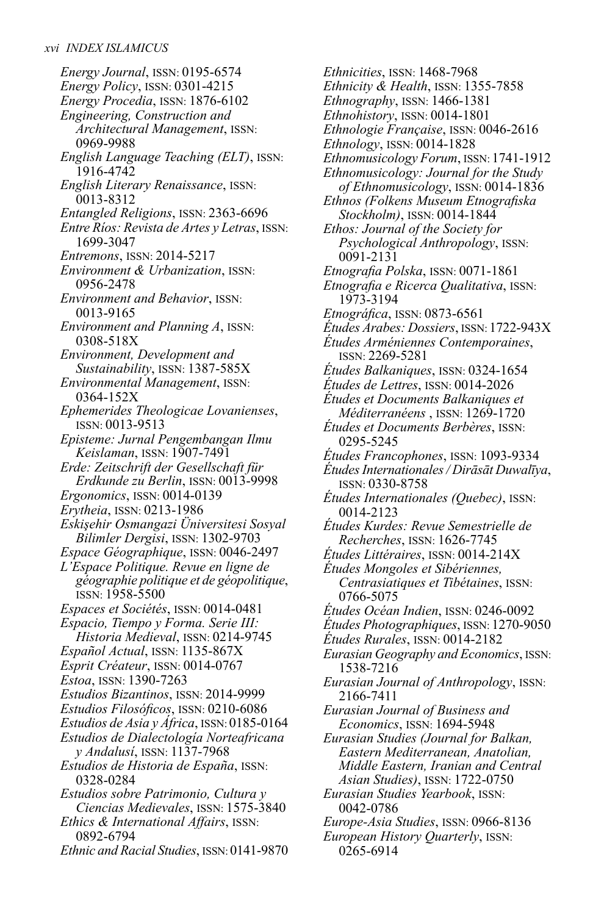*Energy Journal*, ISSN: 0195-6574 *Energy Policy*, ISSN: 0301-4215 *Energy Procedia*, ISSN: 1876-6102 *Engineering, Construction and Architectural Management*, ISSN: 0969-9988 *English Language Teaching (ELT)*, ISSN: 1916-4742 *English Literary Renaissance*, ISSN: 0013-8312 *Entangled Religions*, ISSN: 2363-6696 *Entre Ríos: Revista de Artes yLetras*, ISSN: 1699-3047 *Entremons*, ISSN: 2014-5217 *Environment & Urbanization*, ISSN: 0956-2478 *Environment and Behavior*, ISSN: 0013-9165 *Environment and Planning A*, ISSN: 0308-518X *Environment, Development and Sustainability*, ISSN: 1387-585X *Environmental Management*, ISSN: 0364-152X *Ephemerides Theologicae Lovanienses*, ISSN: 0013-9513 *Episteme: Jurnal Pengembangan Ilmu Keislaman*, ISSN: 1907-7491 *Erde: Zeitschrift der Gesellschaft für Erdkunde zu Berlin*, ISSN: 0013-9998 *Ergonomics*, ISSN: 0014-0139 *Erytheia*, ISSN: 0213-1986 *Eskişehir Osmangazi Üniversitesi Sosyal Bilimler Dergisi*, ISSN: 1302-9703 *Espace Géographique*, ISSN: 0046-2497 *L'Espace Politique. Revue en ligne de géographie politique et de géopolitique*, ISSN: 1958-5500 *Espaces et Sociétés*, ISSN: 0014-0481 *Espacio, Tiempo y Forma. Serie III: Historia Medieval*, ISSN: 0214-9745 *Español Actual*, ISSN: 1135-867X *Esprit Créateur*, ISSN: 0014-0767 *Estoa*, ISSN: 1390-7263 *Estudios Bizantinos*, ISSN: 2014-9999 *Estudios Filosóficos*, ISSN: 0210-6086 *Estudios de Asia y África*, ISSN: 0185-0164 *Estudios de Dialectología Norteafricana y Andalusí*, ISSN: 1137-7968 *Estudios de Historia de España*, ISSN: 0328-0284 *Estudios sobre Patrimonio, Cultura y Ciencias Medievales*, ISSN: 1575-3840 *Ethics & International Affairs*, ISSN: 0892-6794 *Ethnic and Racial Studies*, ISSN: 0141-9870

*Ethnicities*, ISSN: 1468-7968 *Ethnicity & Health*, ISSN: 1355-7858 *Ethnography*, ISSN: 1466-1381 *Ethnohistory*, ISSN: 0014-1801 *Ethnologie Française*, ISSN: 0046-2616 *Ethnology*, ISSN: 0014-1828 *Ethnomusicology Forum*, ISSN: 1741-1912 *Ethnomusicology: Journal for the Study of Ethnomusicology*, ISSN: 0014-1836 *Ethnos (Folkens Museum Etnografiska Stockholm)*, ISSN: 0014-1844 *Ethos: Journal of the Society for Psychological Anthropology*, ISSN: 0091-2131 *Etnografia Polska*, ISSN: 0071-1861 *Etnografia e Ricerca Qualitativa*, ISSN: 1973-3194 *Etnográfica*, ISSN: 0873-6561 *Études Arabes: Dossiers*, ISSN: 1722-943X *Études Arméniennes Contemporaines*, ISSN: 2269-5281 *Études Balkaniques*, ISSN: 0324-1654 *Études de Lettres*, ISSN: 0014-2026 *Études et Documents Balkaniques et Méditerranéens* , ISSN: 1269-1720 *Études et Documents Berbères*, ISSN: 0295-5245 *Études Francophones*, ISSN: 1093-9334 *ÉtudesInternationales/ Dirāsāt Duwalīya*, ISSN: 0330-8758 *Études Internationales (Quebec)*, ISSN: 0014-2123 *Études Kurdes: Revue Semestrielle de Recherches*, ISSN: 1626-7745 *Études Littéraires*, ISSN: 0014-214X *Études Mongoles et Sibériennes, Centrasiatiques et Tibétaines*, ISSN: 0766-5075 *Études Océan Indien*, ISSN: 0246-0092 *Études Photographiques*, ISSN: 1270-9050 *Études Rurales*, ISSN: 0014-2182 *Eurasian Geography and Economics*, ISSN: 1538-7216 *Eurasian Journal of Anthropology*, ISSN: 2166-7411 *Eurasian Journal of Business and Economics*, ISSN: 1694-5948 *Eurasian Studies (Journal for Balkan, Eastern Mediterranean, Anatolian, Middle Eastern, Iranian and Central Asian Studies)*, ISSN: 1722-0750 *Eurasian Studies Yearbook*, ISSN: 0042-0786 *Europe-Asia Studies*, ISSN: 0966-8136 *European History Quarterly*, ISSN:

0265-6914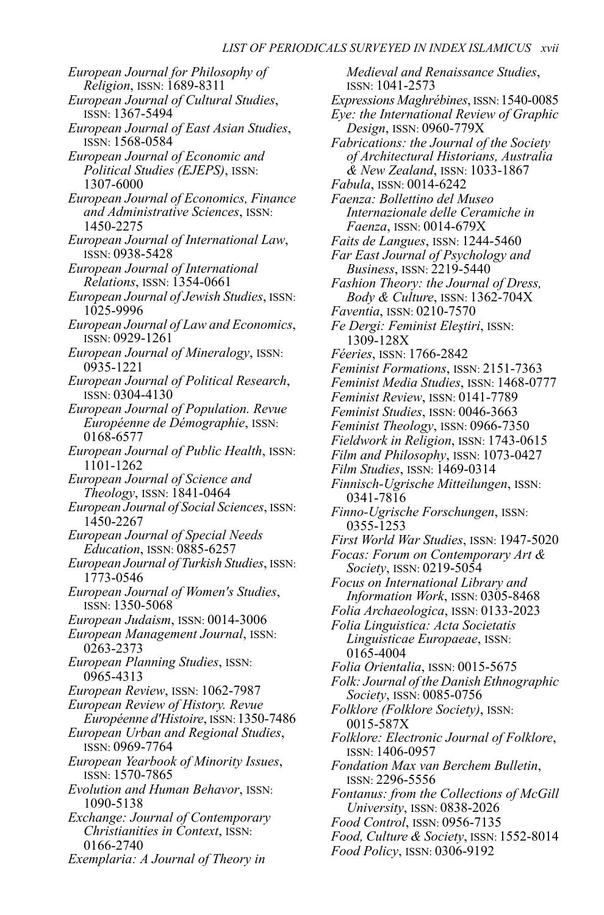*European Journal for Philosophy of Religion*, ISSN: 1689-8311 *European Journal of Cultural Studies*, ISSN: 1367-5494 *European Journal of East Asian Studies*, ISSN: 1568-0584 *European Journal of Economic and Political Studies (EJEPS)*, ISSN: 1307-6000 *European Journal of Economics, Finance and Administrative Sciences*, ISSN: 1450-2275 *European Journal of International Law*, ISSN: 0938-5428 *European Journal of International Relations*, ISSN: 1354-0661 *European Journal of Jewish Studies*, ISSN: 1025-9996 *European Journal ofLaw and Economics*, ISSN: 0929-1261 *European Journal of Mineralogy*, ISSN: 0935-1221 *European Journal of Political Research*, ISSN: 0304-4130 *European Journal of Population. Revue Européenne de Démographie*, ISSN: 0168-6577 *European Journal of Public Health*, ISSN: 1101-1262 *European Journal of Science and Theology*, ISSN: 1841-0464 *European Journal of Social Sciences*, ISSN: 1450-2267 *European Journal of Special Needs Education*, ISSN: 0885-6257 *European Journal ofTurkish Studies*, ISSN: 1773-0546 *European Journal of Women's Studies*, ISSN: 1350-5068 *European Judaism*, ISSN: 0014-3006 *European Management Journal*, ISSN: 0263-2373 *European Planning Studies*, ISSN: 0965-4313 *European Review*, ISSN: 1062-7987 *European Review of History. Revue Européenne d'Histoire*, ISSN: 1350-7486 *European Urban and Regional Studies*, ISSN: 0969-7764 *European Yearbook of Minority Issues*, ISSN: 1570-7865 *Evolution and Human Behavor*, ISSN: 1090-5138 *Exchange: Journal of Contemporary Christianities in Context*, ISSN: 0166-2740 *Exemplaria: A Journal of Theory in*

*Medieval and Renaissance Studies*, ISSN: 1041-2573 *Expressions Maghrébines*, ISSN:1540-0085 *Eye: the International Review of Graphic Design*, ISSN: 0960-779X *Fabrications: the Journal of the Society of Architectural Historians, Australia & New Zealand*, ISSN: 1033-1867 *Fabula*, ISSN: 0014-6242 *Faenza: Bollettino del Museo Internazionale delle Ceramiche in Faenza*, ISSN: 0014-679X *Faits de Langues*, ISSN: 1244-5460 *Far East Journal of Psychology and Business*, ISSN: 2219-5440 *Fashion Theory: the Journal of Dress, Body & Culture*, ISSN: 1362-704X *Faventia*, ISSN: 0210-7570 *Fe Dergi: Feminist Eleştiri*, ISSN: 1309-128X *Féeries*, ISSN: 1766-2842 *Feminist Formations*, ISSN: 2151-7363 *Feminist Media Studies*, ISSN: 1468-0777 *Feminist Review*, ISSN: 0141-7789 *Feminist Studies*, ISSN: 0046-3663 *Feminist Theology*, ISSN: 0966-7350 *Fieldwork in Religion*, ISSN: 1743-0615 *Film and Philosophy*, ISSN: 1073-0427 *Film Studies*, ISSN: 1469-0314 *Finnisch-Ugrische Mitteilungen*, ISSN: 0341-7816 *Finno-Ugrische Forschungen*, ISSN: 0355-1253 *First World War Studies*, ISSN: 1947-5020 *Focas: Forum on Contemporary Art & Society*, ISSN: 0219-5054 *Focus on International Library and Information Work*, ISSN: 0305-8468 *Folia Archaeologica*, ISSN: 0133-2023 *Folia Linguistica: Acta Societatis Linguisticae Europaeae*, ISSN: 0165-4004 *Folia Orientalia*, ISSN: 0015-5675 *Folk: Journal of the Danish Ethnographic Society*, ISSN: 0085-0756 *Folklore (Folklore Society)*, ISSN: 0015-587X *Folklore: Electronic Journal of Folklore*, ISSN: 1406-0957 *Fondation Max van Berchem Bulletin*, ISSN: 2296-5556 *Fontanus: from the Collections of McGill University*, ISSN: 0838-2026 *Food Control*, ISSN: 0956-7135 *Food, Culture & Society*, ISSN: 1552-8014 *Food Policy*, ISSN: 0306-9192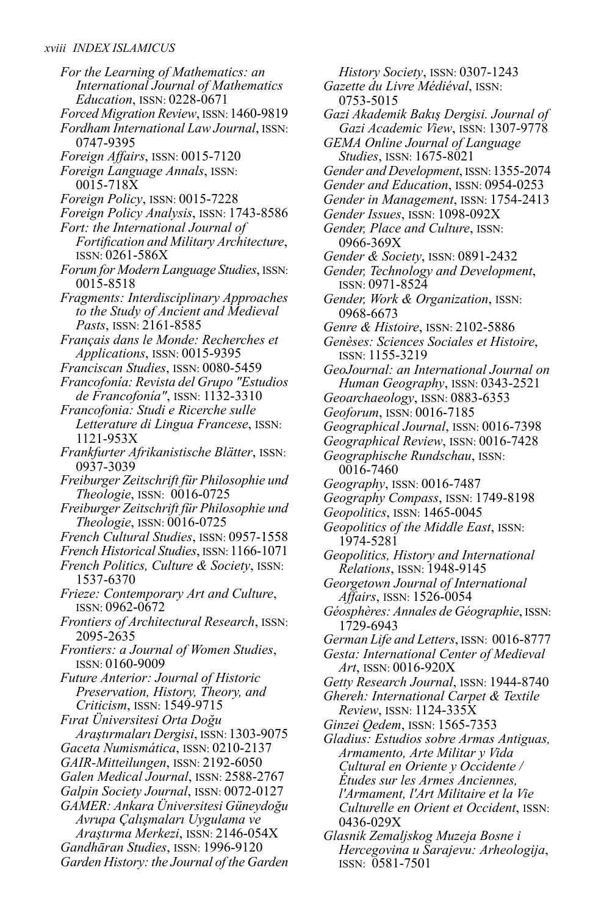*For the Learning of Mathematics: an International Journal of Mathematics Education*, ISSN: 0228-0671 *Forced Migration Review*, ISSN:1460-9819 *Fordham InternationalLaw Journal*, ISSN: 0747-9395 *Foreign Affairs*, ISSN: 0015-7120 *Foreign Language Annals*, ISSN: 0015-718X *Foreign Policy*, ISSN: 0015-7228 *Foreign Policy Analysis*, ISSN: 1743-8586 *Fort: the International Journal of Fortification and Military Architecture*, ISSN: 0261-586X *Forum for ModernLanguage Studies*, ISSN: 0015-8518 *Fragments: Interdisciplinary Approaches to the Study of Ancient and Medieval Pasts*, ISSN: 2161-8585 *Français dans le Monde: Recherches et Applications*, ISSN: 0015-9395 *Franciscan Studies*, ISSN: 0080-5459 *Francofonía: Revista del Grupo "Estudios de Francofonía"*, ISSN: 1132-3310 *Francofonia: Studi e Ricerche sulle Letterature di Lingua Francese*, ISSN: 1121-953X *Frankfurter Afrikanistische Blätter*, ISSN: 0937-3039 *FreiburgerZeitschrift für Philosophie und Theologie*, ISSN: 0016-0725 *FreiburgerZeitschrift für Philosophie und Theologie*, ISSN: 0016-0725 *French Cultural Studies*, ISSN: 0957-1558 *French Historical Studies*, ISSN: 1166-1071 *French Politics, Culture & Society*, ISSN: 1537-6370 *Frieze: Contemporary Art and Culture*, ISSN: 0962-0672 *Frontiers of Architectural Research*, ISSN: 2095-2635 *Frontiers: a Journal of Women Studies*, ISSN: 0160-9009 *Future Anterior: Journal of Historic Preservation, History, Theory, and Criticism*, ISSN: 1549-9715 *Fırat Üniversitesi Orta Doğu Araştırmaları Dergisi*, ISSN: 1303-9075 *Gaceta Numismática*, ISSN: 0210-2137 *GAIR-Mitteilungen*, ISSN: 2192-6050 *Galen Medical Journal*, ISSN: 2588-2767 *Galpin Society Journal*, ISSN: 0072-0127 *GAMER: Ankara Üniversitesi Güneydoğu Avrupa Çalışmaları Uygulama ve Araştırma Merkezi*, ISSN: 2146-054X *Gandhāran Studies*, ISSN: 1996-9120 *Garden History: the Journal of the Garden*

*History Society*, ISSN: 0307-1243 *Gazette du Livre Médiéval*, ISSN: 0753-5015 *Gazi Akademik Bakış Dergisi. Journal of Gazi Academic View*, ISSN: 1307-9778 *GEMA Online Journal of Language Studies*, ISSN: 1675-8021 *Gender and Development*, ISSN:1355-2074 *Gender and Education*, ISSN: 0954-0253 *Gender in Management*, ISSN: 1754-2413 *Gender Issues*, ISSN: 1098-092X *Gender, Place and Culture*, ISSN: 0966-369X *Gender & Society*, ISSN: 0891-2432 *Gender, Technology and Development*, ISSN: 0971-8524 *Gender, Work & Organization*, ISSN: 0968-6673 *Genre & Histoire*, ISSN: 2102-5886 *Genèses: Sciences Sociales et Histoire*, ISSN: 1155-3219 *GeoJournal: an International Journal on Human Geography*, ISSN: 0343-2521 *Geoarchaeology*, ISSN: 0883-6353 *Geoforum*, ISSN: 0016-7185 *Geographical Journal*, ISSN: 0016-7398 *Geographical Review*, ISSN: 0016-7428 *Geographische Rundschau*, ISSN: 0016-7460 *Geography*, ISSN: 0016-7487 *Geography Compass*, ISSN: 1749-8198 *Geopolitics*, ISSN: 1465-0045 *Geopolitics of the Middle East*, ISSN: 1974-5281 *Geopolitics, History and International Relations*, ISSN: 1948-9145 *Georgetown Journal of International Affairs*, ISSN: 1526-0054 *Géosphères: Annales de Géographie*, ISSN: 1729-6943 *GermanLife andLetters*, ISSN: 0016-8777 *Gesta: International Center of Medieval Art*, ISSN: 0016-920X *Getty Research Journal*, ISSN: 1944-8740 *Ghereh: International Carpet & Textile Review*, ISSN: 1124-335X *Ginzei Qedem*, ISSN: 1565-7353 *Gladius: Estudios sobre Armas Antiguas, Armamento, Arte Militar y Vida Cultural en Oriente y Occidente / Études sur les Armes Anciennes, l'Armament, l'Art Militaire et la Vie Culturelle en Orient et Occident*, ISSN: 0436-029X *Glasnik Zemaljskog Muzeja Bosne i Hercegovina u Sarajevu: Arheologija*,

ISSN: 0581-7501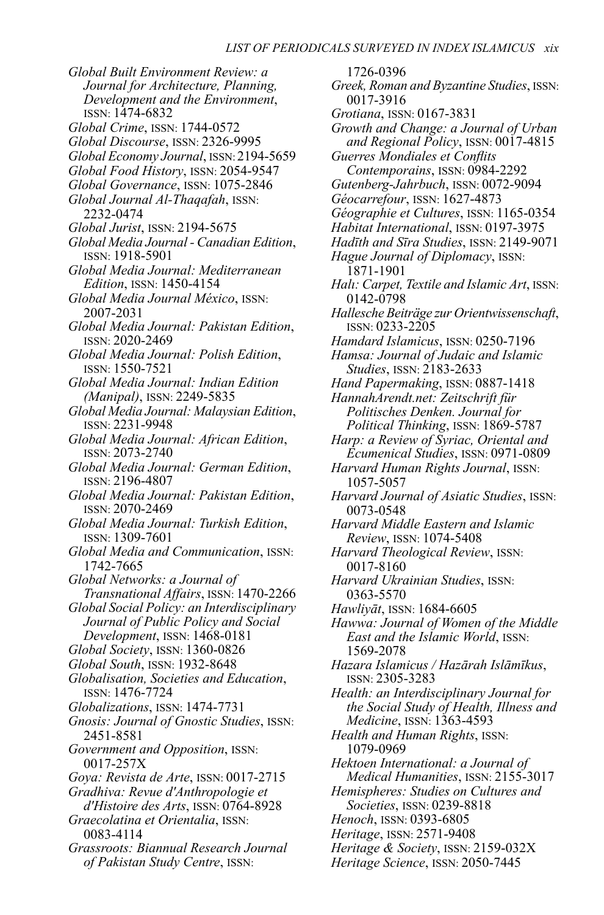*Global Built Environment Review: a Journal for Architecture, Planning, Development and the Environment*, ISSN: 1474-6832 *Global Crime*, ISSN: 1744-0572 *Global Discourse*, ISSN: 2326-9995 *Global Economy Journal*, ISSN: 2194-5659 *Global Food History*, ISSN: 2054-9547 *Global Governance*, ISSN: 1075-2846 *Global Journal Al-Thaqafah*, ISSN: 2232-0474 *Global Jurist*, ISSN: 2194-5675 *Global Media Journal - Canadian Edition*, ISSN: 1918-5901 *Global Media Journal: Mediterranean Edition*, ISSN: 1450-4154 *Global Media Journal México*, ISSN: 2007-2031 *Global Media Journal: Pakistan Edition*, ISSN: 2020-2469 *Global Media Journal: Polish Edition*, ISSN: 1550-7521 *Global Media Journal: Indian Edition (Manipal)*, ISSN: 2249-5835 *Global Media Journal: Malaysian Edition*, ISSN: 2231-9948 *Global Media Journal: African Edition*, ISSN: 2073-2740 *Global Media Journal: German Edition*, ISSN: 2196-4807 *Global Media Journal: Pakistan Edition*, ISSN: 2070-2469 *Global Media Journal: Turkish Edition*, ISSN: 1309-7601 *Global Media and Communication*, ISSN: 1742-7665 *Global Networks: a Journal of Transnational Affairs*, ISSN: 1470-2266 *Global Social Policy: an Interdisciplinary Journal of Public Policy and Social Development*, ISSN: 1468-0181 *Global Society*, ISSN: 1360-0826 *Global South*, ISSN: 1932-8648 *Globalisation, Societies and Education*, ISSN: 1476-7724 *Globalizations*, ISSN: 1474-7731 *Gnosis: Journal of Gnostic Studies*, ISSN: 2451-8581 *Government and Opposition*, ISSN: 0017-257X *Goya: Revista de Arte*, ISSN: 0017-2715 *Gradhiva: Revue d'Anthropologie et d'Histoire des Arts*, ISSN: 0764-8928 *Graecolatina et Orientalia*, ISSN: 0083-4114 *Grassroots: Biannual Research Journal of Pakistan Study Centre*, ISSN:

1726-0396 *Greek, Roman and Byzantine Studies*, ISSN: 0017-3916 *Grotiana*, ISSN: 0167-3831 *Growth and Change: a Journal of Urban and Regional Policy*, ISSN: 0017-4815 *Guerres Mondiales et Conflits Contemporains*, ISSN: 0984-2292 *Gutenberg-Jahrbuch*, ISSN: 0072-9094 *Géocarrefour*, ISSN: 1627-4873 *Géographie et Cultures*, ISSN: 1165-0354 *Habitat International*, ISSN: 0197-3975 *Hadīth and Sīra Studies*, ISSN: 2149-9071 *Hague Journal of Diplomacy*, ISSN: 1871-1901 *Halı: Carpet,Textile and Islamic Art*, ISSN: 0142-0798 *Hallesche Beiträge zur Orientwissenschaft*, ISSN: 0233-2205 *Hamdard Islamicus*, ISSN: 0250-7196 *Hamsa: Journal of Judaic and Islamic Studies*, ISSN: 2183-2633 *Hand Papermaking*, ISSN: 0887-1418 *HannahArendt.net: Zeitschrift für Politisches Denken. Journal for Political Thinking*, ISSN: 1869-5787 *Harp: a Review of Syriac, Oriental and Ecumenical Studies*, ISSN: 0971-0809 *Harvard Human Rights Journal*, ISSN: 1057-5057 *Harvard Journal of Asiatic Studies*, ISSN: 0073-0548 *Harvard Middle Eastern and Islamic Review*, ISSN: 1074-5408 *Harvard Theological Review*, ISSN: 0017-8160 *Harvard Ukrainian Studies*, ISSN: 0363-5570 *Hawliyāt*, ISSN: 1684-6605 *Hawwa: Journal of Women of the Middle East and the Islamic World*, ISSN: 1569-2078 *Hazara Islamicus / Hazārah Islāmīkus*, ISSN: 2305-3283 *Health: an Interdisciplinary Journal for the Social Study of Health, Illness and Medicine*, ISSN: 1363-4593 *Health and Human Rights*, ISSN: 1079-0969 *Hektoen International: a Journal of Medical Humanities*, ISSN: 2155-3017 *Hemispheres: Studies on Cultures and Societies*, ISSN: 0239-8818 *Henoch*, ISSN: 0393-6805 *Heritage*, ISSN: 2571-9408 *Heritage & Society*, ISSN: 2159-032X *Heritage Science*, ISSN: 2050-7445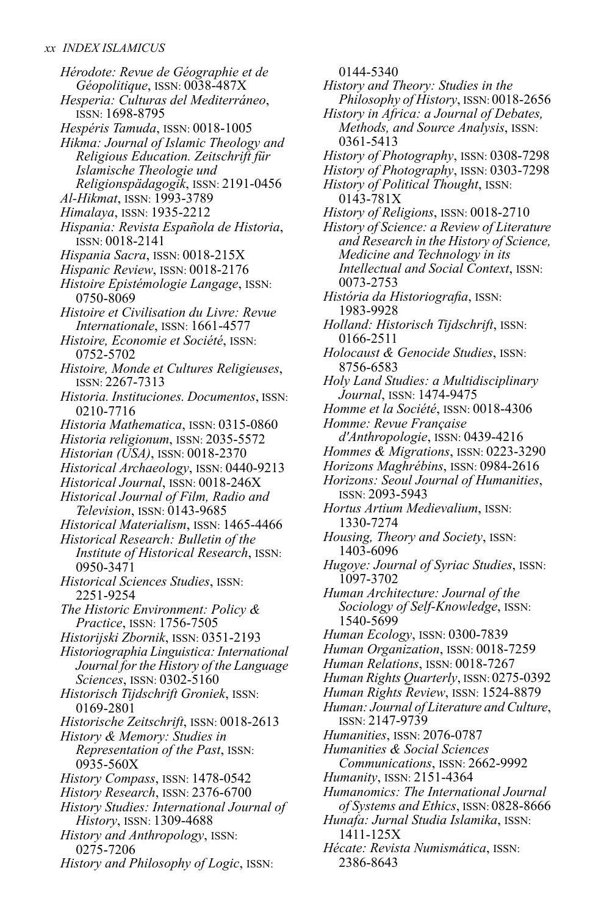*Hérodote: Revue de Géographie et de Géopolitique*, ISSN: 0038-487X *Hesperia: Culturas del Mediterráneo*, ISSN: 1698-8795 *Hespéris Tamuda*, ISSN: 0018-1005 *Hikma: Journal of Islamic Theology and Religious Education. Zeitschrift für Islamische Theologie und Religionspädagogik*, ISSN: 2191-0456 *Al-Hikmat*, ISSN: 1993-3789 *Himalaya*, ISSN: 1935-2212 *Hispania: Revista Española de Historia*, ISSN: 0018-2141 *Hispania Sacra*, ISSN: 0018-215X *Hispanic Review*, ISSN: 0018-2176 *Histoire Epistémologie Langage*, ISSN: 0750-8069 *Histoire et Civilisation du Livre: Revue Internationale*, ISSN: 1661-4577 *Histoire, Economie et Société*, ISSN: 0752-5702 *Histoire, Monde et Cultures Religieuses*, ISSN: 2267-7313 *Historia. Instituciones. Documentos*, ISSN: 0210-7716 *Historia Mathematica*, ISSN: 0315-0860 *Historia religionum*, ISSN: 2035-5572 *Historian (USA)*, ISSN: 0018-2370 *Historical Archaeology*, ISSN: 0440-9213 *Historical Journal*, ISSN: 0018-246X *Historical Journal of Film, Radio and Television*, ISSN: 0143-9685 *Historical Materialism*, ISSN: 1465-4466 *Historical Research: Bulletin of the Institute of Historical Research*, ISSN: 0950-3471 *Historical Sciences Studies*, ISSN: 2251-9254 *The Historic Environment: Policy & Practice*, ISSN: 1756-7505 *Historijski Zbornik*, ISSN: 0351-2193 *HistoriographiaLinguistica: International Journal forthe History of theLanguage Sciences*, ISSN: 0302-5160 *Historisch Tijdschrift Groniek*, ISSN: 0169-2801 *Historische Zeitschrift*, ISSN: 0018-2613 *History & Memory: Studies in Representation of the Past*, ISSN: 0935-560X *History Compass*, ISSN: 1478-0542 *History Research*, ISSN: 2376-6700 *History Studies: International Journal of History*, ISSN: 1309-4688 *History and Anthropology*, ISSN: 0275-7206 *History and Philosophy of Logic*, ISSN:

0144-5340 *History and Theory: Studies in the Philosophy of History*, ISSN: 0018-2656 *History in Africa: a Journal of Debates, Methods, and Source Analysis*, ISSN: 0361-5413 *History of Photography*, ISSN: 0308-7298 *History of Photography*, ISSN: 0303-7298 *History of Political Thought*, ISSN: 0143-781X *History of Religions*, ISSN: 0018-2710 *History of Science: a Review of Literature and Research in the History of Science, Medicine and Technology in its Intellectual and Social Context*, ISSN: 0073-2753 *História da Historiografia*, ISSN: 1983-9928 *Holland: Historisch Tijdschrift*, ISSN: 0166-2511 *Holocaust & Genocide Studies*, ISSN: 8756-6583 *Holy Land Studies: a Multidisciplinary Journal*, ISSN: 1474-9475 *Homme et la Société*, ISSN: 0018-4306 *Homme: Revue Française d'Anthropologie*, ISSN: 0439-4216 *Hommes & Migrations*, ISSN: 0223-3290 *Horizons Maghrébins*, ISSN: 0984-2616 *Horizons: Seoul Journal of Humanities*, ISSN: 2093-5943 *Hortus Artium Medievalium*, ISSN: 1330-7274 *Housing, Theory and Society*, ISSN: 1403-6096 *Hugoye: Journal of Syriac Studies*, ISSN: 1097-3702 *Human Architecture: Journal of the Sociology of Self-Knowledge*, ISSN: 1540-5699 *Human Ecology*, ISSN: 0300-7839 *Human Organization*, ISSN: 0018-7259 *Human Relations*, ISSN: 0018-7267 *Human Rights Quarterly*, ISSN: 0275-0392 *Human Rights Review*, ISSN: 1524-8879 *Human: Journal ofLiterature and Culture*, ISSN: 2147-9739 *Humanities*, ISSN: 2076-0787 *Humanities & Social Sciences Communications*, ISSN: 2662-9992 *Humanity*, ISSN: 2151-4364 *Humanomics: The International Journal of Systems and Ethics*, ISSN: 0828-8666 *Hunafa: Jurnal Studia Islamika*, ISSN: 1411-125X

*Hécate: Revista Numismática*, ISSN: 2386-8643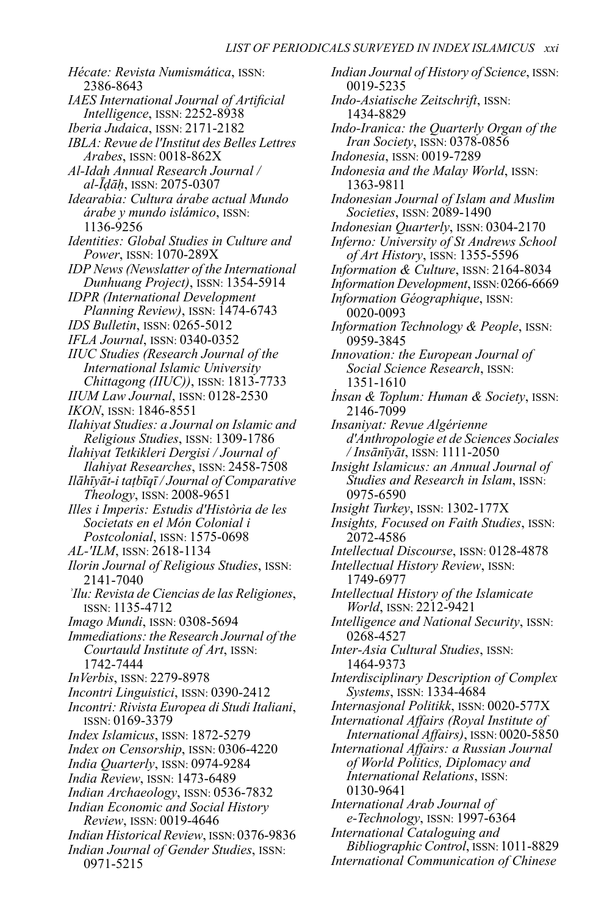*Hécate: Revista Numismática*, ISSN: 2386-8643 *IAES International Journal of Artificial Intelligence*, *ISSN*: 2252-8938 *Iberia Judaica*, ISSN: 2171-2182 *IBLA: Revue de l'Institut des BellesLettres Arabes*, ISSN: 0018-862X *Al-Idah Annual Research Journal / al-Īḍāḥ*, ISSN: 2075-0307 *Idearabia: Cultura árabe actual Mundo árabe y mundo islámico*, ISSN: 1136-9256 *Identities: Global Studies in Culture and Power*, ISSN: 1070-289X *IDP News(Newslatter of the International Dunhuang Project)*, ISSN: 1354-5914 *IDPR (International Development Planning Review)*, ISSN: 1474-6743 *IDS Bulletin*, ISSN: 0265-5012 *IFLA Journal*, ISSN: 0340-0352 *IIUC Studies (Research Journal of the International Islamic University Chittagong (IIUC))*, ISSN: 1813-7733 *IIUM Law Journal*, ISSN: 0128-2530 *IKON*, ISSN: 1846-8551 *Ilahiyat Studies: a Journal on Islamic and Religious Studies*, ISSN: 1309-1786 *İlahiyat Tetkikleri Dergisi / Journal of Ilahiyat Researches*, ISSN: 2458-7508 *Ilāhīyāt-i taṭbīqī / Journal of Comparative Theology*, ISSN: 2008-9651 *Illes i Imperis: Estudis d'Història de les Societats en el Món Colonial i Postcolonial*, ISSN: 1575-0698 *AL-'ILM*, ISSN: 2618-1134 *Ilorin Journal of Religious Studies*, ISSN: 2141-7040 *ʾIlu: Revista de Ciencias de las Religiones*, ISSN: 1135-4712 *Imago Mundi*, ISSN: 0308-5694 *Immediations: the Research Journal of the Courtauld Institute of Art*, ISSN: 1742-7444 *InVerbis*, ISSN: 2279-8978 *Incontri Linguistici*, ISSN: 0390-2412 *Incontri: Rivista Europea di Studi Italiani*, ISSN: 0169-3379 *Index Islamicus*, ISSN: 1872-5279 *Index on Censorship*, ISSN: 0306-4220 *India Quarterly*, ISSN: 0974-9284 *India Review*, ISSN: 1473-6489 *Indian Archaeology*, ISSN: 0536-7832 *Indian Economic and Social History Review*, ISSN: 0019-4646 *Indian Historical Review*, ISSN: 0376-9836 *Indian Journal of Gender Studies*, ISSN: 0971-5215

*Indian Journal of History of Science*, ISSN: 0019-5235 *Indo-Asiatische Zeitschrift*, ISSN: 1434-8829 *Indo-Iranica: the Quarterly Organ of the Iran Society*, ISSN: 0378-0856 *Indonesia*, ISSN: 0019-7289 *Indonesia and the Malay World*, ISSN: 1363-9811 *Indonesian Journal of Islam and Muslim Societies*, ISSN: 2089-1490 *Indonesian Quarterly*, ISSN: 0304-2170 *Inferno: University of St Andrews School of Art History*, ISSN: 1355-5596 *Information & Culture*, ISSN: 2164-8034 *Information Development*, ISSN:0266-6669 *Information Géographique*, ISSN: 0020-0093 *Information Technology & People*, ISSN: 0959-3845 *Innovation: the European Journal of Social Science Research*, ISSN: 1351-1610 *İnsan & Toplum: Human & Society*, ISSN: 2146-7099 *Insaniyat: Revue Algérienne d'Anthropologie et de Sciences Sociales / Insānīyāt*, ISSN: 1111-2050 *Insight Islamicus: an Annual Journal of Studies and Research in Islam*, ISSN: 0975-6590 *Insight Turkey*, ISSN: 1302-177X *Insights, Focused on Faith Studies*, ISSN: 2072-4586 *Intellectual Discourse*, ISSN: 0128-4878 *Intellectual History Review*, ISSN: 1749-6977 *Intellectual History of the Islamicate World*, ISSN: 2212-9421 *Intelligence and National Security*, ISSN: 0268-4527 *Inter-Asia Cultural Studies*, ISSN: 1464-9373 *Interdisciplinary Description of Complex Systems*, ISSN: 1334-4684 *Internasjonal Politikk*, ISSN: 0020-577X *International Affairs (Royal Institute of International Affairs)*, ISSN: 0020-5850 *International Affairs: a Russian Journal of World Politics, Diplomacy and International Relations*, ISSN: 0130-9641 *International Arab Journal of e-Technology*, ISSN: 1997-6364 *International Cataloguing and Bibliographic Control*, ISSN: 1011-8829 *International Communication of Chinese*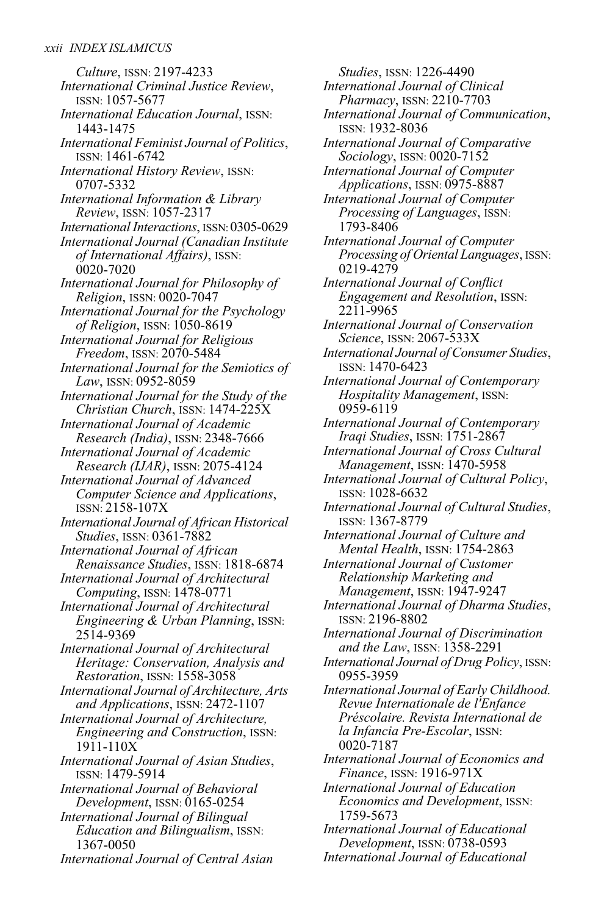*Culture*, ISSN: 2197-4233 *International Criminal Justice Review*, ISSN: 1057-5677 *International Education Journal*, ISSN: 1443-1475 *International Feminist Journal of Politics*, ISSN: 1461-6742 *International History Review*, ISSN: 0707-5332 *International Information & Library Review*, ISSN: 1057-2317 *International Interactions*, ISSN:0305-0629 *International Journal (Canadian Institute of International Affairs)*, ISSN: 0020-7020 *International Journal for Philosophy of Religion*, ISSN: 0020-7047 *International Journal for the Psychology of Religion*, ISSN: 1050-8619 *International Journal for Religious Freedom*, ISSN: 2070-5484 *International Journal for the Semiotics of Law*, ISSN: 0952-8059 *International Journal for the Study of the Christian Church*, ISSN: 1474-225X *International Journal of Academic Research (India)*, ISSN: 2348-7666 *International Journal of Academic Research (IJAR)*, ISSN: 2075-4124 *International Journal of Advanced Computer Science and Applications*, ISSN: 2158-107X *International Journal of African Historical Studies*, ISSN: 0361-7882 *International Journal of African Renaissance Studies*, ISSN: 1818-6874 *International Journal of Architectural Computing*, ISSN: 1478-0771 *International Journal of Architectural Engineering & Urban Planning*, ISSN: 2514-9369 *International Journal of Architectural Heritage: Conservation, Analysis and Restoration*, ISSN: 1558-3058 *International Journal of Architecture, Arts and Applications*, ISSN: 2472-1107 *International Journal of Architecture, Engineering and Construction*, ISSN: 1911-110X *International Journal of Asian Studies*, ISSN: 1479-5914 *International Journal of Behavioral Development*, ISSN: 0165-0254 *International Journal of Bilingual Education and Bilingualism*, ISSN: 1367-0050

*International Journal of Central Asian*

*Studies*, ISSN: 1226-4490 *International Journal of Clinical Pharmacy*, ISSN: 2210-7703 *International Journal of Communication*, ISSN: 1932-8036 *International Journal of Comparative Sociology*, ISSN: 0020-7152 *International Journal of Computer Applications*, ISSN: 0975-8887 *International Journal of Computer Processing of Languages*, ISSN: 1793-8406 *International Journal of Computer Processing of OrientalLanguages*, ISSN: 0219-4279 *International Journal of Conflict Engagement and Resolution*, ISSN: 2211-9965 *International Journal of Conservation Science*, ISSN: 2067-533X *International Journal of Consumer Studies*, ISSN: 1470-6423 *International Journal of Contemporary Hospitality Management*, ISSN: 0959-6119 *International Journal of Contemporary Iraqi Studies*, ISSN: 1751-2867 *International Journal of Cross Cultural Management*, ISSN: 1470-5958 *International Journal of Cultural Policy*, ISSN: 1028-6632 *International Journal of Cultural Studies*, ISSN: 1367-8779 *International Journal of Culture and Mental Health*, ISSN: 1754-2863 *International Journal of Customer Relationship Marketing and Management*, ISSN: 1947-9247 *International Journal of Dharma Studies*, ISSN: 2196-8802 *International Journal of Discrimination and the Law*, ISSN: 1358-2291 *International Journal of Drug Policy*, ISSN: 0955-3959 *International Journal of Early Childhood. Revue Internationale de l'Enfance Préscolaire. Revista International de la Infancia Pre-Escolar*, ISSN: 0020-7187 *International Journal of Economics and Finance*, ISSN: 1916-971X *International Journal of Education Economics and Development*, ISSN: 1759-5673 *International Journal of Educational*

*Development*, ISSN: 0738-0593 *International Journal of Educational*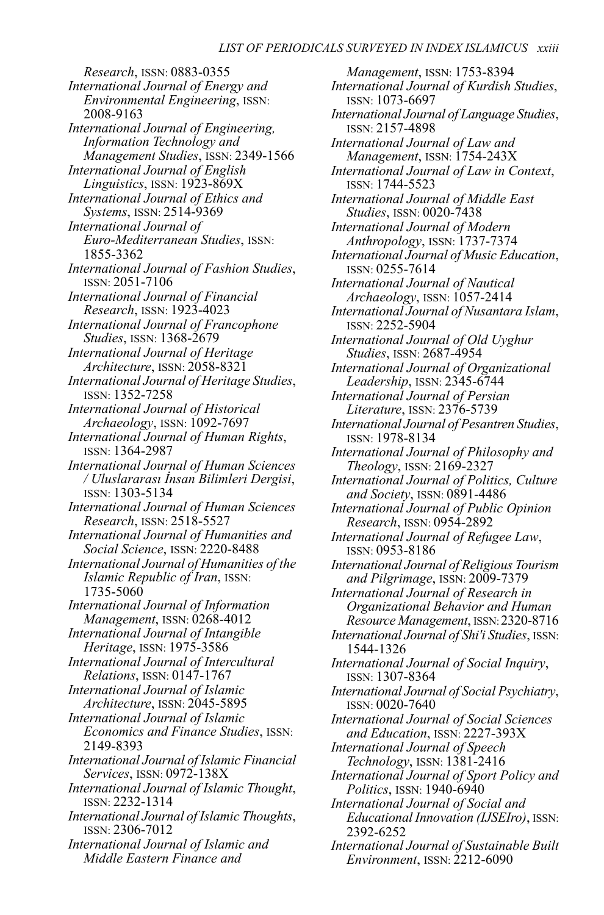*Research*, ISSN: 0883-0355 *International Journal of Energy and Environmental Engineering*, ISSN: 2008-9163 *International Journal of Engineering, Information Technology and Management Studies*, ISSN: 2349-1566 *International Journal of English Linguistics*, ISSN: 1923-869X *International Journal of Ethics and Systems*, ISSN: 2514-9369 *International Journal of Euro-Mediterranean Studies*, ISSN: 1855-3362 *International Journal of Fashion Studies*, ISSN: 2051-7106 *International Journal of Financial Research*, ISSN: 1923-4023 *International Journal of Francophone Studies*, ISSN: 1368-2679 *International Journal of Heritage Architecture*, ISSN: 2058-8321 *International Journal of Heritage Studies*, ISSN: 1352-7258 *International Journal of Historical Archaeology*, ISSN: 1092-7697 *International Journal of Human Rights*, ISSN: 1364-2987 *International Journal of Human Sciences / Uluslararası İnsan Bilimleri Dergisi*, ISSN: 1303-5134 *International Journal of Human Sciences Research*, ISSN: 2518-5527 *International Journal of Humanities and Social Science*, ISSN: 2220-8488 *International Journal of Humanities of the Islamic Republic of Iran*, ISSN: 1735-5060 *International Journal of Information Management*, ISSN: 0268-4012 *International Journal of Intangible Heritage*, ISSN: 1975-3586 *International Journal of Intercultural Relations*, ISSN: 0147-1767 *International Journal of Islamic Architecture*, ISSN: 2045-5895 *International Journal of Islamic Economics and Finance Studies*, ISSN: 2149-8393 *International Journal of Islamic Financial Services*, ISSN: 0972-138X *International Journal of Islamic Thought*, ISSN: 2232-1314 *International Journal of IslamicThoughts*, ISSN: 2306-7012 *International Journal of Islamic and Middle Eastern Finance and*

*Management*, ISSN: 1753-8394 *International Journal of Kurdish Studies*, ISSN: 1073-6697 *International Journal ofLanguage Studies*, ISSN: 2157-4898 *International Journal of Law and Management*, ISSN: 1754-243X *International Journal of Law in Context*, ISSN: 1744-5523 *International Journal of Middle East Studies*, ISSN: 0020-7438 *International Journal of Modern Anthropology*, ISSN: 1737-7374 *International Journal of Music Education*, ISSN: 0255-7614 *International Journal of Nautical Archaeology*, ISSN: 1057-2414 *International Journal of Nusantara Islam*, ISSN: 2252-5904 *International Journal of Old Uyghur Studies*, ISSN: 2687-4954 *International Journal of Organizational Leadership*, ISSN: 2345-6744 *International Journal of Persian Literature*, ISSN: 2376-5739 *International Journal of Pesantren Studies*, ISSN: 1978-8134 *International Journal of Philosophy and Theology*, ISSN: 2169-2327 *International Journal of Politics, Culture and Society*, ISSN: 0891-4486 *International Journal of Public Opinion Research*, ISSN: 0954-2892 *International Journal of Refugee Law*, ISSN: 0953-8186 *International Journal of ReligiousTourism and Pilgrimage*, ISSN: 2009-7379 *International Journal of Research in Organizational Behavior and Human Resource Management*, ISSN:2320-8716 *International Journal of Shi'i Studies*, ISSN: 1544-1326 *International Journal of Social Inquiry*, ISSN: 1307-8364 *International Journal of Social Psychiatry*, ISSN: 0020-7640 *International Journal of Social Sciences and Education*, ISSN: 2227-393X *International Journal of Speech Technology*, ISSN: 1381-2416 *International Journal of Sport Policy and Politics*, ISSN: 1940-6940 *International Journal of Social and Educational Innovation (IJSEIro)*, ISSN: 2392-6252 *International Journal of Sustainable Built Environment*, ISSN: 2212-6090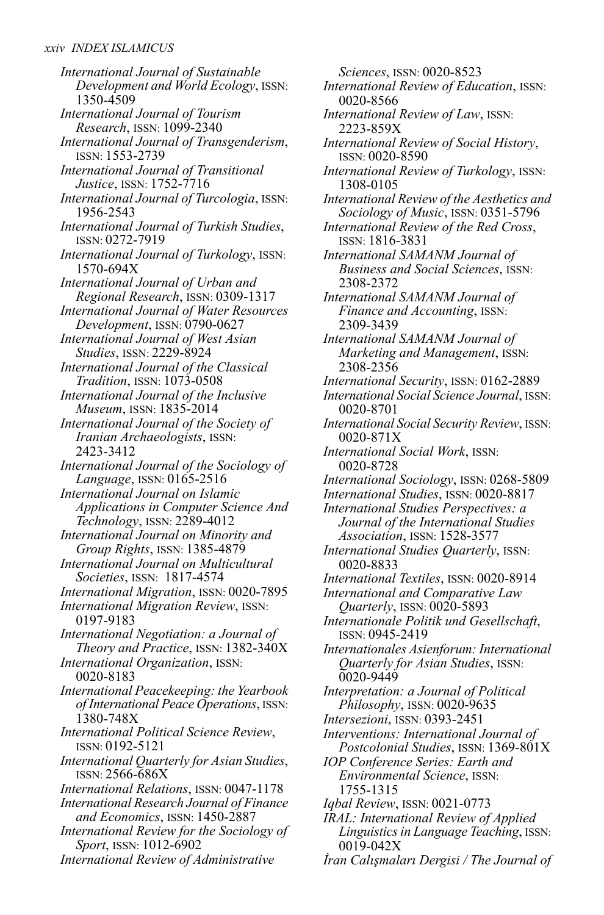*International Journal of Sustainable Development and World Ecology*, ISSN: 1350-4509 *International Journal of Tourism Research*, ISSN: 1099-2340 *International Journal of Transgenderism*, ISSN: 1553-2739 *International Journal of Transitional Justice*, ISSN: 1752-7716 *International Journal of Turcologia*, ISSN: 1956-2543 *International Journal of Turkish Studies*, ISSN: 0272-7919 *International Journal of Turkology*, ISSN: 1570-694X *International Journal of Urban and Regional Research*, ISSN: 0309-1317 *International Journal of Water Resources Development*, ISSN: 0790-0627 *International Journal of West Asian Studies*, ISSN: 2229-8924 *International Journal of the Classical Tradition*, ISSN: 1073-0508 *International Journal of the Inclusive Museum*, ISSN: 1835-2014 *International Journal of the Society of Iranian Archaeologists*, ISSN: 2423-3412 *International Journal of the Sociology of Language*, ISSN: 0165-2516 *International Journal on Islamic Applications in Computer Science And Technology*, ISSN: 2289-4012 *International Journal on Minority and Group Rights*, ISSN: 1385-4879 *International Journal on Multicultural Societies*, ISSN: 1817-4574 *International Migration*, ISSN: 0020-7895 *International Migration Review*, ISSN: 0197-9183 *International Negotiation: a Journal of Theory and Practice*, ISSN: 1382-340X *International Organization*, ISSN: 0020-8183 *International Peacekeeping: the Yearbook of International Peace Operations*, ISSN: 1380-748X *International Political Science Review*, ISSN: 0192-5121 *International Quarterly for Asian Studies*, ISSN: 2566-686X *International Relations*, ISSN: 0047-1178 *International Research Journal of Finance and Economics*, ISSN: 1450-2887 *International Review for the Sociology of Sport*, ISSN: 1012-6902

*International Review of Administrative*

*Sciences*, ISSN: 0020-8523 *International Review of Education*, ISSN: 0020-8566 *International Review of Law*, ISSN: 2223-859X *International Review of Social History*, ISSN: 0020-8590 *International Review of Turkology*, ISSN: 1308-0105 *International Review of the Aesthetics and Sociology of Music*, ISSN: 0351-5796 *International Review of the Red Cross*, ISSN: 1816-3831 *International SAMANM Journal of Business and Social Sciences*, ISSN: 2308-2372 *International SAMANM Journal of Finance and Accounting*, ISSN: 2309-3439 *International SAMANM Journal of Marketing and Management*, ISSN: 2308-2356 *International Security*, ISSN: 0162-2889 *International Social Science Journal*, ISSN: 0020-8701 *International Social Security Review*, ISSN: 0020-871X *International Social Work*, ISSN: 0020-8728 *International Sociology*, ISSN: 0268-5809 *International Studies*, ISSN: 0020-8817 *International Studies Perspectives: a Journal of the International Studies Association*, ISSN: 1528-3577 *International Studies Quarterly*, ISSN: 0020-8833 *International Textiles*, ISSN: 0020-8914 *International and Comparative Law Quarterly*, ISSN: 0020-5893 *Internationale Politik und Gesellschaft*, ISSN: 0945-2419 *Internationales Asienforum: International Quarterly for Asian Studies*, ISSN: 0020-9449 *Interpretation: a Journal of Political Philosophy*, ISSN: 0020-9635 *Intersezioni*, ISSN: 0393-2451 *Interventions: International Journal of Postcolonial Studies*, ISSN: 1369-801X *IOP Conference Series: Earth and Environmental Science*, ISSN: 1755-1315 *Iqbal Review*, ISSN: 0021-0773 *IRAL: International Review of Applied Linguistics in Language Teaching*, ISSN:

*İran Calışmaları Dergisi / The Journal of*

0019-042X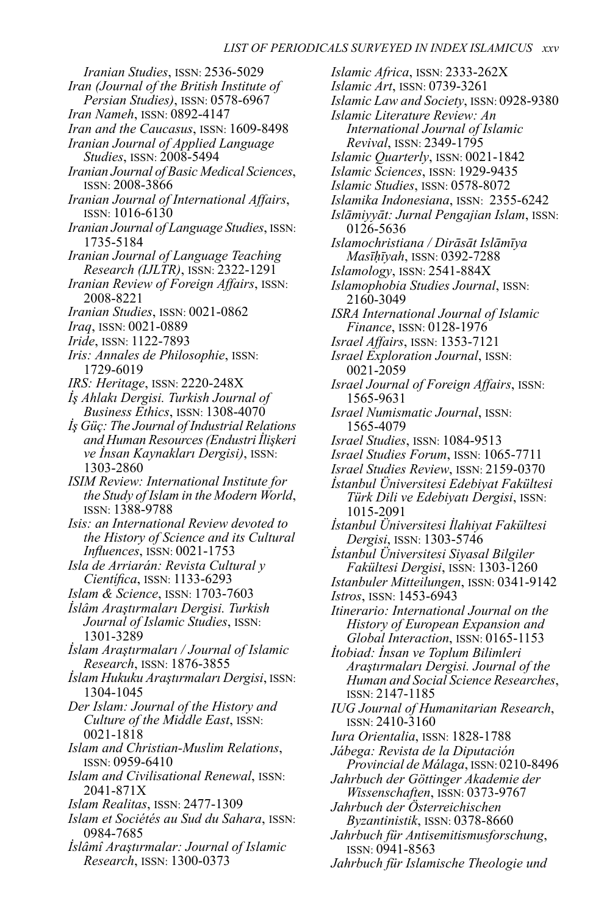*Iranian Studies*, ISSN: 2536-5029 *Iran (Journal of the British Institute of Persian Studies)*, ISSN: 0578-6967 *Iran Nameh*, ISSN: 0892-4147 *Iran and the Caucasus*, ISSN: 1609-8498 *Iranian Journal of Applied Language Studies*, ISSN: 2008-5494 *Iranian Journal of Basic Medical Sciences*, ISSN: 2008-3866 *Iranian Journal of International Affairs*, ISSN: 1016-6130 *Iranian Journal ofLanguage Studies*, ISSN: 1735-5184 *Iranian Journal of Language Teaching Research (IJLTR)*, ISSN: 2322-1291 *Iranian Review of Foreign Affairs*, ISSN: 2008-8221 *Iranian Studies*, ISSN: 0021-0862 *Iraq*, ISSN: 0021-0889 *Iride*, ISSN: 1122-7893 *Iris: Annales de Philosophie*, ISSN: 1729-6019 *IRS: Heritage*, ISSN: 2220-248X *İş Ahlakı Dergisi. Turkish Journal of Business Ethics*, ISSN: 1308-4070 *İş Güç:The Journal of Industrial Relations and Human Resources(Endustri İlişkeri ve İnsan Kaynakları Dergisi)*, ISSN: 1303-2860 *ISIM Review: International Institute for the Study of Islam in the Modern World*, ISSN: 1388-9788 *Isis: an International Review devoted to the History of Science and its Cultural Influences*, ISSN: 0021-1753 *Isla de Arriarán: Revista Cultural y Científica*, ISSN: 1133-6293 *Islam & Science*, ISSN: 1703-7603 *İslâm Araştırmaları Dergisi. Turkish Journal of Islamic Studies*, ISSN: 1301-3289 *İslam Araştırmaları / Journal of Islamic Research*, ISSN: 1876-3855 *İslam Hukuku Araştırmaları Dergisi*, ISSN: 1304-1045 *Der Islam: Journal of the History and Culture of the Middle East*, ISSN: 0021-1818 *Islam and Christian-Muslim Relations*, ISSN: 0959-6410 *Islam and Civilisational Renewal*, ISSN: 2041-871X *Islam Realitas*, ISSN: 2477-1309 *Islam et Sociétés au Sud du Sahara*, ISSN: 0984-7685 *İslâmî Araştırmalar: Journal of Islamic Research*, ISSN: 1300-0373

*Islamic Africa*, ISSN: 2333-262X *Islamic Art*, ISSN: 0739-3261 *Islamic Law and Society*, ISSN: 0928-9380 *Islamic Literature Review: An International Journal of Islamic Revival*, ISSN: 2349-1795 *Islamic Quarterly*, ISSN: 0021-1842 *Islamic Sciences*, ISSN: 1929-9435 *Islamic Studies*, ISSN: 0578-8072 *Islamika Indonesiana*, ISSN: 2355-6242 *Islāmiyyāt: Jurnal Pengajian Islam*, ISSN: 0126-5636 *Islamochristiana / Dirāsāt Islāmīya Masīḥīyah*, ISSN: 0392-7288 *Islamology*, ISSN: 2541-884X *Islamophobia Studies Journal*, ISSN: 2160-3049 *ISRA International Journal of Islamic Finance*, ISSN: 0128-1976 *Israel Affairs*, ISSN: 1353-7121 *Israel Exploration Journal*, ISSN: 0021-2059 *Israel Journal of Foreign Affairs*, ISSN: 1565-9631 *Israel Numismatic Journal*, ISSN: 1565-4079 *Israel Studies*, ISSN: 1084-9513 *Israel Studies Forum*, ISSN: 1065-7711 *Israel Studies Review*, ISSN: 2159-0370 *İstanbul Üniversitesi Edebiyat Fakültesi Türk Dili ve Edebiyatı Dergisi*, ISSN: 1015-2091 *İstanbul Üniversitesi İlahiyat Fakültesi Dergisi*, ISSN: 1303-5746 *İstanbul Üniversitesi Siyasal Bilgiler Fakültesi Dergisi*, ISSN: 1303-1260 *Istanbuler Mitteilungen*, ISSN: 0341-9142 *Istros*, ISSN: 1453-6943 *Itinerario: International Journal on the History of European Expansion and Global Interaction*, ISSN: 0165-1153 *İtobiad: İnsan ve Toplum Bilimleri Araştırmaları Dergisi. Journal of the Human and Social Science Researches*, ISSN: 2147-1185 *IUG Journal of Humanitarian Research*, ISSN: 2410-3160 *Iura Orientalia*, ISSN: 1828-1788 *Jábega: Revista de la Diputación Provincial de Málaga*, ISSN: 0210-8496 *Jahrbuch der Göttinger Akademie der Wissenschaften*, ISSN: 0373-9767 *Jahrbuch der Österreichischen Byzantinistik*, ISSN: 0378-8660 *Jahrbuch für Antisemitismusforschung*, ISSN: 0941-8563 *Jahrbuch für Islamische Theologie und*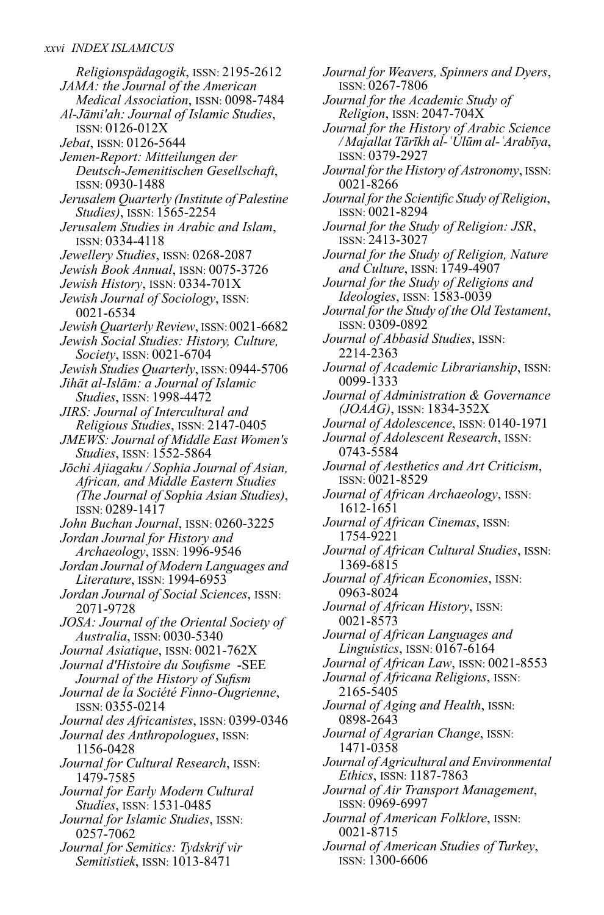*Religionspädagogik*, ISSN: 2195-2612 *JAMA: the Journal of the American Medical Association*, ISSN: 0098-7484 *Al-Jāmi'ah: Journal of Islamic Studies*, ISSN: 0126-012X *Jebat*, ISSN: 0126-5644 *Jemen-Report: Mitteilungen der Deutsch-Jemenitischen Gesellschaft*, ISSN: 0930-1488 *Jerusalem Quarterly (Institute of Palestine Studies)*, ISSN: 1565-2254 *Jerusalem Studies in Arabic and Islam*, ISSN: 0334-4118 *Jewellery Studies*, ISSN: 0268-2087 *Jewish Book Annual*, ISSN: 0075-3726 *Jewish History*, ISSN: 0334-701X *Jewish Journal of Sociology*, ISSN: 0021-6534 *Jewish Quarterly Review*, ISSN: 0021-6682 *Jewish Social Studies: History, Culture, Society*, ISSN: 0021-6704 *Jewish Studies Quarterly*, ISSN: 0944-5706 *Jihāt al-Islām: a Journal of Islamic Studies*, ISSN: 1998-4472 *JIRS: Journal of Intercultural and Religious Studies*, ISSN: 2147-0405 *JMEWS: Journal of Middle East Women's Studies*, ISSN: 1552-5864 *Jōchi Ajiagaku / Sophia Journal of Asian, African, and Middle Eastern Studies (The Journal of Sophia Asian Studies)*, ISSN: 0289-1417 *John Buchan Journal*, ISSN: 0260-3225 *Jordan Journal for History and Archaeology*, ISSN: 1996-9546 *Jordan Journal of ModernLanguages and Literature*, ISSN: 1994-6953 *Jordan Journal of Social Sciences*, ISSN: 2071-9728 *JOSA: Journal of the Oriental Society of Australia*, ISSN: 0030-5340 *Journal Asiatique*, ISSN: 0021-762X *Journal d'Histoire du Soufisme* -SEE *Journal of the History of Sufism Journal de la Société Finno-Ougrienne*, ISSN: 0355-0214 *Journal des Africanistes*, ISSN: 0399-0346 *Journal des Anthropologues*, ISSN: 1156-0428 *Journal for Cultural Research*, ISSN: 1479-7585 *Journal for Early Modern Cultural Studies*, ISSN: 1531-0485 *Journal for Islamic Studies*, ISSN: 0257-7062 *Journal for Semitics: Tydskrif vir Semitistiek*, ISSN: 1013-8471

*Journal for Weavers, Spinners and Dyers*, ISSN: 0267-7806 *Journal for the Academic Study of Religion*, ISSN: 2047-704X *Journal for the History of Arabic Science / MajallatTārīkh al-ʿUlūm al-ʿArabīya*, ISSN: 0379-2927 *Journal for the History of Astronomy*, ISSN: 0021-8266 *Journal forthe Scientific Study of Religion*, ISSN: 0021-8294 *Journal for the Study of Religion: JSR*, ISSN: 2413-3027 *Journal for the Study of Religion, Nature and Culture*, ISSN: 1749-4907 *Journal for the Study of Religions and Ideologies*, ISSN: 1583-0039 *Journal forthe Study of the OldTestament*, ISSN: 0309-0892 *Journal of Abbasid Studies*, ISSN: 2214-2363 *Journal of Academic Librarianship*, ISSN: 0099-1333 *Journal of Administration & Governance (JOAAG)*, ISSN: 1834-352X *Journal of Adolescence*, ISSN: 0140-1971 *Journal of Adolescent Research*, ISSN: 0743-5584 *Journal of Aesthetics and Art Criticism*, ISSN: 0021-8529 *Journal of African Archaeology*, ISSN: 1612-1651 *Journal of African Cinemas*, ISSN: 1754-9221 *Journal of African Cultural Studies*, ISSN: 1369-6815 *Journal of African Economies*, ISSN: 0963-8024 *Journal of African History*, ISSN: 0021-8573 *Journal of African Languages and Linguistics*, ISSN: 0167-6164 *Journal of African Law*, ISSN: 0021-8553 *Journal of Africana Religions*, ISSN: 2165-5405 *Journal of Aging and Health*, ISSN: 0898-2643 *Journal of Agrarian Change*, ISSN: 1471-0358 *Journal of Agricultural and Environmental Ethics*, ISSN: 1187-7863 *Journal of Air Transport Management*, ISSN: 0969-6997 *Journal of American Folklore*, ISSN: 0021-8715 *Journal of American Studies of Turkey*, ISSN: 1300-6606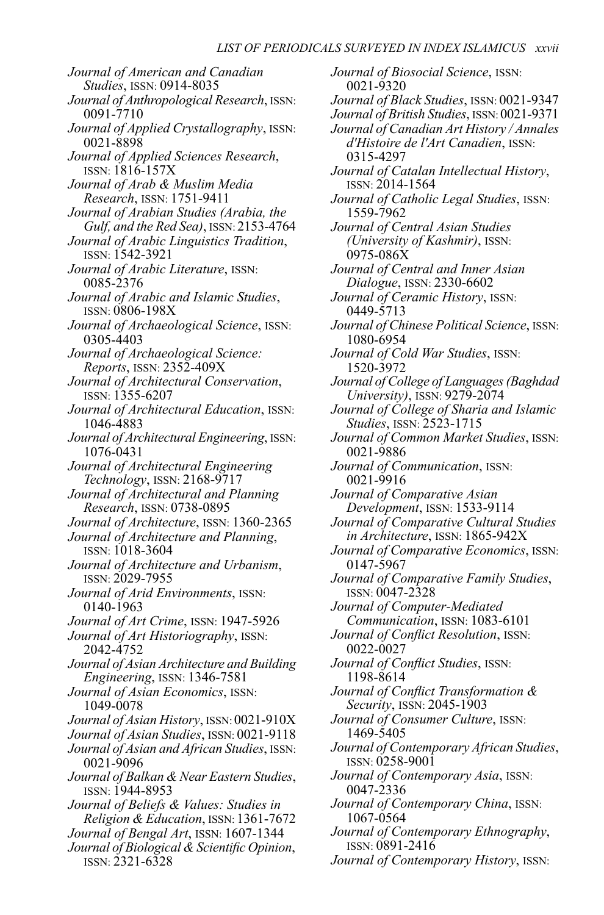*Journal of American and Canadian Studies*, ISSN: 0914-8035 *Journal of Anthropological Research*, ISSN: 0091-7710 *Journal of Applied Crystallography*, ISSN: 0021-8898 *Journal of Applied Sciences Research*, ISSN: 1816-157X *Journal of Arab & Muslim Media Research*, ISSN: 1751-9411 *Journal of Arabian Studies (Arabia, the Gulf, and the Red Sea)*, ISSN: 2153-4764 *Journal of Arabic Linguistics Tradition*, ISSN: 1542-3921 *Journal of Arabic Literature*, ISSN: 0085-2376 *Journal of Arabic and Islamic Studies*, ISSN: 0806-198X *Journal of Archaeological Science*, ISSN: 0305-4403 *Journal of Archaeological Science: Reports*, ISSN: 2352-409X *Journal of Architectural Conservation*, ISSN: 1355-6207 *Journal of Architectural Education*, ISSN: 1046-4883 *Journal of Architectural Engineering*, ISSN: 1076-0431 *Journal of Architectural Engineering Technology*, ISSN: 2168-9717 *Journal of Architectural and Planning Research*, ISSN: 0738-0895 *Journal of Architecture*, ISSN: 1360-2365 *Journal of Architecture and Planning*, ISSN: 1018-3604 *Journal of Architecture and Urbanism*, ISSN: 2029-7955 *Journal of Arid Environments*, ISSN: 0140-1963 *Journal of Art Crime*, ISSN: 1947-5926 *Journal of Art Historiography*, ISSN: 2042-4752 *Journal of Asian Architecture and Building Engineering*, ISSN: 1346-7581 *Journal of Asian Economics*, ISSN: 1049-0078 *Journal of Asian History*, ISSN: 0021-910X *Journal of Asian Studies*, ISSN: 0021-9118 *Journal of Asian and African Studies*, ISSN: 0021-9096 *Journal of Balkan & Near Eastern Studies*, ISSN: 1944-8953 *Journal of Beliefs & Values: Studies in Religion & Education*, ISSN: 1361-7672 *Journal of Bengal Art*, ISSN: 1607-1344 *Journal of Biological & Scientific Opinion*, ISSN: 2321-6328

*Journal of Biosocial Science*, ISSN: 0021-9320 *Journal of Black Studies*, ISSN: 0021-9347 *Journal of British Studies*, ISSN: 0021-9371 *Journal of Canadian Art History / Annales d'Histoire de l'Art Canadien*, ISSN: 0315-4297 *Journal of Catalan Intellectual History*, ISSN: 2014-1564 *Journal of Catholic Legal Studies*, ISSN: 1559-7962 *Journal of Central Asian Studies (University of Kashmir)*, ISSN: 0975-086X *Journal of Central and Inner Asian Dialogue*, ISSN: 2330-6602 *Journal of Ceramic History*, ISSN: 0449-5713 *Journal of Chinese Political Science*, ISSN: 1080-6954 *Journal of Cold War Studies*, ISSN: 1520-3972 *Journal of College ofLanguages(Baghdad University)*, ISSN: 9279-2074 *Journal of College of Sharia and Islamic Studies*, ISSN: 2523-1715 *Journal of Common Market Studies*, ISSN: 0021-9886 *Journal of Communication*, ISSN: 0021-9916 *Journal of Comparative Asian Development*, ISSN: 1533-9114 *Journal of Comparative Cultural Studies in Architecture*, ISSN: 1865-942X *Journal of Comparative Economics*, ISSN: 0147-5967 *Journal of Comparative Family Studies*, ISSN: 0047-2328 *Journal of Computer-Mediated Communication*, ISSN: 1083-6101 *Journal of Conflict Resolution*, ISSN: 0022-0027 *Journal of Conflict Studies*, ISSN: 1198-8614 *Journal of Conflict Transformation & Security*, ISSN: 2045-1903 *Journal of Consumer Culture*, ISSN: 1469-5405 *Journal of Contemporary African Studies*, ISSN: 0258-9001 *Journal of Contemporary Asia*, ISSN: 0047-2336 *Journal of Contemporary China*, ISSN: 1067-0564 *Journal of Contemporary Ethnography*, ISSN: 0891-2416

*Journal of Contemporary History*, ISSN: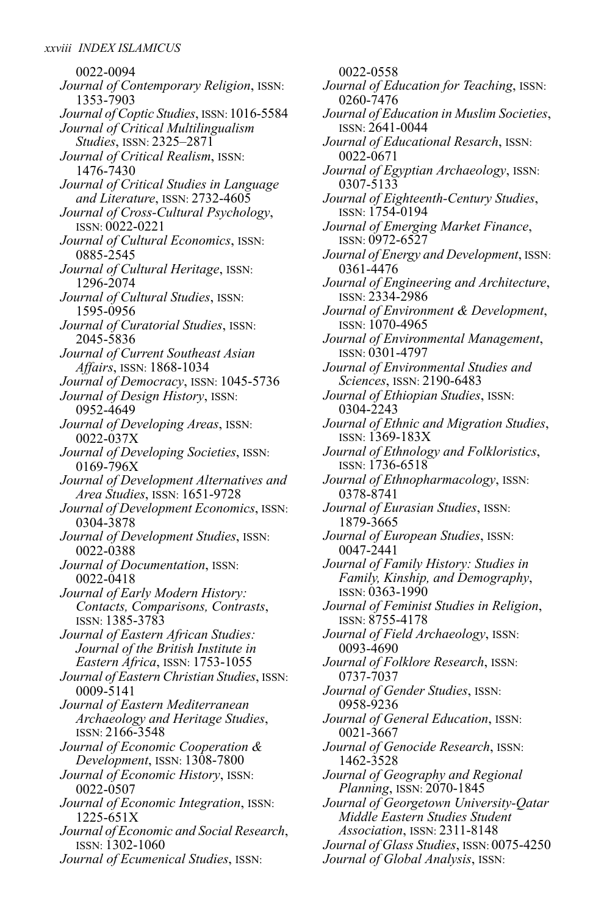0022-0094 *Journal of Contemporary Religion*, ISSN: 1353-7903 *Journal of Coptic Studies*, ISSN: 1016-5584 *Journal of Critical Multilingualism Studies*, ISSN: 2325–2871 *Journal of Critical Realism*, ISSN: 1476-7430 *Journal of Critical Studies in Language and Literature*, ISSN: 2732-4605 *Journal of Cross-Cultural Psychology*, ISSN: 0022-0221 *Journal of Cultural Economics*, ISSN: 0885-2545 *Journal of Cultural Heritage*, ISSN: 1296-2074 *Journal of Cultural Studies*, ISSN: 1595-0956 *Journal of Curatorial Studies*, ISSN: 2045-5836 *Journal of Current Southeast Asian Affairs*, ISSN: 1868-1034 *Journal of Democracy*, ISSN: 1045-5736 *Journal of Design History*, ISSN: 0952-4649 *Journal of Developing Areas*, ISSN: 0022-037X *Journal of Developing Societies*, ISSN: 0169-796X *Journal of Development Alternatives and Area Studies*, ISSN: 1651-9728 *Journal of Development Economics*, ISSN: 0304-3878 *Journal of Development Studies*, ISSN: 0022-0388 *Journal of Documentation*, ISSN: 0022-0418 *Journal of Early Modern History: Contacts, Comparisons, Contrasts*, ISSN: 1385-3783 *Journal of Eastern African Studies: Journal of the British Institute in Eastern Africa*, ISSN: 1753-1055 *Journal of Eastern Christian Studies*, ISSN: 0009-5141 *Journal of Eastern Mediterranean Archaeology and Heritage Studies*, ISSN: 2166-3548 *Journal of Economic Cooperation & Development*, ISSN: 1308-7800 *Journal of Economic History*, ISSN: 0022-0507 *Journal of Economic Integration*, ISSN: 1225-651X *Journal of Economic and Social Research*, ISSN: 1302-1060 *Journal of Ecumenical Studies*, ISSN:

0022-0558 *Journal of Education for Teaching*, ISSN: 0260-7476 *Journal of Education in Muslim Societies*, ISSN: 2641-0044 *Journal of Educational Resarch*, ISSN: 0022-0671 *Journal of Egyptian Archaeology*, ISSN: 0307-5133 *Journal of Eighteenth-Century Studies*, ISSN: 1754-0194 *Journal of Emerging Market Finance*, ISSN: 0972-6527 *Journal of Energy and Development*, ISSN: 0361-4476 *Journal of Engineering and Architecture*, ISSN: 2334-2986 *Journal of Environment & Development*, ISSN: 1070-4965 *Journal of Environmental Management*, ISSN: 0301-4797 *Journal of Environmental Studies and Sciences*, ISSN: 2190-6483 *Journal of Ethiopian Studies*, ISSN: 0304-2243 *Journal of Ethnic and Migration Studies*, ISSN: 1369-183X *Journal of Ethnology and Folkloristics*, ISSN: 1736-6518 *Journal of Ethnopharmacology*, ISSN: 0378-8741 *Journal of Eurasian Studies*, ISSN: 1879-3665 *Journal of European Studies*, ISSN: 0047-2441 *Journal of Family History: Studies in Family, Kinship, and Demography*, ISSN: 0363-1990 *Journal of Feminist Studies in Religion*, ISSN: 8755-4178 *Journal of Field Archaeology*, ISSN: 0093-4690 *Journal of Folklore Research*, ISSN: 0737-7037 *Journal of Gender Studies*, ISSN: 0958-9236 *Journal of General Education*, ISSN: 0021-3667 *Journal of Genocide Research*, ISSN: 1462-3528 *Journal of Geography and Regional Planning*, ISSN: 2070-1845 *Journal of Georgetown University-Qatar Middle Eastern Studies Student Association*, ISSN: 2311-8148 *Journal of Glass Studies*, ISSN: 0075-4250 *Journal of Global Analysis*, ISSN: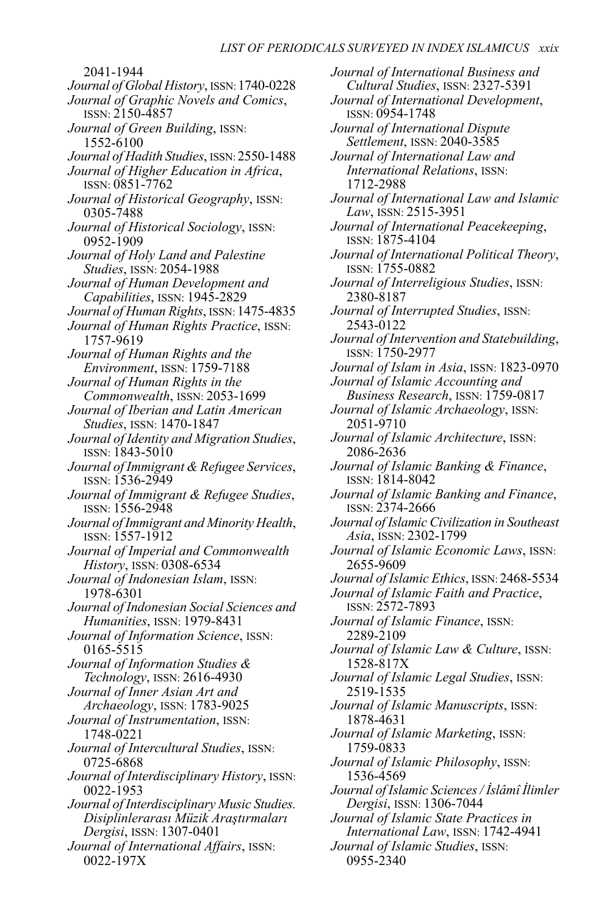2041-1944 *Journal of Global History*, ISSN:1740-0228 *Journal of Graphic Novels and Comics*, ISSN: 2150-4857 *Journal of Green Building*, ISSN: 1552-6100 *Journal of Hadith Studies*, ISSN: 2550-1488 *Journal of Higher Education in Africa*, ISSN: 0851-7762 *Journal of Historical Geography*, ISSN: 0305-7488 *Journal of Historical Sociology*, ISSN: 0952-1909 *Journal of Holy Land and Palestine Studies*, ISSN: 2054-1988 *Journal of Human Development and Capabilities*, ISSN: 1945-2829 *Journal of Human Rights*, ISSN: 1475-4835 *Journal of Human Rights Practice*, ISSN: 1757-9619 *Journal of Human Rights and the Environment*, ISSN: 1759-7188 *Journal of Human Rights in the Commonwealth*, ISSN: 2053-1699 *Journal of Iberian and Latin American Studies*, ISSN: 1470-1847 *Journal of Identity and Migration Studies*, ISSN: 1843-5010 *Journal of Immigrant & Refugee Services*, ISSN: 1536-2949 *Journal of Immigrant & Refugee Studies*, ISSN: 1556-2948 *Journal of Immigrant and Minority Health*, ISSN: 1557-1912 *Journal of Imperial and Commonwealth History*, ISSN: 0308-6534 *Journal of Indonesian Islam*, ISSN: 1978-6301 *Journal of Indonesian Social Sciences and Humanities*, ISSN: 1979-8431 *Journal of Information Science*, ISSN: 0165-5515 *Journal of Information Studies & Technology*, ISSN: 2616-4930 *Journal of Inner Asian Art and Archaeology*, ISSN: 1783-9025 *Journal of Instrumentation*, ISSN: 1748-0221 *Journal of Intercultural Studies*, ISSN: 0725-6868 *Journal of Interdisciplinary History*, ISSN: 0022-1953 *Journal of Interdisciplinary Music Studies. Disiplinlerarası Müzik Araştırmaları Dergisi*, ISSN: 1307-0401 *Journal of International Affairs*, ISSN: 0022-197X

*Journal of International Business and Cultural Studies*, ISSN: 2327-5391 *Journal of International Development*, ISSN: 0954-1748 *Journal of International Dispute Settlement*, ISSN: 2040-3585 *Journal of International Law and International Relations*, ISSN: 1712-2988 *Journal of International Law and Islamic Law*, ISSN: 2515-3951 *Journal of International Peacekeeping*, ISSN: 1875-4104 *Journal of International Political Theory*, ISSN: 1755-0882 *Journal of Interreligious Studies*, ISSN: 2380-8187 *Journal of Interrupted Studies*, ISSN: 2543-0122 *Journal of Intervention and Statebuilding*, ISSN: 1750-2977 *Journal of Islam in Asia*, ISSN: 1823-0970 *Journal of Islamic Accounting and Business Research*, ISSN: 1759-0817 *Journal of Islamic Archaeology*, ISSN: 2051-9710 *Journal of Islamic Architecture*, ISSN: 2086-2636 *Journal of Islamic Banking & Finance*, ISSN: 1814-8042 *Journal of Islamic Banking and Finance*, ISSN: 2374-2666 *Journal of Islamic Civilization in Southeast Asia*, ISSN: 2302-1799 *Journal of Islamic Economic Laws*, ISSN: 2655-9609 *Journal of Islamic Ethics*, ISSN: 2468-5534 *Journal of Islamic Faith and Practice*, ISSN: 2572-7893 *Journal of Islamic Finance*, ISSN: 2289-2109 *Journal of Islamic Law & Culture*, ISSN: 1528-817X *Journal of Islamic Legal Studies*, ISSN: 2519-1535 *Journal of Islamic Manuscripts*, ISSN: 1878-4631 *Journal of Islamic Marketing*, ISSN: 1759-0833 *Journal of Islamic Philosophy*, ISSN: 1536-4569 *Journal of Islamic Sciences/ İslâmî İlimler Dergisi*, ISSN: 1306-7044 *Journal of Islamic State Practices in International Law*, ISSN: 1742-4941 *Journal of Islamic Studies*, ISSN: 0955-2340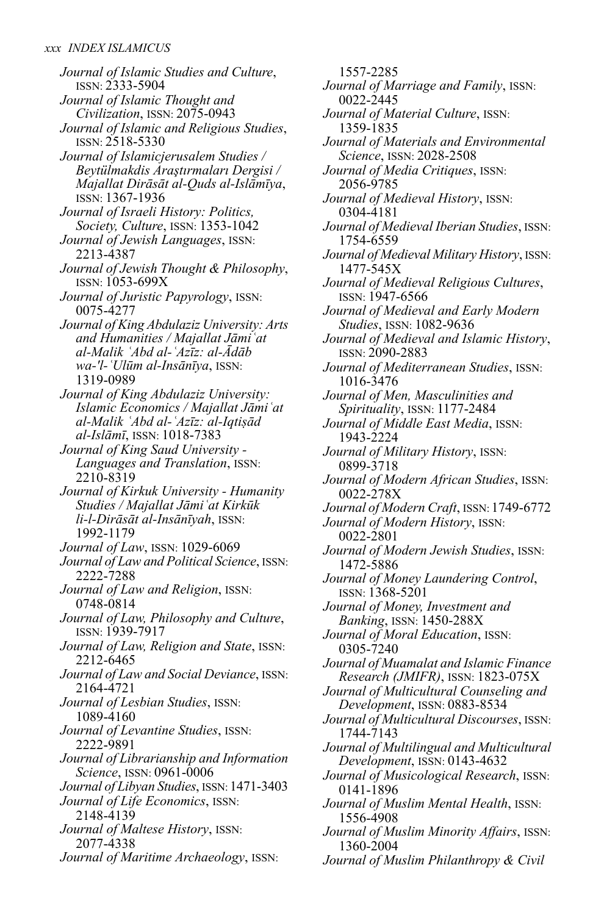*Journal of Islamic Studies and Culture*, ISSN: 2333-5904 *Journal of Islamic Thought and Civilization*, ISSN: 2075-0943 *Journal of Islamic and Religious Studies*, ISSN: 2518-5330 *Journal of Islamicjerusalem Studies / Beytülmakdis Araştırmaları Dergisi / Majallat Dirāsāt al-Quds al-Islāmīya*, ISSN: 1367-1936 *Journal of Israeli History: Politics, Society, Culture*, ISSN: 1353-1042 *Journal of Jewish Languages*, ISSN: 2213-4387 *Journal of Jewish Thought & Philosophy*, ISSN: 1053-699X *Journal of Juristic Papyrology*, ISSN: 0075-4277 *Journal of King Abdulaziz University: Arts and Humanities / Majallat Jāmiʿat al-Malik ʿAbd al-ʿAzīz: al-Ādāb wa-'l-ʿUlūm al-Insānīya*, ISSN: 1319-0989 *Journal of King Abdulaziz University: Islamic Economics / Majallat Jāmiʿat al-Malik ʿAbd al-ʿAzīz: al-Iqtiṣād al-Islāmī*, ISSN: 1018-7383 *Journal of King Saud University - Languages and Translation*, ISSN: 2210-8319 *Journal of Kirkuk University - Humanity Studies / Majallat Jāmiʿat Kirkūk li-l-Dirāsāt al-Insānīyah*, ISSN: 1992-1179 *Journal of Law*, ISSN: 1029-6069 *Journal ofLaw and Political Science*, ISSN: 2222-7288 *Journal of Law and Religion*, ISSN: 0748-0814 *Journal of Law, Philosophy and Culture*, ISSN: 1939-7917 *Journal of Law, Religion and State*, ISSN: 2212-6465 *Journal ofLaw and Social Deviance*, ISSN: 2164-4721 *Journal of Lesbian Studies*, ISSN: 1089-4160 *Journal of Levantine Studies*, ISSN: 2222-9891 *Journal of Librarianship and Information Science*, ISSN: 0961-0006 *Journal ofLibyan Studies*, ISSN: 1471-3403 *Journal of Life Economics*, ISSN: 2148-4139 *Journal of Maltese History*, ISSN: 2077-4338 *Journal of Maritime Archaeology*, ISSN:

1557-2285 *Journal of Marriage and Family*, ISSN: 0022-2445 *Journal of Material Culture*, ISSN: 1359-1835 *Journal of Materials and Environmental Science*, ISSN: 2028-2508 *Journal of Media Critiques*, ISSN: 2056-9785 *Journal of Medieval History*, ISSN: 0304-4181 *Journal of Medieval Iberian Studies*, ISSN: 1754-6559 *Journal of Medieval Military History*, ISSN: 1477-545X *Journal of Medieval Religious Cultures*, ISSN: 1947-6566 *Journal of Medieval and Early Modern Studies*, ISSN: 1082-9636 *Journal of Medieval and Islamic History*, ISSN: 2090-2883 *Journal of Mediterranean Studies*, ISSN: 1016-3476 *Journal of Men, Masculinities and Spirituality*, ISSN: 1177-2484 *Journal of Middle East Media*, ISSN: 1943-2224 *Journal of Military History*, ISSN: 0899-3718 *Journal of Modern African Studies*, ISSN: 0022-278X *Journal of Modern Craft*, ISSN: 1749-6772 *Journal of Modern History*, ISSN: 0022-2801 *Journal of Modern Jewish Studies*, ISSN: 1472-5886 *Journal of Money Laundering Control*, ISSN: 1368-5201 *Journal of Money, Investment and Banking*, ISSN: 1450-288X *Journal of Moral Education*, ISSN: 0305-7240 *Journal of Muamalat and Islamic Finance Research (JMIFR)*, ISSN: 1823-075X *Journal of Multicultural Counseling and Development*, ISSN: 0883-8534 *Journal of Multicultural Discourses*, ISSN: 1744-7143 *Journal of Multilingual and Multicultural Development*, ISSN: 0143-4632 *Journal of Musicological Research*, ISSN: 0141-1896 *Journal of Muslim Mental Health*, ISSN: 1556-4908 *Journal of Muslim Minority Affairs*, ISSN: 1360-2004 *Journal of Muslim Philanthropy & Civil*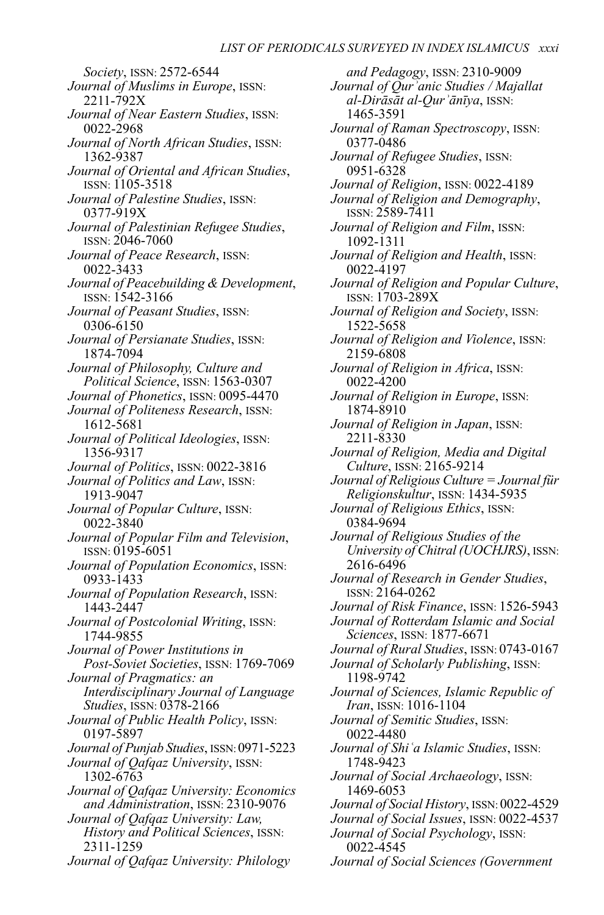*Society*, ISSN: 2572-6544 *Journal of Muslims in Europe*, ISSN: 2211-792X *Journal of Near Eastern Studies*, ISSN: 0022-2968 *Journal of North African Studies*, ISSN: 1362-9387 *Journal of Oriental and African Studies*, ISSN: 1105-3518 *Journal of Palestine Studies*, ISSN: 0377-919X *Journal of Palestinian Refugee Studies*, ISSN: 2046-7060 *Journal of Peace Research*, ISSN: 0022-3433 *Journal of Peacebuilding & Development*, ISSN: 1542-3166 *Journal of Peasant Studies*, ISSN: 0306-6150 *Journal of Persianate Studies*, ISSN: 1874-7094 *Journal of Philosophy, Culture and Political Science*, ISSN: 1563-0307 *Journal of Phonetics*, ISSN: 0095-4470 *Journal of Politeness Research*, ISSN: 1612-5681 *Journal of Political Ideologies*, ISSN: 1356-9317 *Journal of Politics*, ISSN: 0022-3816 *Journal of Politics and Law*, ISSN: 1913-9047 *Journal of Popular Culture*, ISSN: 0022-3840 *Journal of Popular Film and Television*, ISSN: 0195-6051 *Journal of Population Economics*, ISSN: 0933-1433 *Journal of Population Research*, ISSN: 1443-2447 *Journal of Postcolonial Writing*, ISSN: 1744-9855 *Journal of Power Institutions in Post-Soviet Societies*, ISSN: 1769-7069 *Journal of Pragmatics: an Interdisciplinary Journal of Language Studies*, ISSN: 0378-2166 *Journal of Public Health Policy*, ISSN: 0197-5897 *Journal of Punjab Studies*, ISSN:0971-5223 *Journal of Qafqaz University*, ISSN: 1302-6763 *Journal of Qafqaz University: Economics and Administration*, ISSN: 2310-9076 *Journal of Qafqaz University: Law, History and Political Sciences*, ISSN: 2311-1259

*Journal of Qafqaz University: Philology*

*and Pedagogy*, ISSN: 2310-9009 *Journal of Qurʾanic Studies / Majallat al-Dirāsāt al-Qurʾānīya*, ISSN: 1465-3591 *Journal of Raman Spectroscopy*, ISSN: 0377-0486 *Journal of Refugee Studies*, ISSN: 0951-6328 *Journal of Religion*, ISSN: 0022-4189 *Journal of Religion and Demography*, ISSN: 2589-7411 *Journal of Religion and Film*, ISSN: 1092-1311 *Journal of Religion and Health*, ISSN: 0022-4197 *Journal of Religion and Popular Culture*, ISSN: 1703-289X *Journal of Religion and Society*, ISSN: 1522-5658 *Journal of Religion and Violence*, ISSN: 2159-6808 *Journal of Religion in Africa*, ISSN: 0022-4200 *Journal of Religion in Europe*, ISSN: 1874-8910 *Journal of Religion in Japan*, ISSN: 2211-8330 *Journal of Religion, Media and Digital Culture*, ISSN: 2165-9214 *Journal of Religious Culture = Journal für Religionskultur*, ISSN: 1434-5935 *Journal of Religious Ethics*, ISSN: 0384-9694 *Journal of Religious Studies of the University of Chitral (UOCHJRS)*, ISSN: 2616-6496 *Journal of Research in Gender Studies*, ISSN: 2164-0262 *Journal of Risk Finance*, ISSN: 1526-5943 *Journal of Rotterdam Islamic and Social Sciences*, ISSN: 1877-6671 *Journal of Rural Studies*, ISSN: 0743-0167 *Journal of Scholarly Publishing*, ISSN: 1198-9742 *Journal of Sciences, Islamic Republic of Iran*, ISSN: 1016-1104 *Journal of Semitic Studies*, ISSN: 0022-4480 *Journal of Shiʿa Islamic Studies*, ISSN: 1748-9423 *Journal of Social Archaeology*, ISSN: 1469-6053 *Journal of Social History*, ISSN: 0022-4529 *Journal of Social Issues*, ISSN: 0022-4537 *Journal of Social Psychology*, ISSN: 0022-4545 *Journal of Social Sciences (Government*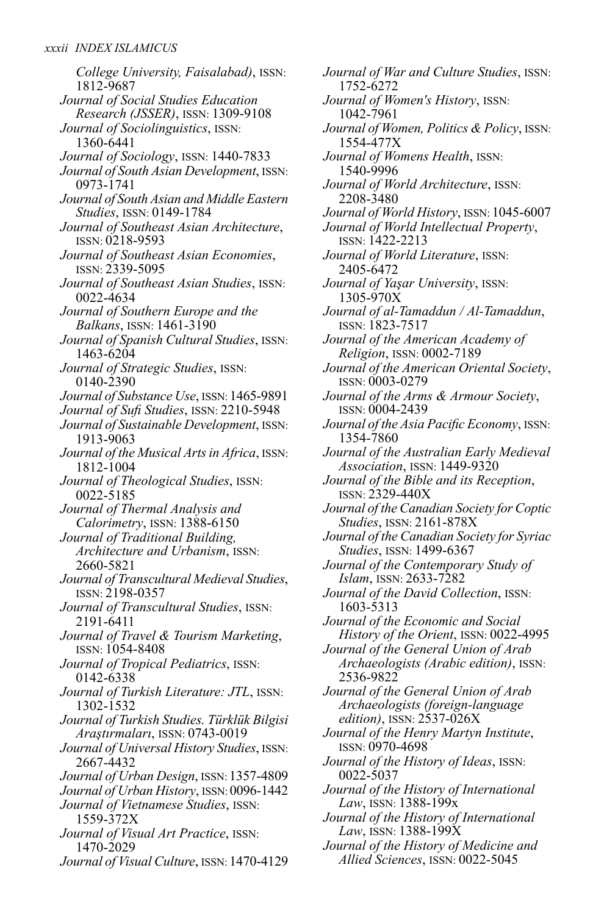*College University, Faisalabad)*, ISSN: 1812-9687 *Journal of Social Studies Education Research (JSSER)*, ISSN: 1309-9108 *Journal of Sociolinguistics*, ISSN: 1360-6441 *Journal of Sociology*, ISSN: 1440-7833 *Journal of South Asian Development*, ISSN: 0973-1741 *Journal of South Asian and Middle Eastern Studies*, ISSN: 0149-1784 *Journal of Southeast Asian Architecture*, ISSN: 0218-9593 *Journal of Southeast Asian Economies*, ISSN: 2339-5095 *Journal of Southeast Asian Studies*, ISSN: 0022-4634 *Journal of Southern Europe and the Balkans*, ISSN: 1461-3190 *Journal of Spanish Cultural Studies*, ISSN: 1463-6204 *Journal of Strategic Studies*, ISSN: 0140-2390 *Journal of Substance Use*, ISSN: 1465-9891 *Journal of Sufi Studies*, ISSN: 2210-5948 *Journal of Sustainable Development*, ISSN: 1913-9063 *Journal of the Musical Artsin Africa*, ISSN: 1812-1004 *Journal of Theological Studies*, ISSN: 0022-5185 *Journal of Thermal Analysis and Calorimetry*, ISSN: 1388-6150 *Journal of Traditional Building, Architecture and Urbanism*, ISSN: 2660-5821 *Journal ofTranscultural Medieval Studies*, ISSN: 2198-0357 *Journal of Transcultural Studies*, ISSN: 2191-6411 *Journal of Travel & Tourism Marketing*, ISSN: 1054-8408 *Journal of Tropical Pediatrics*, ISSN: 0142-6338 *Journal of Turkish Literature: JTL*, ISSN: 1302-1532 *Journal ofTurkish Studies.Türklük Bilgisi Araştırmaları*, ISSN: 0743-0019 *Journal of Universal History Studies*, ISSN: 2667-4432 *Journal of Urban Design*, ISSN: 1357-4809 *Journal of Urban History*, ISSN: 0096-1442 *Journal of Vietnamese Studies*, ISSN: 1559-372X *Journal of Visual Art Practice*, ISSN: 1470-2029 *Journal of Visual Culture*, ISSN: 1470-4129 *Journal of War and Culture Studies*, ISSN: 1752-6272 *Journal of Women's History*, ISSN: 1042-7961 *Journal of Women, Politics & Policy*, ISSN: 1554-477X *Journal of Womens Health*, ISSN: 1540-9996 *Journal of World Architecture*, ISSN: 2208-3480 *Journal of World History*, ISSN: 1045-6007 *Journal of World Intellectual Property*, ISSN: 1422-2213 *Journal of World Literature*, ISSN: 2405-6472 *Journal of Yaşar University*, ISSN: 1305-970X *Journal of al-Tamaddun / Al-Tamaddun*, ISSN: 1823-7517 *Journal of the American Academy of Religion*, ISSN: 0002-7189 *Journal of the American Oriental Society*, ISSN: 0003-0279 *Journal of the Arms & Armour Society*, ISSN: 0004-2439 *Journal of the Asia Pacific Economy*, ISSN: 1354-7860 *Journal of the Australian Early Medieval Association*, ISSN: 1449-9320 *Journal of the Bible and its Reception*, ISSN: 2329-440X *Journal of the Canadian Society for Coptic Studies*, ISSN: 2161-878X *Journal of the Canadian Society for Syriac Studies*, ISSN: 1499-6367 *Journal of the Contemporary Study of Islam*, ISSN: 2633-7282 *Journal of the David Collection*, ISSN: 1603-5313 *Journal of the Economic and Social History of the Orient*, ISSN: 0022-4995 *Journal of the General Union of Arab Archaeologists (Arabic edition)*, ISSN: 2536-9822 *Journal of the General Union of Arab Archaeologists (foreign-language edition)*, ISSN: 2537-026X *Journal of the Henry Martyn Institute*, ISSN: 0970-4698 *Journal of the History of Ideas*, ISSN: 0022-5037 *Journal of the History of International Law*, ISSN: 1388-199x *Journal of the History of International Law*, ISSN: 1388-199X *Journal of the History of Medicine and*

*Allied Sciences*, ISSN: 0022-5045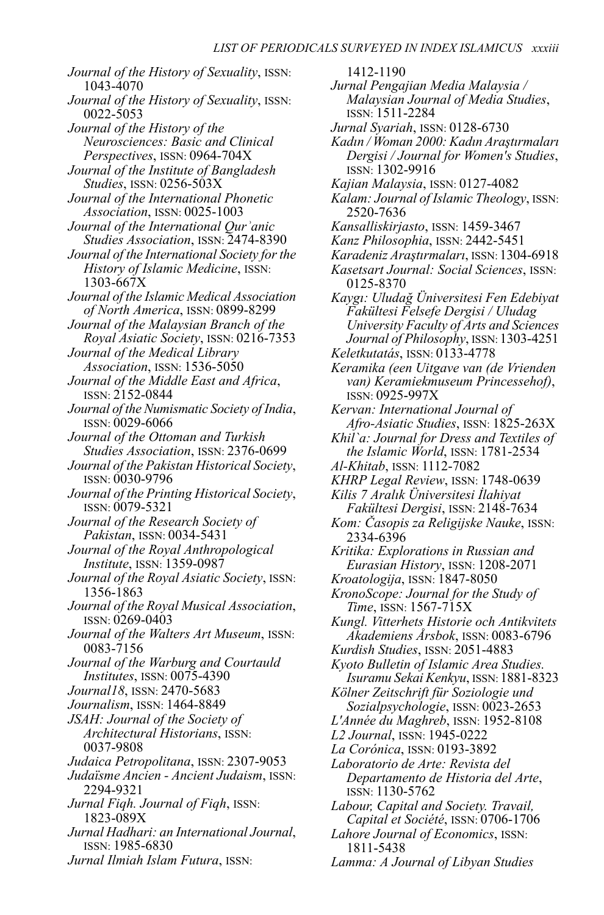*Journal of the History of Sexuality*, ISSN: 1043-4070 *Journal of the History of Sexuality*, ISSN: 0022-5053 *Journal of the History of the Neurosciences: Basic and Clinical Perspectives*, ISSN: 0964-704X *Journal of the Institute of Bangladesh Studies*, ISSN: 0256-503X *Journal of the International Phonetic Association*, ISSN: 0025-1003 *Journal of the International Qurʾanic Studies Association*, ISSN: 2474-8390 *Journal of the International Society for the History of Islamic Medicine*, ISSN: 1303-667X *Journal of the Islamic Medical Association of North America*, ISSN: 0899-8299 *Journal of the Malaysian Branch of the Royal Asiatic Society*, ISSN: 0216-7353 *Journal of the Medical Library Association*, ISSN: 1536-5050 *Journal of the Middle East and Africa*, ISSN: 2152-0844 *Journal of the Numismatic Society of India*, ISSN: 0029-6066 *Journal of the Ottoman and Turkish Studies Association*, ISSN: 2376-0699 *Journal of the Pakistan Historical Society*, ISSN: 0030-9796 *Journal of the Printing Historical Society*, ISSN: 0079-5321 *Journal of the Research Society of Pakistan*, ISSN: 0034-5431 *Journal of the Royal Anthropological Institute*, ISSN: 1359-0987 *Journal of the Royal Asiatic Society*, ISSN: 1356-1863 *Journal of the Royal Musical Association*, ISSN: 0269-0403 *Journal of the Walters Art Museum*, ISSN: 0083-7156 *Journal of the Warburg and Courtauld Institutes*, ISSN: 0075-4390 *Journal18*, ISSN: 2470-5683 *Journalism*, ISSN: 1464-8849 *JSAH: Journal of the Society of Architectural Historians*, ISSN: 0037-9808 *Judaica Petropolitana*, ISSN: 2307-9053 *Judaïsme Ancien - Ancient Judaism*, ISSN: 2294-9321 *Jurnal Fiqh. Journal of Fiqh*, ISSN: 1823-089X *Jurnal Hadhari: an International Journal*, ISSN: 1985-6830 *Jurnal Ilmiah Islam Futura*, ISSN:

1412-1190 *Jurnal Pengajian Media Malaysia / Malaysian Journal of Media Studies*, ISSN: 1511-2284 *Jurnal Syariah*, ISSN: 0128-6730 *Kadın / Woman 2000: Kadın Araştırmaları Dergisi / Journal for Women's Studies*, ISSN: 1302-9916 *Kajian Malaysia*, ISSN: 0127-4082 *Kalam: Journal of IslamicTheology*, ISSN: 2520-7636 *Kansalliskirjasto*, ISSN: 1459-3467 *Kanz Philosophia*, ISSN: 2442-5451 *Karadeniz Araştırmaları*, ISSN: 1304-6918 *Kasetsart Journal: Social Sciences*, ISSN: 0125-8370 *Kaygı: Uludağ Üniversitesi Fen Edebiyat Fakültesi Felsefe Dergisi / Uludag University Faculty of Arts and Sciences Journal of Philosophy*, ISSN: 1303-4251 *Keletkutatás*, ISSN: 0133-4778 *Keramika (een Uitgave van (de Vrienden van) Keramiekmuseum Princessehof)*, ISSN: 0925-997X *Kervan: International Journal of Afro-Asiatic Studies*, ISSN: 1825-263X *Khil`a: Journal for Dress and Textiles of the Islamic World*, ISSN: 1781-2534 *Al-Khitab*, ISSN: 1112-7082 *KHRP Legal Review*, ISSN: 1748-0639 *Kilis 7 Aralık Üniversitesi İlahiyat Fakültesi Dergisi*, ISSN: 2148-7634 *Kom: Časopis za Religijske Nauke*, ISSN: 2334-6396 *Kritika: Explorations in Russian and Eurasian History*, ISSN: 1208-2071 *Kroatologija*, ISSN: 1847-8050 *KronoScope: Journal for the Study of Time*, ISSN: 1567-715X *Kungl. Vitterhets Historie och Antikvitets Akademiens Årsbok*, ISSN: 0083-6796 *Kurdish Studies*, ISSN: 2051-4883 *Kyoto Bulletin of Islamic Area Studies. Isuramu Sekai Kenkyu*, ISSN: 1881-8323 *Kölner Zeitschrift für Soziologie und Sozialpsychologie*, ISSN: 0023-2653 *L'Année du Maghreb*, ISSN: 1952-8108 *L2 Journal*, ISSN: 1945-0222 *La Corónica*, ISSN: 0193-3892 *Laboratorio de Arte: Revista del Departamento de Historia del Arte*, ISSN: 1130-5762 *Labour, Capital and Society. Travail, Capital et Société*, ISSN: 0706-1706 *Lahore Journal of Economics*, ISSN: 1811-5438

*Lamma: A Journal of Libyan Studies*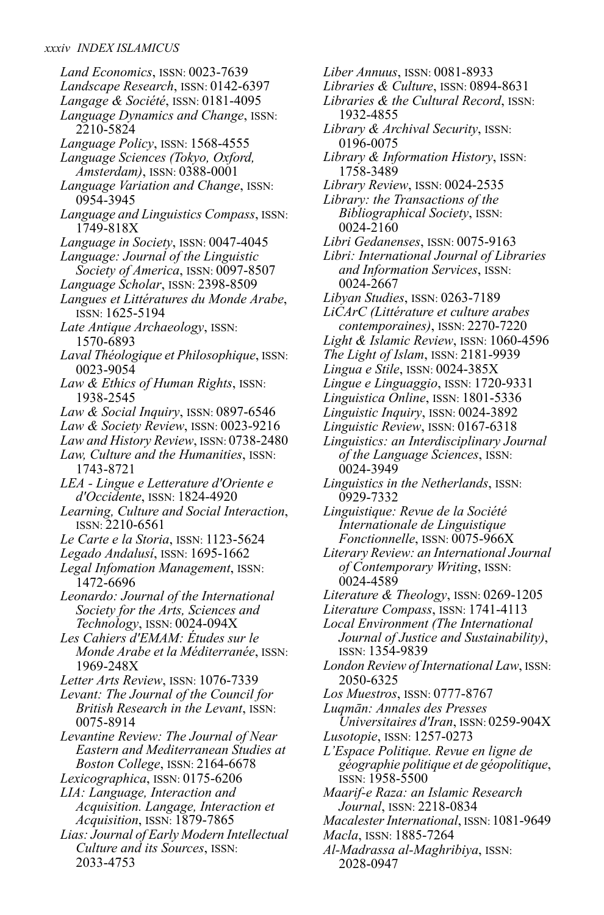*Land Economics*, ISSN: 0023-7639 *Landscape Research*, ISSN: 0142-6397 *Langage & Société*, ISSN: 0181-4095 *Language Dynamics and Change*, ISSN: 2210-5824 *Language Policy*, ISSN: 1568-4555 *Language Sciences (Tokyo, Oxford, Amsterdam)*, ISSN: 0388-0001 *Language Variation and Change*, ISSN: 0954-3945 *Language andLinguistics Compass*, ISSN: 1749-818X *Language in Society*, ISSN: 0047-4045 *Language: Journal of the Linguistic Society of America*, ISSN: 0097-8507 *Language Scholar*, ISSN: 2398-8509 *Langues et Littératures du Monde Arabe*, ISSN: 1625-5194 *Late Antique Archaeology*, ISSN: 1570-6893 *LavalThéologique et Philosophique*, ISSN: 0023-9054 *Law & Ethics of Human Rights*, ISSN: 1938-2545 *Law & Social Inquiry*, ISSN: 0897-6546 *Law & Society Review*, ISSN: 0023-9216 *Law and History Review*, ISSN: 0738-2480 *Law, Culture and the Humanities*, ISSN: 1743-8721 *LEA - Lingue e Letterature d'Oriente e d'Occidente*, ISSN: 1824-4920 *Learning, Culture and Social Interaction*, ISSN: 2210-6561 *Le Carte e la Storia*, ISSN: 1123-5624 *Legado Andalusí*, ISSN: 1695-1662 *Legal Infomation Management*, ISSN: 1472-6696 *Leonardo: Journal of the International Society for the Arts, Sciences and Technology*, ISSN: 0024-094X *Les Cahiers d'EMAM: Études sur le Monde Arabe et la Méditerranée*, ISSN: 1969-248X *Letter Arts Review*, ISSN: 1076-7339 *Levant: The Journal of the Council for British Research in the Levant*, ISSN: 0075-8914 *Levantine Review: The Journal of Near Eastern and Mediterranean Studies at Boston College*, ISSN: 2164-6678 *Lexicographica*, ISSN: 0175-6206 *LIA: Language, Interaction and Acquisition. Langage, Interaction et Acquisition*, ISSN: 1879-7865 *Lias: Journal of Early Modern Intellectual Culture and its Sources*, ISSN: 2033-4753

*Liber Annuus*, ISSN: 0081-8933 *Libraries & Culture*, ISSN: 0894-8631 *Libraries & the Cultural Record*, ISSN: 1932-4855 *Library & Archival Security*, ISSN: 0196-0075 *Library & Information History*, ISSN: 1758-3489 *Library Review*, ISSN: 0024-2535 *Library: the Transactions of the Bibliographical Society*, ISSN: 0024-2160 *Libri Gedanenses*, ISSN: 0075-9163 *Libri: International Journal of Libraries and Information Services*, ISSN: 0024-2667 *Libyan Studies*, ISSN: 0263-7189 *LiCArC (Littérature et culture arabes contemporaines)*, ISSN: 2270-7220 *Light & Islamic Review*, ISSN: 1060-4596 *The Light of Islam*, ISSN: 2181-9939 *Lingua e Stile*, ISSN: 0024-385X *Lingue e Linguaggio*, ISSN: 1720-9331 *Linguistica Online*, ISSN: 1801-5336 *Linguistic Inquiry*, ISSN: 0024-3892 *Linguistic Review*, ISSN: 0167-6318 *Linguistics: an Interdisciplinary Journal of the Language Sciences*, ISSN: 0024-3949 *Linguistics in the Netherlands*, ISSN: 0929-7332 *Linguistique: Revue de la Société Internationale de Linguistique Fonctionnelle*, ISSN: 0075-966X *Literary Review: an International Journal of Contemporary Writing*, ISSN: 0024-4589 *Literature & Theology*, ISSN: 0269-1205 *Literature Compass*, ISSN: 1741-4113 *Local Environment (The International Journal of Justice and Sustainability)*, ISSN: 1354-9839 *London Review of InternationalLaw*, ISSN: 2050-6325 *Los Muestros*, ISSN: 0777-8767 *Luqmān: Annales des Presses Universitaires d'Iran*, ISSN: 0259-904X *Lusotopie*, ISSN: 1257-0273 *L'Espace Politique. Revue en ligne de géographie politique et de géopolitique*, ISSN: 1958-5500 *Maarif-e Raza: an Islamic Research Journal*, ISSN: 2218-0834 *MacalesterInternational*, ISSN: 1081-9649 *Macla*, ISSN: 1885-7264 *Al-Madrassa al-Maghribiya*, ISSN:

2028-0947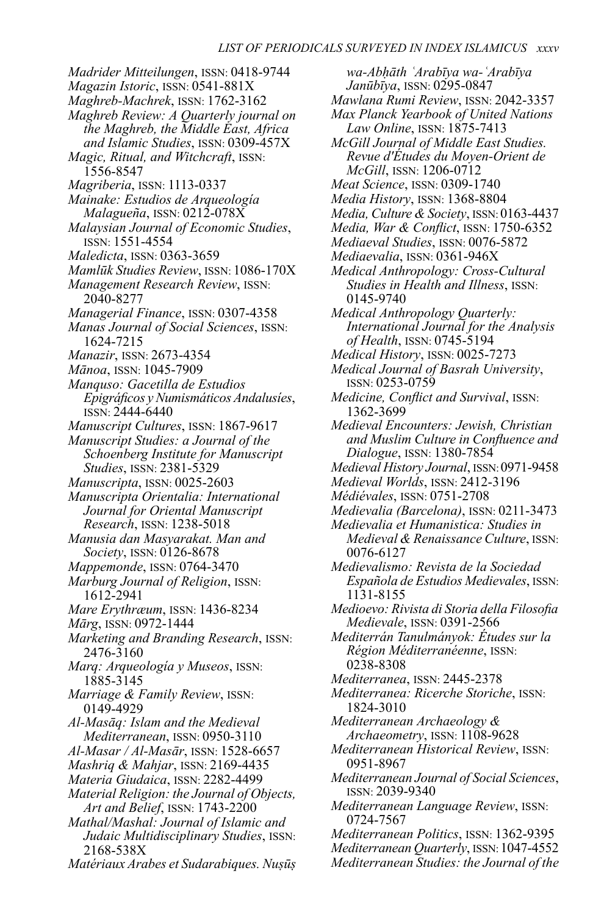*Madrider Mitteilungen*, ISSN: 0418-9744 *Magazin Istoric*, ISSN: 0541-881X *Maghreb-Machrek*, ISSN: 1762-3162 *Maghreb Review: A Quarterly journal on the Maghreb, the Middle East, Africa and Islamic Studies*, ISSN: 0309-457X *Magic, Ritual, and Witchcraft*, ISSN: 1556-8547 *Magriberia*, ISSN: 1113-0337 *Mainake: Estudios de Arqueología Malagueña*, ISSN: 0212-078X *Malaysian Journal of Economic Studies*, ISSN: 1551-4554 *Maledicta*, ISSN: 0363-3659 *Mamlūk Studies Review*, ISSN: 1086-170X *Management Research Review*, ISSN: 2040-8277 *Managerial Finance*, ISSN: 0307-4358 *Manas Journal of Social Sciences*, ISSN: 1624-7215 *Manazir*, ISSN: 2673-4354 *Mānoa*, ISSN: 1045-7909 *Manquso: Gacetilla de Estudios Epigráficos yNumismáticos Andalusíes*, ISSN: 2444-6440 *Manuscript Cultures*, ISSN: 1867-9617 *Manuscript Studies: a Journal of the Schoenberg Institute for Manuscript Studies*, ISSN: 2381-5329 *Manuscripta*, ISSN: 0025-2603 *Manuscripta Orientalia: International Journal for Oriental Manuscript Research*, ISSN: 1238-5018 *Manusia dan Masyarakat. Man and Society*, ISSN: 0126-8678 *Mappemonde*, ISSN: 0764-3470 *Marburg Journal of Religion*, ISSN: 1612-2941 *Mare Erythræum*, ISSN: 1436-8234 *Mārg*, ISSN: 0972-1444 *Marketing and Branding Research*, ISSN: 2476-3160 *Marq: Arqueología y Museos*, ISSN: 1885-3145 *Marriage & Family Review*, ISSN: 0149-4929 *Al-Masāq: Islam and the Medieval Mediterranean*, ISSN: 0950-3110 *Al-Masar / Al-Masār*, ISSN: 1528-6657 *Mashriq & Mahjar*, ISSN: 2169-4435 *Materia Giudaica*, ISSN: 2282-4499 *Material Religion: the Journal of Objects, Art and Belief*, ISSN: 1743-2200 *Mathal/Mashal: Journal of Islamic and Judaic Multidisciplinary Studies*, ISSN: 2168-538X *Matériaux Arabes et Sudarabiques. Nuṣūṣ*

*wa-Abḥāth ʿArabīya wa-ʿArabīya Janūbīya*, ISSN: 0295-0847 *Mawlana Rumi Review*, ISSN: 2042-3357 *Max Planck Yearbook of United Nations Law Online*, ISSN: 1875-7413 *McGill Journal of Middle East Studies. Revue d'Études du Moyen-Orient de McGill*, ISSN: 1206-0712 *Meat Science*, ISSN: 0309-1740 *Media History*, ISSN: 1368-8804 *Media, Culture & Society*, ISSN: 0163-4437 *Media, War & Conflict*, ISSN: 1750-6352 *Mediaeval Studies*, ISSN: 0076-5872 *Mediaevalia*, ISSN: 0361-946X *Medical Anthropology: Cross-Cultural Studies in Health and Illness*, ISSN: 0145-9740 *Medical Anthropology Quarterly: International Journal for the Analysis of Health*, ISSN: 0745-5194 *Medical History*, ISSN: 0025-7273 *Medical Journal of Basrah University*, ISSN: 0253-0759 *Medicine, Conflict and Survival*, ISSN: 1362-3699 *Medieval Encounters: Jewish, Christian and Muslim Culture in Confluence and Dialogue*, ISSN: 1380-7854 *Medieval History Journal*, ISSN:0971-9458 *Medieval Worlds*, ISSN: 2412-3196 *Médiévales*, ISSN: 0751-2708 *Medievalia (Barcelona)*, ISSN: 0211-3473 *Medievalia et Humanistica: Studies in Medieval & Renaissance Culture*, ISSN: 0076-6127 *Medievalismo: Revista de la Sociedad Española de Estudios Medievales*, ISSN: 1131-8155 *Medioevo: Rivista di Storia della Filosofia Medievale*, ISSN: 0391-2566 *Mediterrán Tanulmányok: Études sur la Région Méditerranéenne*, ISSN: 0238-8308 *Mediterranea*, ISSN: 2445-2378 *Mediterranea: Ricerche Storiche*, ISSN: 1824-3010 *Mediterranean Archaeology & Archaeometry*, ISSN: 1108-9628 *Mediterranean Historical Review*, ISSN: 0951-8967 *Mediterranean Journal of Social Sciences*, ISSN: 2039-9340 *Mediterranean Language Review*, ISSN: 0724-7567 *Mediterranean Politics*, ISSN: 1362-9395 *Mediterranean Quarterly*, ISSN:1047-4552 *Mediterranean Studies: the Journal of the*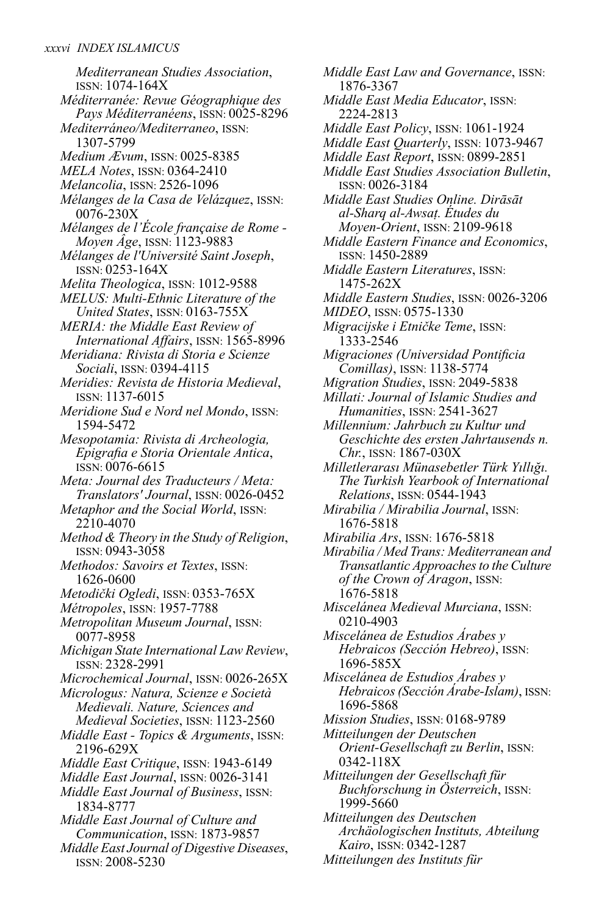*Mediterranean Studies Association*, ISSN: 1074-164X *Méditerranée: Revue Géographique des Pays Méditerranéens*, ISSN: 0025-8296 *Mediterráneo/Mediterraneo*, ISSN: 1307-5799 *Medium Ævum*, ISSN: 0025-8385 *MELA Notes*, ISSN: 0364-2410 *Melancolia*, ISSN: 2526-1096 *Mélanges de la Casa de Velázquez*, ISSN: 0076-230X *Mélanges de l'École française de Rome - Moyen Âge*, ISSN: 1123-9883 *Mélanges de l'Université Saint Joseph*, ISSN: 0253-164X *Melita Theologica*, ISSN: 1012-9588 *MELUS: Multi-Ethnic Literature of the United States*, ISSN: 0163-755X *MERIA: the Middle East Review of International Affairs*, ISSN: 1565-8996 *Meridiana: Rivista di Storia e Scienze Sociali*, ISSN: 0394-4115 *Meridies: Revista de Historia Medieval*, ISSN: 1137-6015 *Meridione Sud e Nord nel Mondo*, ISSN: 1594-5472 *Mesopotamia: Rivista di Archeologia, Epigrafia e Storia Orientale Antica*, ISSN: 0076-6615 *Meta: Journal des Traducteurs / Meta: Translators' Journal*, ISSN: 0026-0452 *Metaphor and the Social World*, ISSN: 2210-4070 *Method & Theory in the Study of Religion*, ISSN: 0943-3058 *Methodos: Savoirs et Textes*, ISSN: 1626-0600 *Metodički Ogledi*, ISSN: 0353-765X *Métropoles*, ISSN: 1957-7788 *Metropolitan Museum Journal*, ISSN: 0077-8958 *Michigan State InternationalLaw Review*, ISSN: 2328-2991 *Microchemical Journal*, ISSN: 0026-265X *Micrologus: Natura, Scienze e Società Medievali. Nature, Sciences and Medieval Societies*, ISSN: 1123-2560 *Middle East - Topics & Arguments*, ISSN: 2196-629X *Middle East Critique*, ISSN: 1943-6149 *Middle East Journal*, ISSN: 0026-3141 *Middle East Journal of Business*, ISSN: 1834-8777 *Middle East Journal of Culture and Communication*, ISSN: 1873-9857

*Middle East Journal of Digestive Diseases*, ISSN: 2008-5230

*Middle East Law and Governance*, ISSN: 1876-3367 *Middle East Media Educator*, ISSN: 2224-2813 *Middle East Policy*, ISSN: 1061-1924 *Middle East Quarterly*, ISSN: 1073-9467 *Middle East Report*, ISSN: 0899-2851 *Middle East Studies Association Bulletin*, ISSN: 0026-3184 *Middle East Studies Online. Dirāsāt al-Sharq al-Awsaṭ. Études du Moyen-Orient*, ISSN: 2109-9618 *Middle Eastern Finance and Economics*, ISSN: 1450-2889 *Middle Eastern Literatures*, ISSN: 1475-262X *Middle Eastern Studies*, ISSN: 0026-3206 *MIDEO*, ISSN: 0575-1330 *Migracijske i Etničke Teme*, ISSN: 1333-2546 *Migraciones (Universidad Pontificia Comillas)*, ISSN: 1138-5774 *Migration Studies*, ISSN: 2049-5838 *Millati: Journal of Islamic Studies and Humanities*, ISSN: 2541-3627 *Millennium: Jahrbuch zu Kultur und Geschichte des ersten Jahrtausends n. Chr.*, ISSN: 1867-030X *Milletlerarası Münasebetler Türk Yıllığı. The Turkish Yearbook of International Relations*, ISSN: 0544-1943 *Mirabilia / Mirabilia Journal*, ISSN: 1676-5818 *Mirabilia Ars*, ISSN: 1676-5818 *Mirabilia / MedTrans: Mediterranean and Transatlantic Approaches to the Culture of the Crown of Aragon*, ISSN: 1676-5818 *Miscelánea Medieval Murciana*, ISSN: 0210-4903 *Miscelánea de Estudios Árabes y Hebraicos (Sección Hebreo)*, ISSN: 1696-585X *Miscelánea de Estudios Árabes y Hebraicos(Sección Árabe-Islam)*, ISSN: 1696-5868 *Mission Studies*, ISSN: 0168-9789 *Mitteilungen der Deutschen Orient-Gesellschaft zu Berlin*, ISSN: 0342-118X *Mitteilungen der Gesellschaft für Buchforschung in Österreich*, ISSN: 1999-5660 *Mitteilungen des Deutschen Archäologischen Instituts, Abteilung Kairo*, ISSN: 0342-1287

*Mitteilungen des Instituts für*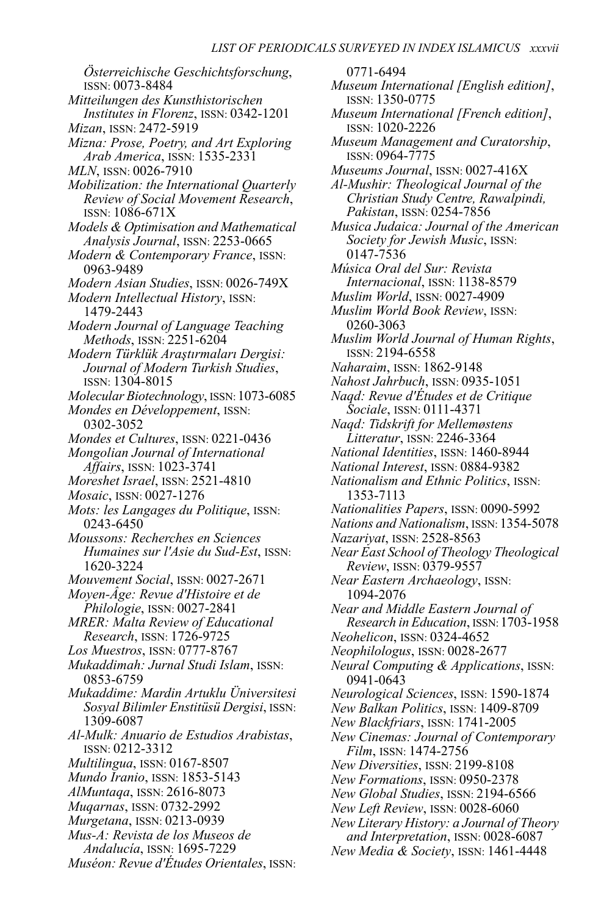*Österreichische Geschichtsforschung*, ISSN: 0073-8484 *Mitteilungen des Kunsthistorischen Institutes in Florenz*, ISSN: 0342-1201 *Mizan*, ISSN: 2472-5919 *Mizna: Prose, Poetry, and Art Exploring Arab America*, ISSN: 1535-2331 *MLN*, ISSN: 0026-7910 *Mobilization: the International Quarterly Review of Social Movement Research*, ISSN: 1086-671X *Models & Optimisation and Mathematical Analysis Journal*, ISSN: 2253-0665 *Modern & Contemporary France*, ISSN: 0963-9489 *Modern Asian Studies*, ISSN: 0026-749X *Modern Intellectual History*, ISSN: 1479-2443 *Modern Journal of Language Teaching Methods*, ISSN: 2251-6204 *Modern Türklük Araştırmaları Dergisi: Journal of Modern Turkish Studies*, ISSN: 1304-8015 *Molecular Biotechnology*, ISSN: 1073-6085 *Mondes en Développement*, ISSN: 0302-3052 *Mondes et Cultures*, ISSN: 0221-0436 *Mongolian Journal of International Affairs*, ISSN: 1023-3741 *Moreshet Israel*, ISSN: 2521-4810 *Mosaic*, ISSN: 0027-1276 *Mots: les Langages du Politique*, ISSN: 0243-6450 *Moussons: Recherches en Sciences Humaines sur l'Asie du Sud-Est*, ISSN: 1620-3224 *Mouvement Social*, ISSN: 0027-2671 *Moyen-Âge: Revue d'Histoire et de Philologie*, ISSN: 0027-2841 *MRER: Malta Review of Educational Research*, ISSN: 1726-9725 *Los Muestros*, ISSN: 0777-8767 *Mukaddimah: Jurnal Studi Islam*, ISSN: 0853-6759 *Mukaddime: Mardin Artuklu Üniversitesi Sosyal Bilimler Enstitüsü Dergisi*, ISSN: 1309-6087 *Al-Mulk: Anuario de Estudios Arabistas*, ISSN: 0212-3312 *Multilingua*, ISSN: 0167-8507 *Mundo Iranio*, ISSN: 1853-5143 *AlMuntaqa*, ISSN: 2616-8073 *Muqarnas*, ISSN: 0732-2992 *Murgetana*, ISSN: 0213-0939 *Mus-A: Revista de los Museos de Andalucía*, ISSN: 1695-7229 *Muséon: Revue d'Études Orientales*, ISSN:

0771-6494 *Museum International [English edition]*, ISSN: 1350-0775 *Museum International [French edition]*, ISSN: 1020-2226 *Museum Management and Curatorship*, ISSN: 0964-7775 *Museums Journal*, ISSN: 0027-416X *Al-Mushir: Theological Journal of the Christian Study Centre, Rawalpindi, Pakistan*, ISSN: 0254-7856 *Musica Judaica: Journal of the American Society for Jewish Music*, ISSN: 0147-7536 *Música Oral del Sur: Revista Internacional*, ISSN: 1138-8579 *Muslim World*, ISSN: 0027-4909 *Muslim World Book Review*, ISSN: 0260-3063 *Muslim World Journal of Human Rights*, ISSN: 2194-6558 *Naharaim*, ISSN: 1862-9148 *Nahost Jahrbuch*, ISSN: 0935-1051 *Naqd: Revue d'Études et de Critique Sociale*, ISSN: 0111-4371 *Naqd: Tidskrift for Mellemøstens Litteratur*, ISSN: 2246-3364 *National Identities*, ISSN: 1460-8944 *National Interest*, ISSN: 0884-9382 *Nationalism and Ethnic Politics*, ISSN: 1353-7113 *Nationalities Papers*, ISSN: 0090-5992 *Nations and Nationalism*, ISSN: 1354-5078 *Nazariyat*, ISSN: 2528-8563 *Near East School ofTheologyTheological Review*, ISSN: 0379-9557 *Near Eastern Archaeology*, ISSN: 1094-2076 *Near and Middle Eastern Journal of Research in Education*, ISSN: 1703-1958 *Neohelicon*, ISSN: 0324-4652 *Neophilologus*, ISSN: 0028-2677 *Neural Computing & Applications*, ISSN: 0941-0643 *Neurological Sciences*, ISSN: 1590-1874 *New Balkan Politics*, ISSN: 1409-8709 *New Blackfriars*, ISSN: 1741-2005 *New Cinemas: Journal of Contemporary Film*, ISSN: 1474-2756 *New Diversities*, ISSN: 2199-8108 *New Formations*, ISSN: 0950-2378 *New Global Studies*, ISSN: 2194-6566 *New Left Review*, ISSN: 0028-6060 *New Literary History: a Journal ofTheory and Interpretation*, ISSN: 0028-6087 *New Media & Society*, ISSN: 1461-4448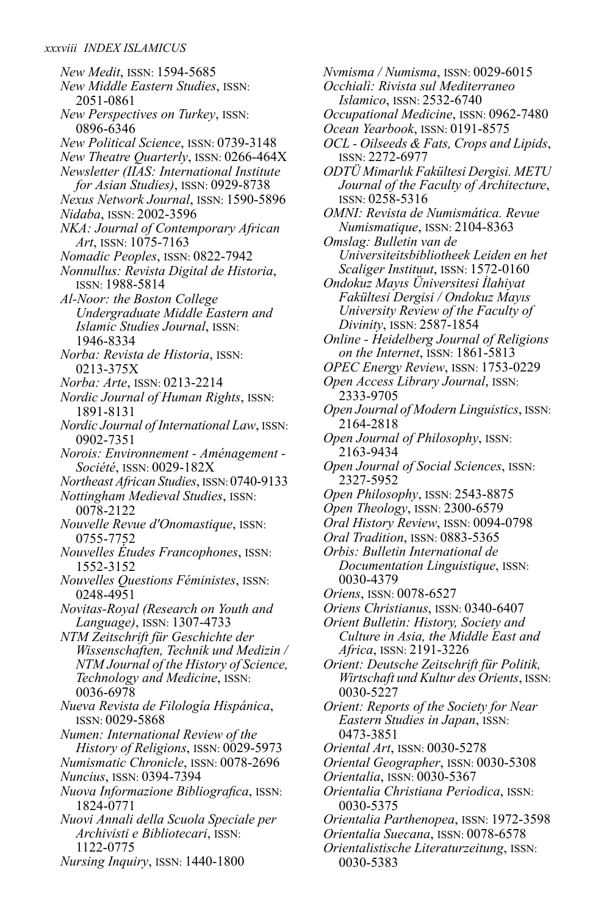*New Medit*, ISSN: 1594-5685 *New Middle Eastern Studies*, ISSN: 2051-0861 *New Perspectives on Turkey*, ISSN: 0896-6346 *New Political Science*, ISSN: 0739-3148 *New Theatre Quarterly*, ISSN: 0266-464X *Newsletter (IIAS: International Institute for Asian Studies)*, ISSN: 0929-8738 *Nexus Network Journal*, ISSN: 1590-5896 *Nidaba*, ISSN: 2002-3596 *NKA: Journal of Contemporary African Art*, ISSN: 1075-7163 *Nomadic Peoples*, ISSN: 0822-7942 *Nonnullus: Revista Digital de Historia*, ISSN: 1988-5814 *Al-Noor: the Boston College Undergraduate Middle Eastern and Islamic Studies Journal*, ISSN: 1946-8334 *Norba: Revista de Historia*, ISSN: 0213-375X *Norba: Arte*, ISSN: 0213-2214 *Nordic Journal of Human Rights*, ISSN: 1891-8131 *Nordic Journal of InternationalLaw*, ISSN: 0902-7351 *Norois: Environnement - Aménagement - Société*, ISSN: 0029-182X *Northeast African Studies*, ISSN:0740-9133 *Nottingham Medieval Studies*, ISSN: 0078-2122 *Nouvelle Revue d'Onomastique*, ISSN: 0755-7752 *Nouvelles Études Francophones*, ISSN: 1552-3152 *Nouvelles Questions Féministes*, ISSN: 0248-4951 *Novitas-Royal (Research on Youth and Language)*, ISSN: 1307-4733 *NTM Zeitschrift für Geschichte der Wissenschaften, Technik und Medizin / NTM Journal of the History of Science, Technology and Medicine*, ISSN: 0036-6978 *Nueva Revista de Filología Hispánica*, ISSN: 0029-5868 *Numen: International Review of the History of Religions*, ISSN: 0029-5973 *Numismatic Chronicle*, ISSN: 0078-2696 *Nuncius*, ISSN: 0394-7394 *Nuova Informazione Bibliografica*, ISSN: 1824-0771 *Nuovi Annali della Scuola Speciale per Archivisti e Bibliotecari*, ISSN: 1122-0775 *Nursing Inquiry*, ISSN: 1440-1800

*Nvmisma / Numisma*, ISSN: 0029-6015 *Occhialì: Rivista sul Mediterraneo Islamico*, ISSN: 2532-6740 *Occupational Medicine*, ISSN: 0962-7480 *Ocean Yearbook*, ISSN: 0191-8575 *OCL- Oilseeds & Fats, Crops andLipids*, ISSN: 2272-6977 *ODTÜ Mimarlık Fakültesi Dergisi. METU Journal of the Faculty of Architecture*, ISSN: 0258-5316 *OMNI: Revista de Numismática. Revue Numismatique*, ISSN: 2104-8363 *Omslag: Bulletin van de Universiteitsbibliotheek Leiden en het Scaliger Instituut*, ISSN: 1572-0160 *Ondokuz Mayıs Üniversitesi İlahiyat Fakültesi Dergisi / Ondokuz Mayıs University Review of the Faculty of Divinity*, ISSN: 2587-1854 *Online - Heidelberg Journal of Religions on the Internet*, ISSN: 1861-5813 *OPEC Energy Review*, ISSN: 1753-0229 *Open Access Library Journal*, ISSN: 2333-9705 *Open Journal of ModernLinguistics*, ISSN: 2164-2818 *Open Journal of Philosophy*, ISSN: 2163-9434 *Open Journal of Social Sciences*, ISSN: 2327-5952 *Open Philosophy*, ISSN: 2543-8875 *Open Theology*, ISSN: 2300-6579 *Oral History Review*, ISSN: 0094-0798 *Oral Tradition*, ISSN: 0883-5365 *Orbis: Bulletin International de Documentation Linguistique*, ISSN: 0030-4379 *Oriens*, ISSN: 0078-6527 *Oriens Christianus*, ISSN: 0340-6407 *Orient Bulletin: History, Society and Culture in Asia, the Middle East and Africa*, ISSN: 2191-3226 *Orient: Deutsche Zeitschrift für Politik, Wirtschaft und Kultur des Orients*, ISSN: 0030-5227 *Orient: Reports of the Society for Near Eastern Studies in Japan*, ISSN: 0473-3851 *Oriental Art*, ISSN: 0030-5278 *Oriental Geographer*, ISSN: 0030-5308 *Orientalia*, ISSN: 0030-5367 *Orientalia Christiana Periodica*, ISSN: 0030-5375 *Orientalia Parthenopea*, ISSN: 1972-3598 *Orientalia Suecana*, ISSN: 0078-6578 *Orientalistische Literaturzeitung*, ISSN: 0030-5383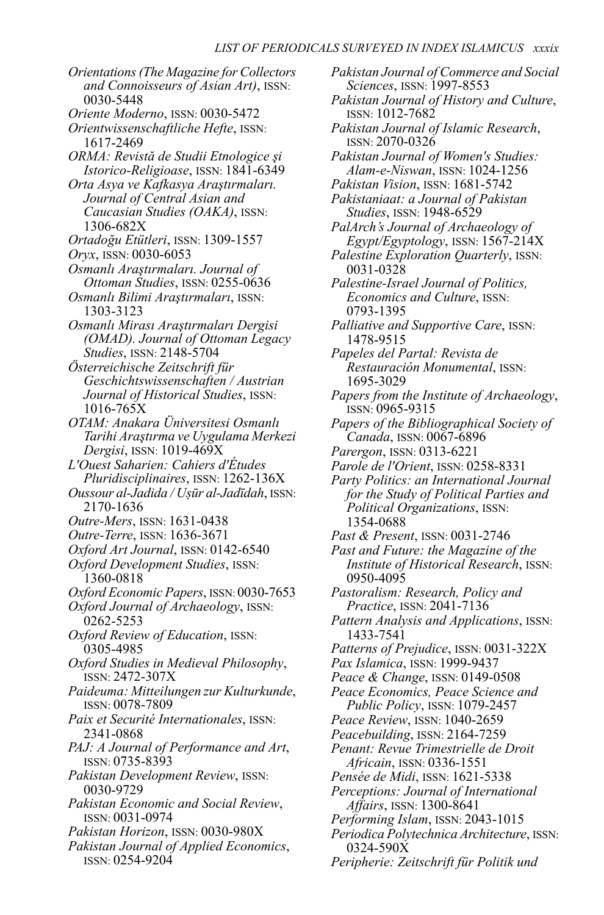*Orientations(The Magazine for Collectors and Connoisseurs of Asian Art)*, ISSN: 0030-5448 *Oriente Moderno*, ISSN: 0030-5472 *Orientwissenschaftliche Hefte*, ISSN: 1617-2469 *ORMA: Revistă de Studii Etnologice şi Istorico-Religioase*, ISSN: 1841-6349 *Orta Asya ve Kafkasya Araştırmaları. Journal of Central Asian and Caucasian Studies (OAKA)*, ISSN: 1306-682X *Ortadoğu Etütleri*, ISSN: 1309-1557 *Oryx*, ISSN: 0030-6053 *Osmanlı Araştırmaları. Journal of Ottoman Studies*, ISSN: 0255-0636 *Osmanlı Bilimi Araştırmaları*, ISSN: 1303-3123 *Osmanlı Mirası Araştırmaları Dergisi (OMAD). Journal of Ottoman Legacy Studies*, ISSN: 2148-5704 *Österreichische Zeitschrift für Geschichtswissenschaften / Austrian Journal of Historical Studies*, ISSN: 1016-765X *OTAM: Anakara Üniversitesi Osmanlı Tarihi Araştırma ve Uygulama Merkezi Dergisi*, ISSN: 1019-469X *L'Ouest Saharien: Cahiers d'Études Pluridisciplinaires*, ISSN: 1262-136X *Oussour al-Jadida / Uṣūr al-Jadīdah*, ISSN: 2170-1636 *Outre-Mers*, ISSN: 1631-0438 *Outre-Terre*, ISSN: 1636-3671 *Oxford Art Journal*, ISSN: 0142-6540 *Oxford Development Studies*, ISSN: 1360-0818 *Oxford Economic Papers*, ISSN: 0030-7653 *Oxford Journal of Archaeology*, ISSN: 0262-5253 *Oxford Review of Education*, ISSN: 0305-4985 *Oxford Studies in Medieval Philosophy*, ISSN: 2472-307X *Paideuma: Mitteilungen zur Kulturkunde*, ISSN: 0078-7809 *Paix et Securité Internationales*, ISSN: 2341-0868 *PAJ: A Journal of Performance and Art*, ISSN: 0735-8393 *Pakistan Development Review*, ISSN: 0030-9729 *Pakistan Economic and Social Review*, ISSN: 0031-0974 *Pakistan Horizon*, ISSN: 0030-980X *Pakistan Journal of Applied Economics*, ISSN: 0254-9204

*Pakistan Journal of Commerce and Social Sciences*, ISSN: 1997-8553 *Pakistan Journal of History and Culture*, ISSN: 1012-7682 *Pakistan Journal of Islamic Research*, ISSN: 2070-0326 *Pakistan Journal of Women's Studies: Alam-e-Niswan*, ISSN: 1024-1256 *Pakistan Vision*, ISSN: 1681-5742 *Pakistaniaat: a Journal of Pakistan Studies*, ISSN: 1948-6529 *PalArch's Journal of Archaeology of Egypt/Egyptology*, ISSN: 1567-214X *Palestine Exploration Quarterly*, ISSN: 0031-0328 *Palestine-Israel Journal of Politics, Economics and Culture*, ISSN: 0793-1395 *Palliative and Supportive Care*, ISSN: 1478-9515 *Papeles del Partal: Revista de Restauración Monumental*, ISSN: 1695-3029 *Papers from the Institute of Archaeology*, ISSN: 0965-9315 *Papers of the Bibliographical Society of Canada*, ISSN: 0067-6896 *Parergon*, ISSN: 0313-6221 *Parole de l'Orient*, ISSN: 0258-8331 *Party Politics: an International Journal for the Study of Political Parties and Political Organizations*, ISSN: 1354-0688 *Past & Present*, ISSN: 0031-2746 *Past and Future: the Magazine of the Institute of Historical Research*, ISSN: 0950-4095 *Pastoralism: Research, Policy and Practice*, ISSN: 2041-7136 *Pattern Analysis and Applications*, ISSN: 1433-7541 *Patterns of Prejudice*, ISSN: 0031-322X *Pax Islamica*, ISSN: 1999-9437 *Peace & Change*, ISSN: 0149-0508 *Peace Economics, Peace Science and Public Policy*, ISSN: 1079-2457 *Peace Review*, ISSN: 1040-2659 *Peacebuilding*, ISSN: 2164-7259 *Penant: Revue Trimestrielle de Droit Africain*, ISSN: 0336-1551 *Pensée de Midi*, ISSN: 1621-5338 *Perceptions: Journal of International Affairs*, ISSN: 1300-8641 *Performing Islam*, ISSN: 2043-1015 *Periodica Polytechnica Architecture*, ISSN: 0324-590X

*Peripherie: Zeitschrift für Politik und*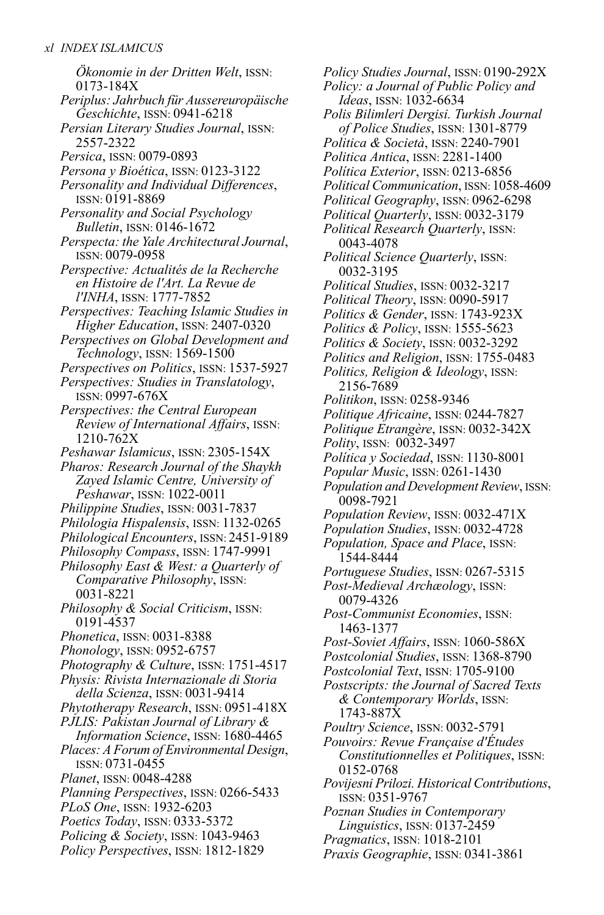*Ökonomie in der Dritten Welt*, ISSN: 0173-184X *Periplus: Jahrbuch für Aussereuropäische Geschichte*, ISSN: 0941-6218 *Persian Literary Studies Journal*, ISSN: 2557-2322 *Persica*, ISSN: 0079-0893 *Persona y Bioética*, ISSN: 0123-3122 *Personality and Individual Differences*, ISSN: 0191-8869 *Personality and Social Psychology Bulletin*, ISSN: 0146-1672 *Perspecta: the Yale Architectural Journal,* ISSN: 0079-0958 *Perspective: Actualités de la Recherche en Histoire de l'Art. La Revue de l'INHA*, ISSN: 1777-7852 *Perspectives: Teaching Islamic Studies in Higher Education*, ISSN: 2407-0320 *Perspectives on Global Development and Technology*, ISSN: 1569-1500 *Perspectives on Politics*, ISSN: 1537-5927 *Perspectives: Studies in Translatology*, ISSN: 0997-676X *Perspectives: the Central European Review of International Affairs*, ISSN: 1210-762X *Peshawar Islamicus*, ISSN: 2305-154X *Pharos: Research Journal of the Shaykh Zayed Islamic Centre, University of Peshawar*, ISSN: 1022-0011 *Philippine Studies*, ISSN: 0031-7837 *Philologia Hispalensis*, ISSN: 1132-0265 *Philological Encounters*, ISSN: 2451-9189 *Philosophy Compass*, ISSN: 1747-9991 *Philosophy East & West: a Quarterly of Comparative Philosophy*, ISSN: 0031-8221 *Philosophy & Social Criticism*, ISSN: 0191-4537 *Phonetica*, ISSN: 0031-8388 *Phonology*, ISSN: 0952-6757 *Photography & Culture*, ISSN: 1751-4517 *Physis: Rivista Internazionale di Storia della Scienza*, ISSN: 0031-9414 *Phytotherapy Research*, ISSN: 0951-418X *PJLIS: Pakistan Journal of Library & Information Science*, ISSN: 1680-4465 *Places: A Forum of Environmental Design*, ISSN: 0731-0455 *Planet*, ISSN: 0048-4288 *Planning Perspectives*, ISSN: 0266-5433 *PLoS One*, ISSN: 1932-6203 *Poetics Today*, ISSN: 0333-5372 *Policing & Society*, ISSN: 1043-9463 *Policy Perspectives*, ISSN: 1812-1829

*Policy Studies Journal*, ISSN: 0190-292X *Policy: a Journal of Public Policy and Ideas*, ISSN: 1032-6634 *Polis Bilimleri Dergisi. Turkish Journal of Police Studies*, ISSN: 1301-8779 *Politica & Società*, ISSN: 2240-7901 *Politica Antica*, ISSN: 2281-1400 *Política Exterior*, ISSN: 0213-6856 *Political Communication*, ISSN: 1058-4609 *Political Geography*, ISSN: 0962-6298 *Political Quarterly*, ISSN: 0032-3179 *Political Research Quarterly*, ISSN: 0043-4078 *Political Science Quarterly*, ISSN: 0032-3195 *Political Studies*, ISSN: 0032-3217 *Political Theory*, ISSN: 0090-5917 *Politics & Gender*, ISSN: 1743-923X *Politics & Policy*, ISSN: 1555-5623 *Politics & Society*, ISSN: 0032-3292 *Politics and Religion*, ISSN: 1755-0483 *Politics, Religion & Ideology*, ISSN: 2156-7689 *Politikon*, ISSN: 0258-9346 *Politique Africaine*, ISSN: 0244-7827 *Politique Etrangère*, ISSN: 0032-342X *Polity*, ISSN: 0032-3497 *Política y Sociedad*, ISSN: 1130-8001 *Popular Music*, ISSN: 0261-1430 *Population and Development Review*, ISSN: 0098-7921 *Population Review*, ISSN: 0032-471X *Population Studies*, ISSN: 0032-4728 *Population, Space and Place*, ISSN: 1544-8444 *Portuguese Studies*, ISSN: 0267-5315 *Post-Medieval Archæology*, ISSN: 0079-4326 *Post-Communist Economies*, ISSN: 1463-1377 *Post-Soviet Affairs*, ISSN: 1060-586X *Postcolonial Studies*, ISSN: 1368-8790 *Postcolonial Text*, ISSN: 1705-9100 *Postscripts: the Journal of Sacred Texts & Contemporary Worlds*, ISSN: 1743-887X *Poultry Science*, ISSN: 0032-5791 *Pouvoirs: Revue Française d'Études Constitutionnelles et Politiques*, ISSN: 0152-0768 *Povijesni Prilozi. Historical Contributions*, ISSN: 0351-9767 *Poznan Studies in Contemporary Linguistics*, ISSN: 0137-2459 *Pragmatics*, ISSN: 1018-2101

*Praxis Geographie*, ISSN: 0341-3861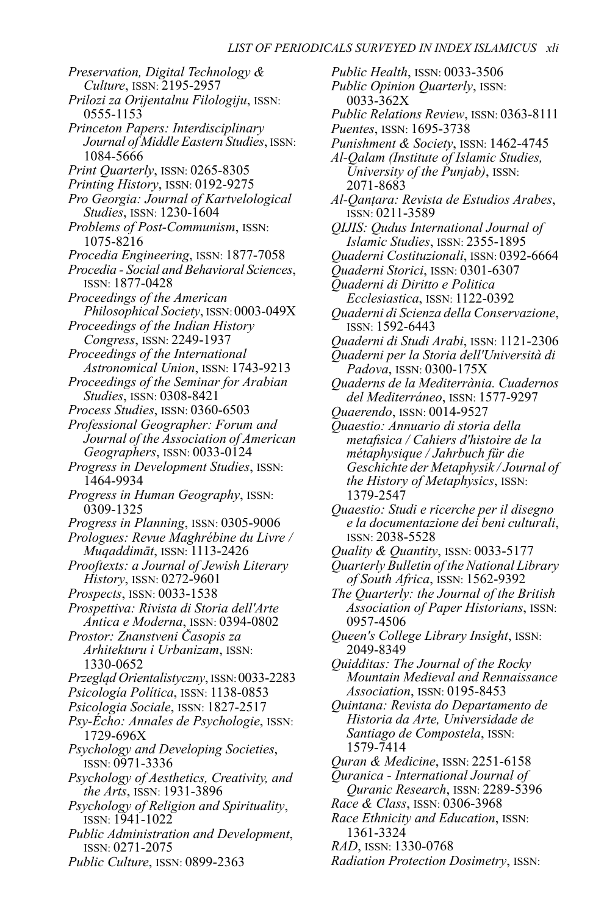*Preservation, Digital Technology & Culture*, ISSN: 2195-2957 *Prilozi za Orijentalnu Filologiju*, ISSN: 0555-1153 *Princeton Papers: Interdisciplinary Journal of Middle Eastern Studies*, ISSN: 1084-5666 *Print Quarterly*, ISSN: 0265-8305 *Printing History*, ISSN: 0192-9275 *Pro Georgia: Journal of Kartvelological Studies*, ISSN: 1230-1604 *Problems of Post-Communism*, ISSN: 1075-8216 *Procedia Engineering*, ISSN: 1877-7058 *Procedia - Social and Behavioral Sciences*, ISSN: 1877-0428 *Proceedings of the American Philosophical Society*, ISSN: 0003-049X *Proceedings of the Indian History Congress*, ISSN: 2249-1937 *Proceedings of the International Astronomical Union*, ISSN: 1743-9213 *Proceedings of the Seminar for Arabian Studies*, ISSN: 0308-8421 *Process Studies*, ISSN: 0360-6503 *Professional Geographer: Forum and Journal of the Association of American Geographers*, ISSN: 0033-0124 *Progress in Development Studies*, ISSN: 1464-9934 *Progress in Human Geography*, ISSN: 0309-1325 *Progress in Planning*, ISSN: 0305-9006 *Prologues: Revue Maghrébine du Livre / Muqaddimāt*, ISSN: 1113-2426 *Prooftexts: a Journal of Jewish Literary History*, ISSN: 0272-9601 *Prospects*, ISSN: 0033-1538 *Prospettiva: Rivista di Storia dell'Arte Antica e Moderna*, ISSN: 0394-0802 *Prostor: Znanstveni Časopis za Arhitekturu i Urbanizam*, ISSN: 1330-0652 *Przegląd Orientalistyczny*, ISSN:0033-2283 *Psicología Política*, ISSN: 1138-0853 *Psicologia Sociale*, ISSN: 1827-2517 *Psy-Écho: Annales de Psychologie*, ISSN: 1729-696X *Psychology and Developing Societies*, ISSN: 0971-3336 *Psychology of Aesthetics, Creativity, and the Arts*, ISSN: 1931-3896 *Psychology of Religion and Spirituality*, ISSN: 1941-1022 *Public Administration and Development*, ISSN: 0271-2075

*Public Culture*, ISSN: 0899-2363

*Public Health*, ISSN: 0033-3506 *Public Opinion Quarterly*, ISSN: 0033-362X *Public Relations Review*, ISSN: 0363-8111 *Puentes*, ISSN: 1695-3738 *Punishment & Society*, ISSN: 1462-4745 *Al-Qalam (Institute of Islamic Studies, University of the Punjab)*, ISSN: 2071-8683 *Al-Qanṭara: Revista de Estudios Arabes*, ISSN: 0211-3589 *QIJIS: Qudus International Journal of Islamic Studies*, ISSN: 2355-1895 *Quaderni Costituzionali*, ISSN: 0392-6664 *Quaderni Storici*, ISSN: 0301-6307 *Quaderni di Diritto e Politica Ecclesiastica*, ISSN: 1122-0392 *Quaderni di Scienza della Conservazione*, ISSN: 1592-6443 *Quaderni di Studi Arabi*, ISSN: 1121-2306 *Quaderni per la Storia dell'Università di Padova*, ISSN: 0300-175X *Quaderns de la Mediterrània. Cuadernos del Mediterráneo*, ISSN: 1577-9297 *Quaerendo*, ISSN: 0014-9527 *Quaestio: Annuario di storia della metafisica / Cahiers d'histoire de la métaphysique / Jahrbuch für die Geschichte der Metaphysik / Journal of the History of Metaphysics*, ISSN: 1379-2547 *Quaestio: Studi e ricerche per il disegno e la documentazione dei beni culturali*, ISSN: 2038-5528 *Quality & Quantity*, ISSN: 0033-5177 *Quarterly Bulletin of the NationalLibrary of South Africa*, ISSN: 1562-9392 *The Quarterly: the Journal of the British Association of Paper Historians*, ISSN: 0957-4506 *Queen's College Library Insight*, ISSN: 2049-8349 *Quidditas: The Journal of the Rocky Mountain Medieval and Rennaissance Association*, ISSN: 0195-8453 *Quintana: Revista do Departamento de Historia da Arte, Universidade de Santiago de Compostela*, ISSN: 1579-7414 *Quran & Medicine*, ISSN: 2251-6158 *Quranica - International Journal of Quranic Research*, ISSN: 2289-5396 *Race & Class*, ISSN: 0306-3968 *Race Ethnicity and Education*, ISSN: 1361-3324 *RAD*, ISSN: 1330-0768

*Radiation Protection Dosimetry*, ISSN: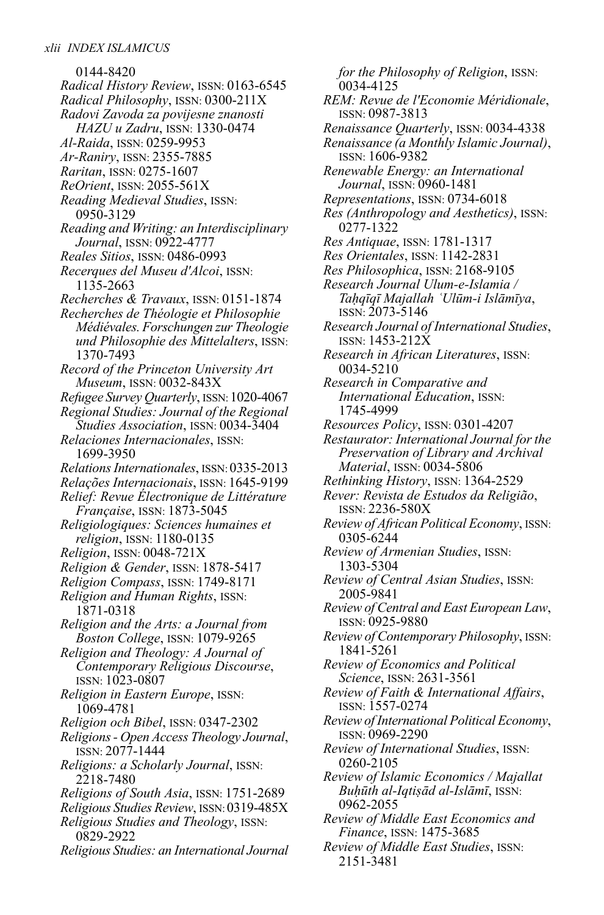0144-8420 *Radical History Review*, ISSN: 0163-6545 *Radical Philosophy*, ISSN: 0300-211X *Radovi Zavoda za povijesne znanosti HAZU u Zadru*, ISSN: 1330-0474 *Al-Raida*, ISSN: 0259-9953 *Ar-Raniry*, ISSN: 2355-7885 *Raritan*, ISSN: 0275-1607 *ReOrient*, ISSN: 2055-561X *Reading Medieval Studies*, ISSN: 0950-3129 *Reading and Writing: an Interdisciplinary Journal*, ISSN: 0922-4777 *Reales Sitios*, ISSN: 0486-0993 *Recerques del Museu d'Alcoi*, ISSN: 1135-2663 *Recherches & Travaux*, ISSN: 0151-1874 *Recherches de Théologie et Philosophie Médiévales. Forschungen zurTheologie und Philosophie des Mittelalters*, ISSN: 1370-7493 *Record of the Princeton University Art Museum*, ISSN: 0032-843X *Refugee Survey Quarterly*, ISSN:1020-4067 *Regional Studies: Journal of the Regional Studies Association*, ISSN: 0034-3404 *Relaciones Internacionales*, ISSN: 1699-3950 *RelationsInternationales*, ISSN: 0335-2013 *Relações Internacionais*, ISSN: 1645-9199 *Relief: Revue Électronique de Littérature Française*, ISSN: 1873-5045 *Religiologiques: Sciences humaines et religion*, ISSN: 1180-0135 *Religion*, ISSN: 0048-721X *Religion & Gender*, ISSN: 1878-5417 *Religion Compass*, ISSN: 1749-8171 *Religion and Human Rights*, ISSN: 1871-0318 *Religion and the Arts: a Journal from Boston College*, ISSN: 1079-9265 *Religion and Theology: A Journal of Contemporary Religious Discourse*, ISSN: 1023-0807 *Religion in Eastern Europe*, ISSN: 1069-4781 *Religion och Bibel*, ISSN: 0347-2302 *Religions- Open AccessTheology Journal*, ISSN: 2077-1444 *Religions: a Scholarly Journal*, ISSN: 2218-7480 *Religions of South Asia*, ISSN: 1751-2689 *Religious Studies Review*, ISSN: 0319-485X *Religious Studies and Theology*, ISSN: 0829-2922 *Religious Studies: an International Journal*

*for the Philosophy of Religion*, ISSN: 0034-4125 *REM: Revue de l'Economie Méridionale*, ISSN: 0987-3813 *Renaissance Quarterly*, ISSN: 0034-4338 *Renaissance (a Monthly Islamic Journal)*, ISSN: 1606-9382 *Renewable Energy: an International Journal*, ISSN: 0960-1481 *Representations*, ISSN: 0734-6018 *Res (Anthropology and Aesthetics)*, ISSN: 0277-1322 *Res Antiquae*, ISSN: 1781-1317 *Res Orientales*, ISSN: 1142-2831 *Res Philosophica*, ISSN: 2168-9105 *Research Journal Ulum-e-Islamia / Taḥqīqī Majallah ʿUlūm-i Islāmīya*, ISSN: 2073-5146 *Research Journal of International Studies*, ISSN: 1453-212X *Research in African Literatures*, ISSN: 0034-5210 *Research in Comparative and International Education*, ISSN: 1745-4999 *Resources Policy*, ISSN: 0301-4207 *Restaurator: International Journal for the Preservation of Library and Archival Material*, ISSN: 0034-5806 *Rethinking History*, ISSN: 1364-2529 *Rever: Revista de Estudos da Religião*, ISSN: 2236-580X *Review of African Political Economy*, ISSN: 0305-6244 *Review of Armenian Studies*, ISSN: 1303-5304 *Review of Central Asian Studies*, ISSN: 2005-9841 *Review of Central and East EuropeanLaw*, ISSN: 0925-9880 *Review of Contemporary Philosophy*, ISSN: 1841-5261 *Review of Economics and Political Science*, ISSN: 2631-3561 *Review of Faith & International Affairs*, ISSN: 1557-0274 *Review of International Political Economy*, ISSN: 0969-2290 *Review of International Studies*, ISSN: 0260-2105 *Review of Islamic Economics / Majallat Buḥūth al-Iqtiṣād al-Islāmī*, ISSN: 0962-2055 *Review of Middle East Economics and Finance*, ISSN: 1475-3685 *Review of Middle East Studies*, ISSN: 2151-3481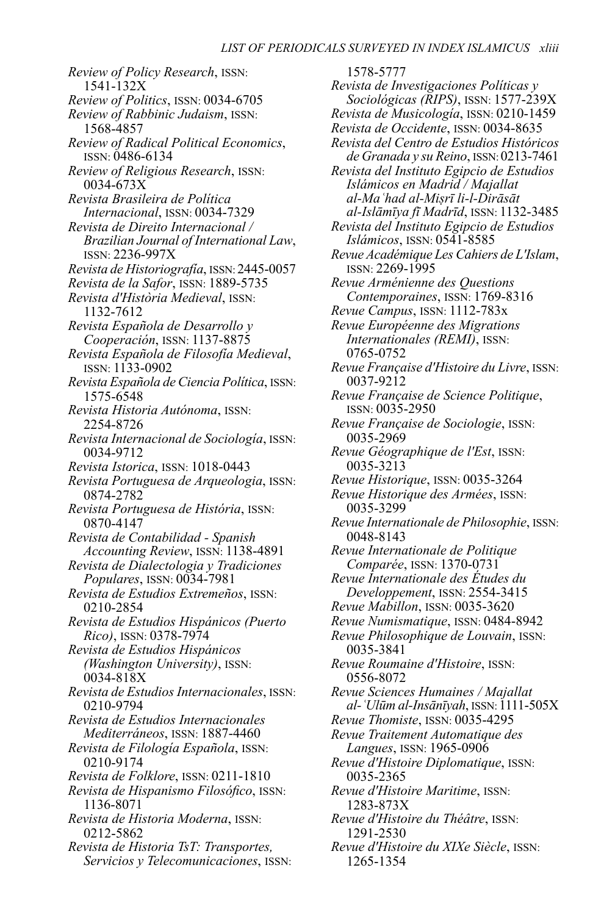*Review of Policy Research*, ISSN: 1541-132X *Review of Politics*, ISSN: 0034-6705 *Review of Rabbinic Judaism*, ISSN: 1568-4857 *Review of Radical Political Economics*, ISSN: 0486-6134 *Review of Religious Research*, ISSN: 0034-673X *Revista Brasileira de Política Internacional*, ISSN: 0034-7329 *Revista de Direito Internacional / Brazilian Journal of InternationalLaw*, ISSN: 2236-997X *Revista de Historiografía*, ISSN: 2445-0057 *Revista de la Safor*, ISSN: 1889-5735 *Revista d'Història Medieval*, ISSN: 1132-7612 *Revista Española de Desarrollo y Cooperación*, ISSN: 1137-8875 *Revista Española de Filosofía Medieval*, ISSN: 1133-0902 *Revista Española de Ciencia Política*, ISSN: 1575-6548 *Revista Historia Autónoma*, ISSN: 2254-8726 *Revista Internacional de Sociología*, ISSN: 0034-9712 *Revista Istorica*, ISSN: 1018-0443 *Revista Portuguesa de Arqueologia*, ISSN: 0874-2782 *Revista Portuguesa de História*, ISSN: 0870-4147 *Revista de Contabilidad - Spanish Accounting Review*, ISSN: 1138-4891 *Revista de Dialectologia y Tradiciones Populares*, ISSN: 0034-7981 *Revista de Estudios Extremeños*, ISSN: 0210-2854 *Revista de Estudios Hispánicos (Puerto Rico)*, ISSN: 0378-7974 *Revista de Estudios Hispánicos (Washington University)*, ISSN: 0034-818X *Revista de Estudios Internacionales*, ISSN: 0210-9794 *Revista de Estudios Internacionales Mediterráneos*, ISSN: 1887-4460 *Revista de Filología Española*, ISSN: 0210-9174 *Revista de Folklore*, ISSN: 0211-1810 *Revista de Hispanismo Filosófico*, ISSN: 1136-8071 *Revista de Historia Moderna*, ISSN: 0212-5862 *Revista de Historia TsT: Transportes, Servicios y Telecomunicaciones*, ISSN:

1578-5777 *Revista de Investigaciones Políticas y Sociológicas (RIPS)*, ISSN: 1577-239X *Revista de Musicología*, ISSN: 0210-1459 *Revista de Occidente*, ISSN: 0034-8635 *Revista del Centro de Estudios Históricos de Granada y su Reino*, ISSN:0213-7461 *Revista del Instituto Egipcio de Estudios Islámicos en Madrid / Majallat al-Maʿhad al-Miṣrī li-l-Dirāsāt al-Islāmīya fī Madrīd*, ISSN: 1132-3485 *Revista del Instituto Egipcio de Estudios Islámicos*, ISSN: 0541-8585 *Revue AcadémiqueLes Cahiers deL'Islam*, ISSN: 2269-1995 *Revue Arménienne des Questions Contemporaines*, ISSN: 1769-8316 *Revue Campus*, ISSN: 1112-783x *Revue Européenne des Migrations Internationales (REMI)*, ISSN: 0765-0752 *Revue Française d'Histoire duLivre*, ISSN: 0037-9212 *Revue Française de Science Politique*, ISSN: 0035-2950 *Revue Française de Sociologie*, ISSN: 0035-2969 *Revue Géographique de l'Est*, ISSN: 0035-3213 *Revue Historique*, ISSN: 0035-3264 *Revue Historique des Armées*, ISSN: 0035-3299 *Revue Internationale de Philosophie*, ISSN: 0048-8143 *Revue Internationale de Politique Comparée*, ISSN: 1370-0731 *Revue Internationale des Études du Developpement*, ISSN: 2554-3415 *Revue Mabillon*, ISSN: 0035-3620 *Revue Numismatique*, ISSN: 0484-8942 *Revue Philosophique de Louvain*, ISSN: 0035-3841 *Revue Roumaine d'Histoire*, ISSN: 0556-8072 *Revue Sciences Humaines / Majallat al-ʿUlūm al-Insānīyah*, ISSN:1111-505X *Revue Thomiste*, ISSN: 0035-4295 *Revue Traitement Automatique des Langues*, ISSN: 1965-0906 *Revue d'Histoire Diplomatique*, ISSN: 0035-2365 *Revue d'Histoire Maritime*, ISSN: 1283-873X *Revue d'Histoire du Théâtre*, ISSN: 1291-2530 *Revue d'Histoire du XIXe Siècle*, ISSN: 1265-1354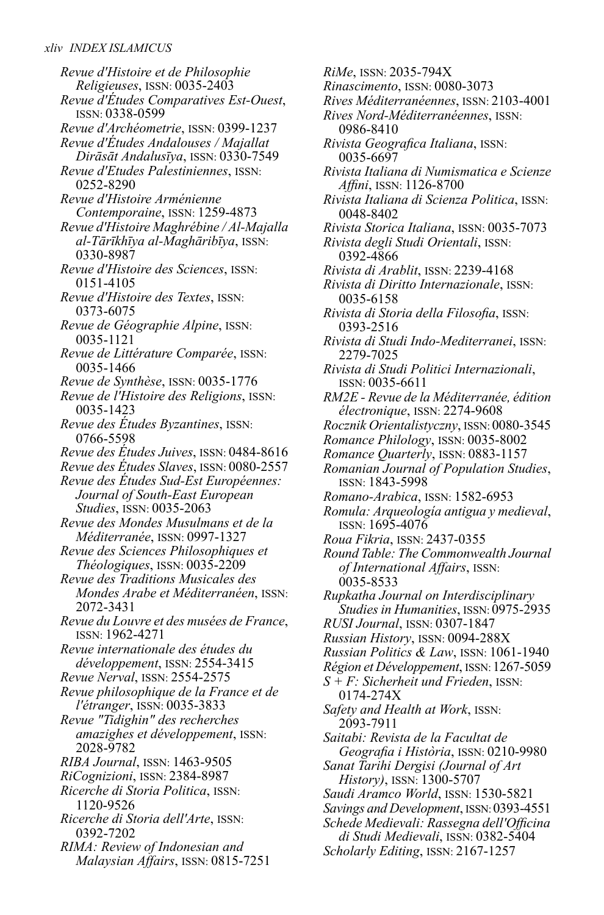*Revue d'Histoire et de Philosophie Religieuses*, ISSN: 0035-2403 *Revue d'Études Comparatives Est-Ouest*, ISSN: 0338-0599 *Revue d'Archéometrie*, ISSN: 0399-1237 *Revue d'Études Andalouses / Majallat Dirāsāt Andalusīya*, ISSN: 0330-7549 *Revue d'Etudes Palestiniennes*, ISSN: 0252-8290 *Revue d'Histoire Arménienne Contemporaine*, ISSN: 1259-4873 *Revue d'Histoire Maghrébine / Al-Majalla al-Tārīkhīya al-Maghāribīya*, ISSN: 0330-8987 *Revue d'Histoire des Sciences*, ISSN: 0151-4105 *Revue d'Histoire des Textes*, ISSN: 0373-6075 *Revue de Géographie Alpine*, ISSN: 0035-1121 *Revue de Littérature Comparée*, ISSN: 0035-1466 *Revue de Synthèse*, ISSN: 0035-1776 *Revue de l'Histoire des Religions*, ISSN: 0035-1423 *Revue des Études Byzantines*, ISSN: 0766-5598 *Revue des Études Juives*, ISSN: 0484-8616 *Revue des Études Slaves*, ISSN: 0080-2557 *Revue des Études Sud-Est Européennes: Journal of South-East European Studies*, ISSN: 0035-2063 *Revue des Mondes Musulmans et de la Méditerranée*, ISSN: 0997-1327 *Revue des Sciences Philosophiques et Théologiques*, ISSN: 0035-2209 *Revue des Traditions Musicales des Mondes Arabe et Méditerranéen*, ISSN: 2072-3431 *Revue duLouvre et des musées de France*, ISSN: 1962-4271 *Revue internationale des études du développement*, ISSN: 2554-3415 *Revue Nerval*, ISSN: 2554-2575 *Revue philosophique de la France et de l'étranger*, ISSN: 0035-3833 *Revue "Tidighin" des recherches amazighes et développement*, ISSN: 2028-9782 *RIBA Journal*, ISSN: 1463-9505 *RiCognizioni*, ISSN: 2384-8987 *Ricerche di Storia Politica*, ISSN: 1120-9526 *Ricerche di Storia dell'Arte*, ISSN: 0392-7202 *RIMA: Review of Indonesian and Malaysian Affairs*, ISSN: 0815-7251

*RiMe*, ISSN: 2035-794X *Rinascimento*, ISSN: 0080-3073 *Rives Méditerranéennes*, ISSN: 2103-4001 *Rives Nord-Méditerranéennes*, ISSN: 0986-8410 *Rivista Geografica Italiana*, ISSN: 0035-6697 *Rivista Italiana di Numismatica e Scienze Affini*, ISSN: 1126-8700 *Rivista Italiana di Scienza Politica*, ISSN: 0048-8402 *Rivista Storica Italiana*, ISSN: 0035-7073 *Rivista degli Studi Orientali*, ISSN: 0392-4866 *Rivista di Arablit*, ISSN: 2239-4168 *Rivista di Diritto Internazionale*, ISSN: 0035-6158 *Rivista di Storia della Filosofia*, ISSN: 0393-2516 *Rivista di Studi Indo-Mediterranei*, ISSN: 2279-7025 *Rivista di Studi Politici Internazionali*, ISSN: 0035-6611 *RM2E - Revue de la Méditerranée, édition électronique*, ISSN: 2274-9608 *Rocznik Orientalistyczny*, ISSN: 0080-3545 *Romance Philology*, ISSN: 0035-8002 *Romance Quarterly*, ISSN: 0883-1157 *Romanian Journal of Population Studies*, ISSN: 1843-5998 *Romano-Arabica*, ISSN: 1582-6953 *Romula: Arqueología antigua y medieval*, ISSN: 1695-4076 *Roua Fikria*, ISSN: 2437-0355 *RoundTable:The Commonwealth Journal of International Affairs*, ISSN: 0035-8533 *Rupkatha Journal on Interdisciplinary Studiesin Humanities*, ISSN: 0975-2935 *RUSI Journal*, ISSN: 0307-1847 *Russian History*, ISSN: 0094-288X *Russian Politics & Law*, ISSN: 1061-1940 *Région et Développement*, ISSN:1267-5059 *S + F: Sicherheit und Frieden*, ISSN: 0174-274X *Safety and Health at Work*, ISSN: 2093-7911 *Saitabi: Revista de la Facultat de Geografia i Història*, ISSN: 0210-9980 *Sanat Tarihi Dergisi (Journal of Art History)*, ISSN: 1300-5707 *Saudi Aramco World*, ISSN: 1530-5821 *Savings and Development*, ISSN:0393-4551 *Schede Medievali: Rassegna dell'Officina di Studi Medievali*, ISSN: 0382-5404 *Scholarly Editing*, ISSN: 2167-1257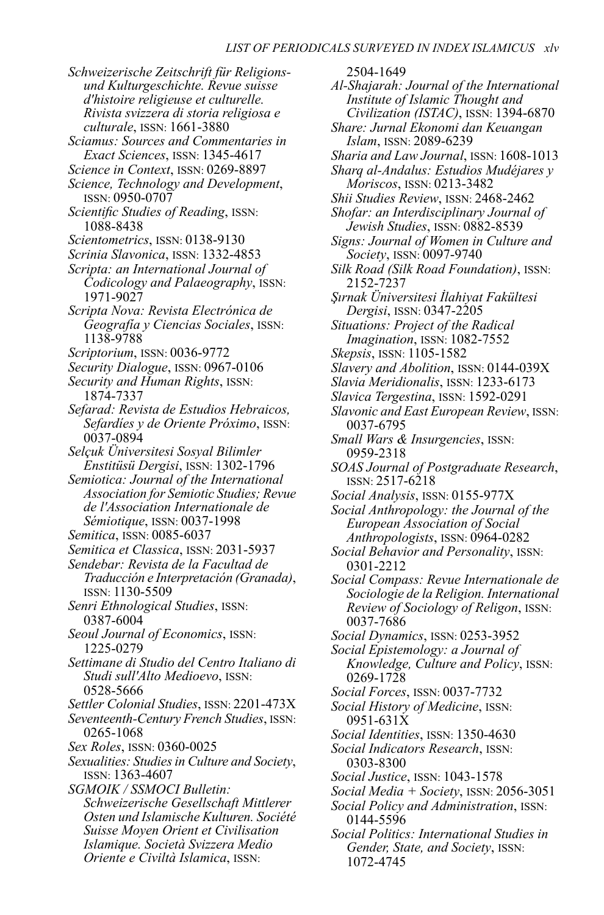- *Schweizerische Zeitschrift für Religionsund Kulturgeschichte. Revue suisse d'histoire religieuse et culturelle. Rivista svizzera di storia religiosa e culturale*, ISSN: 1661-3880
- *Sciamus: Sources and Commentaries in Exact Sciences*, ISSN: 1345-4617
- *Science in Context*, ISSN: 0269-8897
- *Science, Technology and Development*, ISSN: 0950-0707
- *Scientific Studies of Reading*, ISSN: 1088-8438
- *Scientometrics*, ISSN: 0138-9130
- *Scrinia Slavonica*, ISSN: 1332-4853
- *Scripta: an International Journal of Codicology and Palaeography*, ISSN: 1971-9027
- *Scripta Nova: Revista Electrónica de Geografía y Ciencias Sociales*, ISSN: 1138-9788
- *Scriptorium*, ISSN: 0036-9772
- *Security Dialogue*, ISSN: 0967-0106
- *Security and Human Rights*, ISSN: 1874-7337
- *Sefarad: Revista de Estudios Hebraicos, Sefardíes y de Oriente Próximo*, ISSN: 0037-0894
- *Selçuk Üniversitesi Sosyal Bilimler Enstitüsü Dergisi*, ISSN: 1302-1796
- *Semiotica: Journal of the International Association for Semiotic Studies; Revue de l'Association Internationale de Sémiotique*, ISSN: 0037-1998
- *Semitica*, ISSN: 0085-6037
- *Semitica et Classica*, ISSN: 2031-5937
- *Sendebar: Revista de la Facultad de Traducción e Interpretación (Granada)*, ISSN: 1130-5509
- *Senri Ethnological Studies*, ISSN: 0387-6004
- *Seoul Journal of Economics*, ISSN: 1225-0279
- *Settimane di Studio del Centro Italiano di Studi sull'Alto Medioevo*, ISSN: 0528-5666
- *Settler Colonial Studies*, ISSN: 2201-473X
- *Seventeenth-Century French Studies*, ISSN: 0265-1068
- *Sex Roles*, ISSN: 0360-0025
- *Sexualities: Studiesin Culture and Society*, ISSN: 1363-4607
- *SGMOIK / SSMOCI Bulletin: Schweizerische Gesellschaft Mittlerer Osten und Islamische Kulturen. Société Suisse Moyen Orient et Civilisation Islamique. Società Svizzera Medio Oriente e Civiltà Islamica*, ISSN:

2504-1649 *Al-Shajarah: Journal of the International Institute of Islamic Thought and Civilization (ISTAC)*, ISSN: 1394-6870 *Share: Jurnal Ekonomi dan Keuangan Islam*, ISSN: 2089-6239 *Sharia and Law Journal*, ISSN: 1608-1013 *Sharq al-Andalus: Estudios Mudéjares y Moriscos*, ISSN: 0213-3482 *Shii Studies Review*, ISSN: 2468-2462 *Shofar: an Interdisciplinary Journal of Jewish Studies*, ISSN: 0882-8539 *Signs: Journal of Women in Culture and Society*, ISSN: 0097-9740 *Silk Road (Silk Road Foundation)*, ISSN: 2152-7237 *Şırnak Üniversitesi İlahiyat Fakültesi Dergisi*, ISSN: 0347-2205 *Situations: Project of the Radical Imagination*, ISSN: 1082-7552 *Skepsis*, ISSN: 1105-1582 *Slavery and Abolition*, ISSN: 0144-039X *Slavia Meridionalis*, ISSN: 1233-6173 *Slavica Tergestina*, ISSN: 1592-0291 *Slavonic and East European Review*, ISSN: 0037-6795 *Small Wars & Insurgencies*, ISSN: 0959-2318 *SOAS Journal of Postgraduate Research*, ISSN: 2517-6218 *Social Analysis*, ISSN: 0155-977X *Social Anthropology: the Journal of the European Association of Social Anthropologists*, ISSN: 0964-0282 *Social Behavior and Personality*, ISSN: 0301-2212 *Social Compass: Revue Internationale de Sociologie de la Religion. International Review of Sociology of Religon*, ISSN: 0037-7686 *Social Dynamics*, ISSN: 0253-3952 *Social Epistemology: a Journal of Knowledge, Culture and Policy*, ISSN: 0269-1728 *Social Forces*, ISSN: 0037-7732 *Social History of Medicine*, ISSN: 0951-631X *Social Identities*, ISSN: 1350-4630 *Social Indicators Research*, ISSN: 0303-8300 *Social Justice*, ISSN: 1043-1578 *Social Media + Society*, ISSN: 2056-3051 *Social Policy and Administration*, ISSN: 0144-5596

*Social Politics: International Studies in Gender, State, and Society*, ISSN: 1072-4745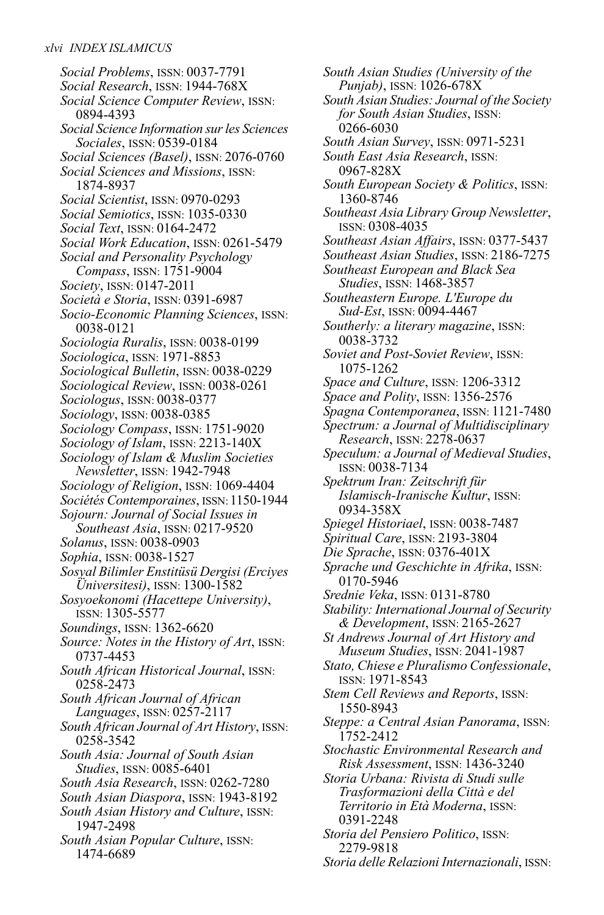*Social Problems*, ISSN: 0037-7791 *Social Research*, ISSN: 1944-768X *Social Science Computer Review*, ISSN: 0894-4393 *Social Science Information surles Sciences Sociales*, ISSN: 0539-0184 *Social Sciences (Basel)*, ISSN: 2076-0760 *Social Sciences and Missions*, ISSN: 1874-8937 *Social Scientist*, ISSN: 0970-0293 *Social Semiotics*, ISSN: 1035-0330 *Social Text*, ISSN: 0164-2472 *Social Work Education*, ISSN: 0261-5479 *Social and Personality Psychology Compass*, ISSN: 1751-9004 *Society*, ISSN: 0147-2011 *Società e Storia*, ISSN: 0391-6987 *Socio-Economic Planning Sciences*, ISSN: 0038-0121 *Sociologia Ruralis*, ISSN: 0038-0199 *Sociologica*, ISSN: 1971-8853 *Sociological Bulletin*, ISSN: 0038-0229 *Sociological Review*, ISSN: 0038-0261 *Sociologus*, ISSN: 0038-0377 *Sociology*, ISSN: 0038-0385 *Sociology Compass*, ISSN: 1751-9020 *Sociology of Islam*, ISSN: 2213-140X *Sociology of Islam & Muslim Societies Newsletter*, ISSN: 1942-7948 *Sociology of Religion*, ISSN: 1069-4404 *Sociétés Contemporaines*, ISSN: 1150-1944 *Sojourn: Journal of Social Issues in Southeast Asia*, ISSN: 0217-9520 *Solanus*, ISSN: 0038-0903 *Sophia*, ISSN: 0038-1527 *Sosyal Bilimler Enstitüsü Dergisi (Erciyes Üniversitesi)*, ISSN: 1300-1582 *Sosyoekonomi (Hacettepe University)*, ISSN: 1305-5577 *Soundings*, ISSN: 1362-6620 *Source: Notes in the History of Art*, ISSN: 0737-4453 *South African Historical Journal*, ISSN: 0258-2473 *South African Journal of African Languages*, ISSN: 0257-2117 *South African Journal of Art History*, ISSN: 0258-3542 *South Asia: Journal of South Asian Studies*, ISSN: 0085-6401 *South Asia Research*, ISSN: 0262-7280 *South Asian Diaspora*, ISSN: 1943-8192 *South Asian History and Culture*, ISSN: 1947-2498 *South Asian Popular Culture*, ISSN: 1474-6689

*South Asian Studies (University of the Punjab)*, ISSN: 1026-678X *South Asian Studies: Journal of the Society for South Asian Studies*, ISSN: 0266-6030 *South Asian Survey*, ISSN: 0971-5231 *South East Asia Research*, ISSN: 0967-828X *South European Society & Politics*, ISSN: 1360-8746 *Southeast AsiaLibrary Group Newsletter*, ISSN: 0308-4035 *Southeast Asian Affairs*, ISSN: 0377-5437 *Southeast Asian Studies*, ISSN: 2186-7275 *Southeast European and Black Sea Studies*, ISSN: 1468-3857 *Southeastern Europe. L'Europe du Sud-Est*, ISSN: 0094-4467 *Southerly: a literary magazine*, ISSN: 0038-3732 *Soviet and Post-Soviet Review*, ISSN: 1075-1262 *Space and Culture*, ISSN: 1206-3312 *Space and Polity*, ISSN: 1356-2576 *Spagna Contemporanea*, ISSN: 1121-7480 *Spectrum: a Journal of Multidisciplinary Research*, ISSN: 2278-0637 *Speculum: a Journal of Medieval Studies*, ISSN: 0038-7134 *Spektrum Iran: Zeitschrift für Islamisch-Iranische Kultur*, ISSN: 0934-358X *Spiegel Historiael*, ISSN: 0038-7487 *Spiritual Care*, ISSN: 2193-3804 *Die Sprache*, ISSN: 0376-401X *Sprache und Geschichte in Afrika*, ISSN: 0170-5946 *Srednie Veka*, ISSN: 0131-8780 *Stability: International Journal of Security & Development*, ISSN: 2165-2627 *St Andrews Journal of Art History and Museum Studies*, ISSN: 2041-1987 *Stato, Chiese e Pluralismo Confessionale*, ISSN: 1971-8543 *Stem Cell Reviews and Reports*, ISSN: 1550-8943 *Steppe: a Central Asian Panorama*, ISSN: 1752-2412 *Stochastic Environmental Research and Risk Assessment*, ISSN: 1436-3240 *Storia Urbana: Rivista di Studi sulle Trasformazioni della Città e del Territorio in Età Moderna*, ISSN: 0391-2248 *Storia del Pensiero Politico*, ISSN: 2279-9818

*Storia delle Relazioni Internazionali*, ISSN: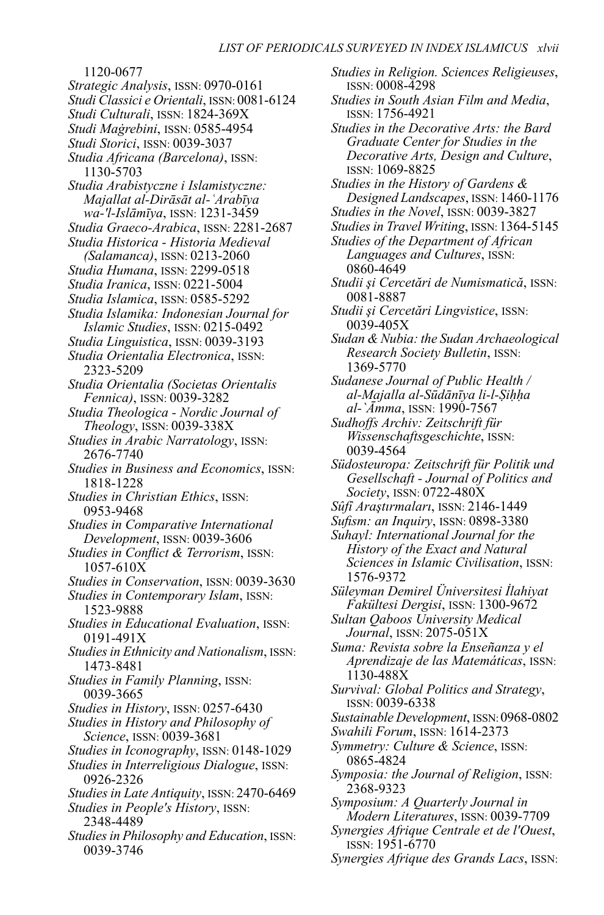1120-0677 *Strategic Analysis*, ISSN: 0970-0161 *Studi Classici e Orientali*, ISSN: 0081-6124 *Studi Culturali*, ISSN: 1824-369X *Studi Maġrebini*, ISSN: 0585-4954 *Studi Storici*, ISSN: 0039-3037 *Studia Africana (Barcelona)*, ISSN: 1130-5703 *Studia Arabistyczne i Islamistyczne: Majallat al-Dirāsāt al-ʿArabīya wa-'l-Islāmīya*, ISSN: 1231-3459 *Studia Graeco-Arabica*, ISSN: 2281-2687 *Studia Historica - Historia Medieval (Salamanca)*, ISSN: 0213-2060 *Studia Humana*, ISSN: 2299-0518 *Studia Iranica*, ISSN: 0221-5004 *Studia Islamica*, ISSN: 0585-5292 *Studia Islamika: Indonesian Journal for Islamic Studies*, ISSN: 0215-0492 *Studia Linguistica*, ISSN: 0039-3193 *Studia Orientalia Electronica*, ISSN: 2323-5209 *Studia Orientalia (Societas Orientalis Fennica)*, ISSN: 0039-3282 *Studia Theologica - Nordic Journal of Theology*, ISSN: 0039-338X *Studies in Arabic Narratology*, ISSN: 2676-7740 *Studies in Business and Economics*, ISSN: 1818-1228 *Studies in Christian Ethics*, ISSN: 0953-9468 *Studies in Comparative International Development*, ISSN: 0039-3606 *Studies in Conflict & Terrorism*, ISSN: 1057-610X *Studies in Conservation*, ISSN: 0039-3630 *Studies in Contemporary Islam*, ISSN: 1523-9888 *Studies in Educational Evaluation*, ISSN: 0191-491X *Studiesin Ethnicity and Nationalism*, ISSN: 1473-8481 *Studies in Family Planning*, ISSN: 0039-3665 *Studies in History*, ISSN: 0257-6430 *Studies in History and Philosophy of Science*, ISSN: 0039-3681 *Studies in Iconography*, ISSN: 0148-1029 *Studies in Interreligious Dialogue*, ISSN: 0926-2326 *Studies inLate Antiquity*, ISSN: 2470-6469 *Studies in People's History*, ISSN: 2348-4489 *Studiesin Philosophy and Education*, ISSN: 0039-3746

*Studies in Religion. Sciences Religieuses*, ISSN: 0008-4298 *Studies in South Asian Film and Media*, ISSN: 1756-4921 *Studies in the Decorative Arts: the Bard Graduate Center for Studies in the Decorative Arts, Design and Culture*, ISSN: 1069-8825 *Studies in the History of Gardens & DesignedLandscapes*, ISSN: 1460-1176 *Studies in the Novel*, ISSN: 0039-3827 *StudiesinTravel Writing*, ISSN: 1364-5145 *Studies of the Department of African Languages and Cultures*, ISSN: 0860-4649 *Studii şi Cercetări de Numismatică*, ISSN: 0081-8887 *Studii şi Cercetări Lingvistice*, ISSN: 0039-405X *Sudan & Nubia: the Sudan Archaeological Research Society Bulletin*, ISSN: 1369-5770 *Sudanese Journal of Public Health / al-Majalla al-Sūdānīya li-l-Ṣiḥḥa al-`Āmma*, ISSN: 1990-7567 *Sudhoffs Archiv: Zeitschrift für Wissenschaftsgeschichte*, ISSN: 0039-4564 *Südosteuropa: Zeitschrift für Politik und Gesellschaft - Journal of Politics and Society*, ISSN: 0722-480X *Sûfî Araştırmaları*, ISSN: 2146-1449 *Sufism: an Inquiry*, ISSN: 0898-3380 *Suhayl: International Journal for the History of the Exact and Natural Sciences in Islamic Civilisation*, ISSN: 1576-9372 *Süleyman Demirel Üniversitesi İlahiyat Fakültesi Dergisi*, ISSN: 1300-9672 *Sultan Qaboos University Medical Journal*, ISSN: 2075-051X *Suma: Revista sobre la Enseñanza y el Aprendizaje de las Matemáticas*, ISSN: 1130-488X *Survival: Global Politics and Strategy*, ISSN: 0039-6338 *Sustainable Development*, ISSN:0968-0802 *Swahili Forum*, ISSN: 1614-2373 *Symmetry: Culture & Science*, ISSN: 0865-4824 *Symposia: the Journal of Religion*, ISSN: 2368-9323 *Symposium: A Quarterly Journal in Modern Literatures*, ISSN: 0039-7709 *Synergies Afrique Centrale et de l'Ouest*, ISSN: 1951-6770

*Synergies Afrique des Grands Lacs*, ISSN: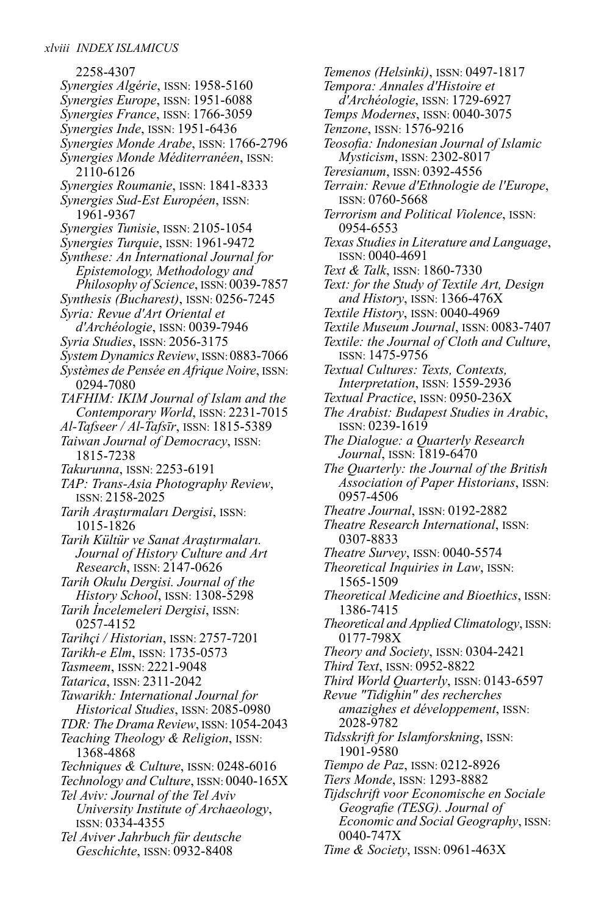2258-4307 *Synergies Algérie*, ISSN: 1958-5160 *Synergies Europe*, ISSN: 1951-6088 *Synergies France*, ISSN: 1766-3059 *Synergies Inde*, ISSN: 1951-6436 *Synergies Monde Arabe*, ISSN: 1766-2796 *Synergies Monde Méditerranéen*, ISSN: 2110-6126 *Synergies Roumanie*, ISSN: 1841-8333 *Synergies Sud-Est Européen*, ISSN: 1961-9367 *Synergies Tunisie*, ISSN: 2105-1054 *Synergies Turquie*, ISSN: 1961-9472 *Synthese: An International Journal for Epistemology, Methodology and Philosophy of Science*, ISSN: 0039-7857 *Synthesis (Bucharest)*, ISSN: 0256-7245 *Syria: Revue d'Art Oriental et d'Archéologie*, ISSN: 0039-7946 *Syria Studies*, ISSN: 2056-3175 *System Dynamics Review*, ISSN: 0883-7066 *Systèmes de Pensée en Afrique Noire*, ISSN: 0294-7080 *TAFHIM: IKIM Journal of Islam and the Contemporary World*, ISSN: 2231-7015 *Al-Tafseer / Al-Tafsīr*, ISSN: 1815-5389 *Taiwan Journal of Democracy*, ISSN: 1815-7238 *Takurunna*, ISSN: 2253-6191 *TAP: Trans-Asia Photography Review*, ISSN: 2158-2025 *Tarih Araştırmaları Dergisi*, ISSN: 1015-1826 *Tarih Kültür ve Sanat Araştırmaları. Journal of History Culture and Art Research*, ISSN: 2147-0626 *Tarih Okulu Dergisi. Journal of the History School*, ISSN: 1308-5298 *Tarih İncelemeleri Dergisi*, ISSN: 0257-4152 *Tarihçi / Historian*, ISSN: 2757-7201 *Tarikh-e Elm*, ISSN: 1735-0573 *Tasmeem*, ISSN: 2221-9048 *Tatarica*, ISSN: 2311-2042 *Tawarikh: International Journal for Historical Studies*, ISSN: 2085-0980 *TDR:The Drama Review*, ISSN: 1054-2043 *Teaching Theology & Religion*, ISSN: 1368-4868 *Techniques & Culture*, ISSN: 0248-6016 *Technology and Culture*, ISSN: 0040-165X *Tel Aviv: Journal of the Tel Aviv University Institute of Archaeology*, ISSN: 0334-4355 *Tel Aviver Jahrbuch für deutsche Geschichte*, ISSN: 0932-8408

*Temenos (Helsinki)*, ISSN: 0497-1817 *Tempora: Annales d'Histoire et d'Archéologie*, ISSN: 1729-6927 *Temps Modernes*, ISSN: 0040-3075 *Tenzone*, ISSN: 1576-9216 *Teosofia: Indonesian Journal of Islamic Mysticism*, ISSN: 2302-8017 *Teresianum*, ISSN: 0392-4556 *Terrain: Revue d'Ethnologie de l'Europe*, ISSN: 0760-5668 *Terrorism and Political Violence*, ISSN: 0954-6553 *Texas StudiesinLiterature andLanguage*, ISSN: 0040-4691 *Text & Talk*, ISSN: 1860-7330 *Text: for the Study of Textile Art, Design and History*, ISSN: 1366-476X *Textile History*, ISSN: 0040-4969 *Textile Museum Journal*, ISSN: 0083-7407 *Textile: the Journal of Cloth and Culture*, ISSN: 1475-9756 *Textual Cultures: Texts, Contexts, Interpretation*, ISSN: 1559-2936 *Textual Practice*, ISSN: 0950-236X *The Arabist: Budapest Studies in Arabic*, ISSN: 0239-1619 *The Dialogue: a Quarterly Research Journal*, ISSN: 1819-6470 *The Quarterly: the Journal of the British Association of Paper Historians*, ISSN: 0957-4506 *Theatre Journal*, ISSN: 0192-2882 *Theatre Research International*, ISSN: 0307-8833 *Theatre Survey*, ISSN: 0040-5574 *Theoretical Inquiries in Law*, ISSN: 1565-1509 *Theoretical Medicine and Bioethics*, ISSN: 1386-7415 *Theoretical and Applied Climatology*, ISSN: 0177-798X *Theory and Society*, ISSN: 0304-2421 *Third Text*, ISSN: 0952-8822 *Third World Quarterly*, ISSN: 0143-6597 *Revue "Tidighin" des recherches amazighes et développement*, ISSN: 2028-9782 *Tidsskrift for Islamforskning*, ISSN: 1901-9580 *Tiempo de Paz*, ISSN: 0212-8926 *Tiers Monde*, ISSN: 1293-8882 *Tijdschrift voor Economische en Sociale Geografie (TESG). Journal of Economic and Social Geography*, ISSN: 0040-747X

*Time & Society*, ISSN: 0961-463X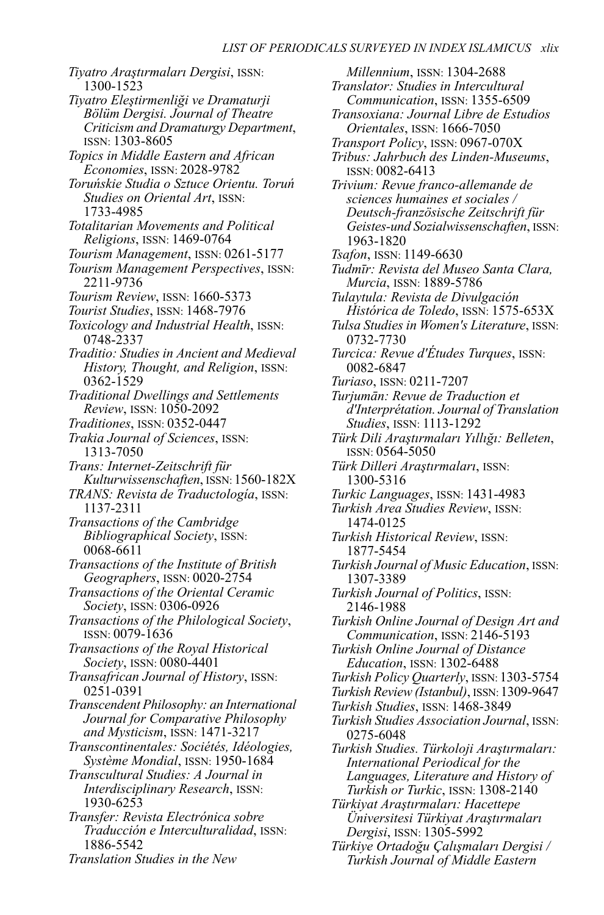*Tiyatro Araştırmaları Dergisi*, ISSN: 1300-1523 *Tiyatro Eleştirmenliği ve Dramaturji Bölüm Dergisi. Journal of Theatre Criticism and Dramaturgy Department*, ISSN: 1303-8605 *Topics in Middle Eastern and African Economies*, ISSN: 2028-9782 *Toruńskie Studia o Sztuce Orientu. Toruń Studies on Oriental Art*, ISSN: 1733-4985 *Totalitarian Movements and Political Religions*, ISSN: 1469-0764 *Tourism Management*, ISSN: 0261-5177 *Tourism Management Perspectives*, ISSN: 2211-9736 *Tourism Review*, ISSN: 1660-5373 *Tourist Studies*, ISSN: 1468-7976 *Toxicology and Industrial Health*, ISSN: 0748-2337 *Traditio: Studies in Ancient and Medieval History, Thought, and Religion*, ISSN: 0362-1529 *Traditional Dwellings and Settlements Review*, ISSN: 1050-2092 *Traditiones*, ISSN: 0352-0447 *Trakia Journal of Sciences*, ISSN: 1313-7050 *Trans: Internet-Zeitschrift für Kulturwissenschaften*, ISSN: 1560-182X *TRANS: Revista de Traductología*, ISSN: 1137-2311 *Transactions of the Cambridge Bibliographical Society*, ISSN: 0068-6611 *Transactions of the Institute of British Geographers*, ISSN: 0020-2754 *Transactions of the Oriental Ceramic Society*, ISSN: 0306-0926 *Transactions of the Philological Society*, ISSN: 0079-1636 *Transactions of the Royal Historical Society*, ISSN: 0080-4401 *Transafrican Journal of History*, ISSN: 0251-0391 *Transcendent Philosophy: an International Journal for Comparative Philosophy and Mysticism*, ISSN: 1471-3217 *Transcontinentales: Sociétés, Idéologies, Système Mondial*, ISSN: 1950-1684 *Transcultural Studies: A Journal in Interdisciplinary Research*, ISSN: 1930-6253 *Transfer: Revista Electrónica sobre Traducción e Interculturalidad*, ISSN: 1886-5542 *Translation Studies in the New*

*Millennium*, ISSN: 1304-2688 *Translator: Studies in Intercultural Communication*, ISSN: 1355-6509 *Transoxiana: Journal Libre de Estudios Orientales*, ISSN: 1666-7050 *Transport Policy*, ISSN: 0967-070X *Tribus: Jahrbuch des Linden-Museums*, ISSN: 0082-6413 *Trivium: Revue franco-allemande de sciences humaines et sociales / Deutsch-französische Zeitschrift für Geistes-und Sozialwissenschaften*, ISSN: 1963-1820 *Tsafon*, ISSN: 1149-6630 *Tudmīr: Revista del Museo Santa Clara, Murcia*, ISSN: 1889-5786 *Tulaytula: Revista de Divulgación Histórica de Toledo*, ISSN: 1575-653X *Tulsa Studies in Women'sLiterature*, ISSN: 0732-7730 *Turcica: Revue d'Études Turques*, ISSN: 0082-6847 *Turiaso*, ISSN: 0211-7207 *Turjumān: Revue de Traduction et d'Interprétation. Journal ofTranslation Studies*, ISSN: 1113-1292 *Türk Dili Araştırmaları Yıllığı: Belleten*, ISSN: 0564-5050 *Türk Dilleri Araştırmaları*, ISSN: 1300-5316 *Turkic Languages*, ISSN: 1431-4983 *Turkish Area Studies Review*, ISSN: 1474-0125 *Turkish Historical Review*, ISSN: 1877-5454 *Turkish Journal of Music Education*, ISSN: 1307-3389 *Turkish Journal of Politics*, ISSN: 2146-1988 *Turkish Online Journal of Design Art and Communication*, ISSN: 2146-5193 *Turkish Online Journal of Distance Education*, ISSN: 1302-6488 *Turkish Policy Quarterly*, ISSN: 1303-5754 *Turkish Review (Istanbul)*, ISSN:1309-9647 *Turkish Studies*, ISSN: 1468-3849 *Turkish Studies Association Journal*, ISSN: 0275-6048 *Turkish Studies. Türkoloji Araştırmaları: International Periodical for the Languages, Literature and History of Turkish or Turkic*, ISSN: 1308-2140 *Türkiyat Araştırmaları: Hacettepe Üniversitesi Türkiyat Araştırmaları Dergisi*, ISSN: 1305-5992

*Türkiye Ortadoğu Çalışmaları Dergisi / Turkish Journal of Middle Eastern*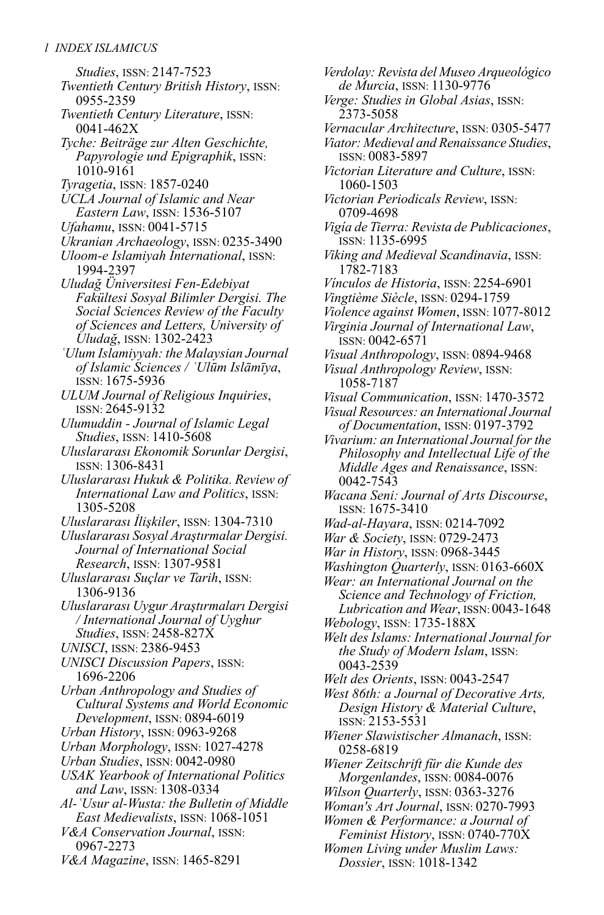*Studies*, ISSN: 2147-7523 *Twentieth Century British History*, ISSN: 0955-2359 *Twentieth Century Literature*, ISSN: 0041-462X *Tyche: Beiträge zur Alten Geschichte, Papyrologie und Epigraphik*, ISSN: 1010-9161 *Tyragetia*, ISSN: 1857-0240 *UCLA Journal of Islamic and Near Eastern Law*, ISSN: 1536-5107 *Ufahamu*, ISSN: 0041-5715 *Ukranian Archaeology*, ISSN: 0235-3490 *Uloom-e Islamiyah International*, ISSN: 1994-2397 *Uludağ Üniversitesi Fen-Edebiyat Fakültesi Sosyal Bilimler Dergisi. The Social Sciences Review of the Faculty of Sciences and Letters, University of Uludağ*, ISSN: 1302-2423 *ʿUlum Islamiyyah: the Malaysian Journal of Islamic Sciences / ʿUlūm Islāmīya*, ISSN: 1675-5936 *ULUM Journal of Religious Inquiries*, ISSN: 2645-9132 *Ulumuddin - Journal of Islamic Legal Studies*, ISSN: 1410-5608 *Uluslararası Ekonomik Sorunlar Dergisi*, ISSN: 1306-8431 *Uluslararası Hukuk & Politika. Review of International Law and Politics*, ISSN: 1305-5208 *Uluslararası İlişkiler*, ISSN: 1304-7310 *Uluslararası Sosyal Araştırmalar Dergisi. Journal of International Social Research*, ISSN: 1307-9581 *Uluslararası Suçlar ve Tarih*, ISSN: 1306-9136 *Uluslararası Uygur Araştırmaları Dergisi / International Journal of Uyghur Studies*, ISSN: 2458-827X *UNISCI*, ISSN: 2386-9453 *UNISCI Discussion Papers*, ISSN: 1696-2206 *Urban Anthropology and Studies of Cultural Systems and World Economic Development*, ISSN: 0894-6019 *Urban History*, ISSN: 0963-9268 *Urban Morphology*, ISSN: 1027-4278 *Urban Studies*, ISSN: 0042-0980 *USAK Yearbook of International Politics and Law*, ISSN: 1308-0334 *Al-ʿUsur al-Wusta: the Bulletin of Middle East Medievalists*, ISSN: 1068-1051 *V&A Conservation Journal*, ISSN: 0967-2273

*V&A Magazine*, ISSN: 1465-8291

*Verdolay: Revista del Museo Arqueológico de Murcia*, ISSN: 1130-9776 *Verge: Studies in Global Asias*, ISSN: 2373-5058 *Vernacular Architecture*, ISSN: 0305-5477 *Viator: Medieval and Renaissance Studies*, ISSN: 0083-5897 *Victorian Literature and Culture*, ISSN: 1060-1503 *Victorian Periodicals Review*, ISSN: 0709-4698 *Vigía deTierra: Revista de Publicaciones*, ISSN: 1135-6995 *Viking and Medieval Scandinavia*, ISSN: 1782-7183 *Vínculos de Historia*, ISSN: 2254-6901 *Vingtième Siècle*, ISSN: 0294-1759 *Violence against Women*, ISSN: 1077-8012 *Virginia Journal of International Law*, ISSN: 0042-6571 *Visual Anthropology*, ISSN: 0894-9468 *Visual Anthropology Review*, ISSN: 1058-7187 *Visual Communication*, ISSN: 1470-3572 *Visual Resources: an International Journal of Documentation*, ISSN: 0197-3792 *Vivarium: an International Journal for the Philosophy and Intellectual Life of the Middle Ages and Renaissance*, ISSN: 0042-7543 *Wacana Seni: Journal of Arts Discourse*, ISSN: 1675-3410 *Wad-al-Hayara*, ISSN: 0214-7092 *War & Society*, ISSN: 0729-2473 *War in History*, ISSN: 0968-3445 *Washington Quarterly*, ISSN: 0163-660X *Wear: an International Journal on the Science and Technology of Friction, Lubrication and Wear*, ISSN: 0043-1648 *Webology*, ISSN: 1735-188X *Welt des Islams: International Journal for the Study of Modern Islam*, ISSN: 0043-2539 *Welt des Orients*, ISSN: 0043-2547 *West 86th: a Journal of Decorative Arts, Design History & Material Culture*, ISSN: 2153-5531 *Wiener Slawistischer Almanach*, ISSN: 0258-6819 *Wiener Zeitschrift für die Kunde des Morgenlandes*, ISSN: 0084-0076 *Wilson Quarterly*, ISSN: 0363-3276 *Woman's Art Journal*, ISSN: 0270-7993 *Women & Performance: a Journal of Feminist History*, ISSN: 0740-770X

*Women Living under Muslim Laws: Dossier*, ISSN: 1018-1342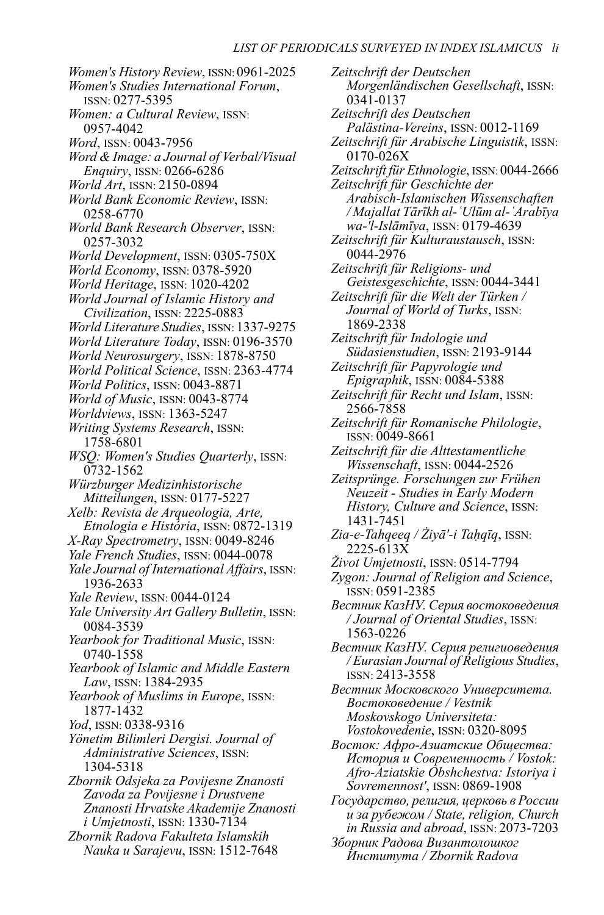*Women's History Review*, ISSN: 0961-2025 *Women's Studies International Forum*, ISSN: 0277-5395 *Women: a Cultural Review*, ISSN: 0957-4042 *Word*, ISSN: 0043-7956 *Word & Image: a Journal of Verbal/Visual Enquiry*, ISSN: 0266-6286 *World Art*, ISSN: 2150-0894 *World Bank Economic Review*, ISSN: 0258-6770 *World Bank Research Observer*, ISSN: 0257-3032 *World Development*, ISSN: 0305-750X *World Economy*, ISSN: 0378-5920 *World Heritage*, ISSN: 1020-4202 *World Journal of Islamic History and Civilization*, ISSN: 2225-0883 *WorldLiterature Studies*, ISSN: 1337-9275 *World Literature Today*, ISSN: 0196-3570 *World Neurosurgery*, ISSN: 1878-8750 *World Political Science*, ISSN: 2363-4774 *World Politics*, ISSN: 0043-8871 *World of Music*, ISSN: 0043-8774 *Worldviews*, ISSN: 1363-5247 *Writing Systems Research*, ISSN: 1758-6801 *WSQ: Women's Studies Quarterly*, ISSN: 0732-1562 *Würzburger Medizinhistorische Mitteilungen*, ISSN: 0177-5227 *Xelb: Revista de Arqueologia, Arte, Etnologia e História*, ISSN: 0872-1319 *X-Ray Spectrometry*, ISSN: 0049-8246 *Yale French Studies*, ISSN: 0044-0078 *Yale Journal of International Affairs*, ISSN: 1936-2633 *Yale Review*, ISSN: 0044-0124 *Yale University Art Gallery Bulletin*, ISSN: 0084-3539 *Yearbook for Traditional Music*, ISSN: 0740-1558 *Yearbook of Islamic and Middle Eastern Law*, ISSN: 1384-2935 *Yearbook of Muslims in Europe*, ISSN: 1877-1432 *Yod*, ISSN: 0338-9316 *Yönetim Bilimleri Dergisi. Journal of Administrative Sciences*, ISSN: 1304-5318 *Zbornik Odsjeka za Povijesne Znanosti Zavoda za Povijesne i Drustvene Znanosti Hrvatske Akademije Znanosti i Umjetnosti*, ISSN: 1330-7134 *Zbornik Radova Fakulteta Islamskih Nauka u Sarajevu*, ISSN: 1512-7648

*Zeitschrift der Deutschen Morgenländischen Gesellschaft*, ISSN: 0341-0137 *Zeitschrift des Deutschen Palästina-Vereins*, ISSN: 0012-1169 *Zeitschrift für Arabische Linguistik*, ISSN: 0170-026X *Zeitschrift für Ethnologie*, ISSN: 0044-2666 *Zeitschrift für Geschichte der Arabisch-Islamischen Wissenschaften / MajallatTārīkh al-ʿUlūm al-ʿArabīya wa-'l-Islāmīya*, ISSN: 0179-4639 *Zeitschrift für Kulturaustausch*, ISSN: 0044-2976 *Zeitschrift für Religions- und Geistesgeschichte*, ISSN: 0044-3441 *Zeitschrift für die Welt der Türken / Journal of World of Turks*, ISSN: 1869-2338 *Zeitschrift für Indologie und Südasienstudien*, ISSN: 2193-9144 *Zeitschrift für Papyrologie und Epigraphik*, ISSN: 0084-5388 *Zeitschrift für Recht und Islam*, ISSN: 2566-7858 *Zeitschrift für Romanische Philologie*, ISSN: 0049-8661 *Zeitschrift für die Alttestamentliche Wissenschaft*, ISSN: 0044-2526 *Zeitsprünge. Forschungen zur Frühen Neuzeit - Studies in Early Modern History, Culture and Science*, ISSN: 1431-7451 *Zia-e-Tahqeeq / Żiyā'-i Taḥqīq*, ISSN: 2225-613X *Život Umjetnosti*, ISSN: 0514-7794 *Zygon: Journal of Religion and Science*, ISSN: 0591-2385 *Вестник КазНУ. Серия востоковедения / Journal of Oriental Studies*, ISSN: 1563-0226 *Вестник КазНУ. Серия религиоведения / Eurasian Journal of Religious Studies*, ISSN: 2413-3558 *Вестник Московского Университета. Востоковедение / Vestnik Moskovskogo Universiteta: Vostokovedenie*, ISSN: 0320-8095 *Восток: Афро-Азиатские Общества: История и Современность / Vostok: Afro-Aziatskie Obshchestva: Istoriya i Sovremennost'*, ISSN: 0869-1908 *Государство, религия, церковь в России и за рубежом / State, religion, Church in Russia and abroad*, ISSN: 2073-7203 *Зборник Радова Византолошког Института / Zbornik Radova*